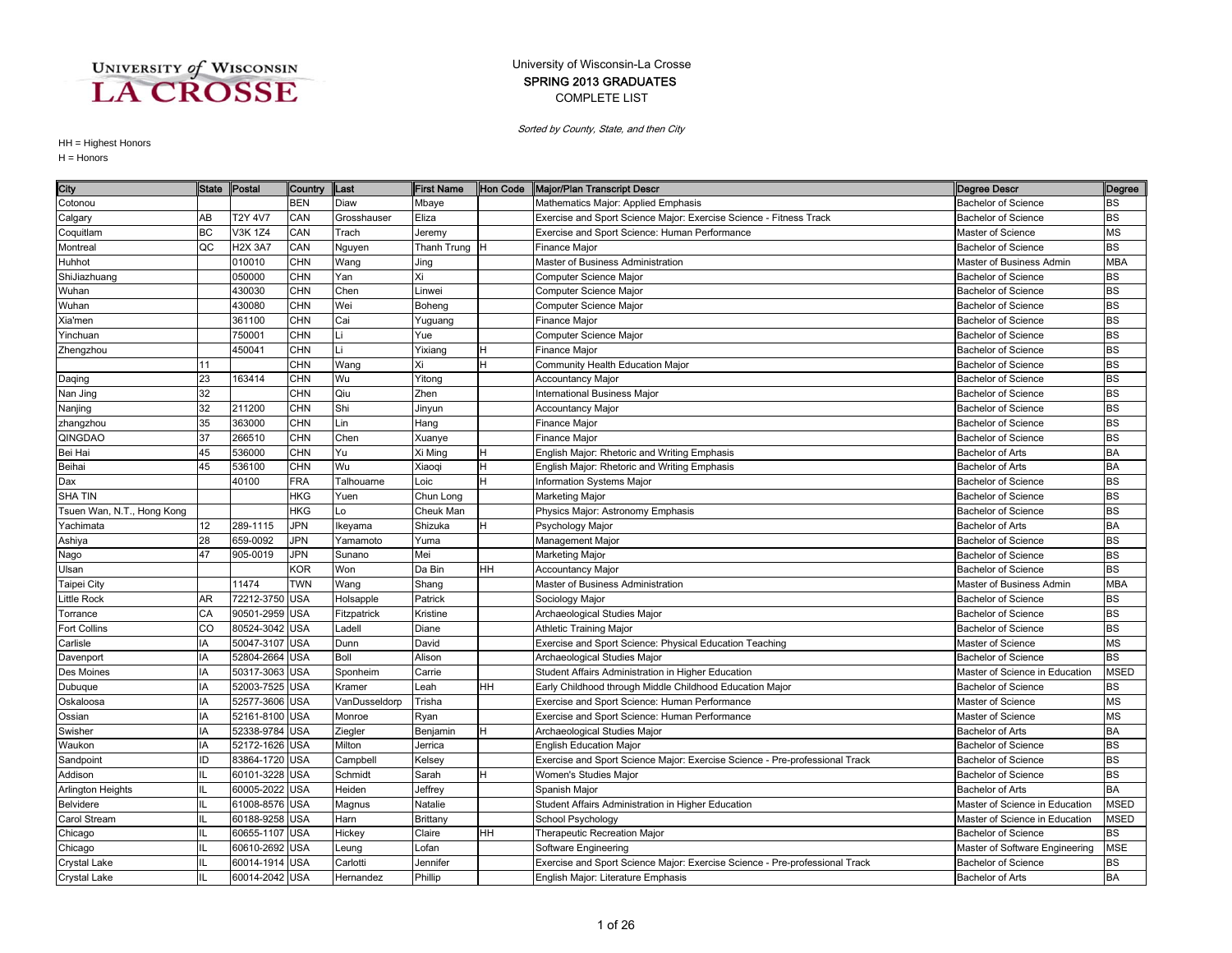### COMPLETE LIST SPRING 2013 GRADUATES University of Wisconsin-La Crosse

Sorted by County, State, and then City

| City                       | <b>State</b>    | Postal         | Country    | Last          | <b>First Name</b> | Hon Code | Major/Plan Transcript Descr                                                 | Degree Descr                   | Degree     |
|----------------------------|-----------------|----------------|------------|---------------|-------------------|----------|-----------------------------------------------------------------------------|--------------------------------|------------|
| Cotonou                    |                 |                | <b>BEN</b> | Diaw          | Mbaye             |          | Mathematics Major: Applied Emphasis                                         | <b>Bachelor of Science</b>     | BS         |
| Calgary                    | AB              | T2Y 4V7        | CAN        | Grosshauser   | Eliza             |          | Exercise and Sport Science Major: Exercise Science - Fitness Track          | <b>Bachelor of Science</b>     | BS         |
| Coquitlam                  | BC              | V3K 1Z4        | CAN        | Trach         | Jeremy            |          | Exercise and Sport Science: Human Performance                               | Master of Science              | MS         |
| Montreal                   | QC              | <b>H2X 3A7</b> | CAN        | Nguyen        | Thanh Trung H     |          | Finance Major                                                               | <b>Bachelor of Science</b>     | <b>BS</b>  |
| Huhhot                     |                 | 010010         | <b>CHN</b> | Wang          | Jing              |          | Master of Business Administration                                           | Master of Business Admin       | <b>MBA</b> |
| ShiJiazhuang               |                 | 050000         | <b>CHN</b> | Yan           | Xi                |          | Computer Science Major                                                      | <b>Bachelor of Science</b>     | <b>BS</b>  |
| Wuhan                      |                 | 430030         | <b>CHN</b> | Chen          | Linwei            |          | Computer Science Major                                                      | <b>Bachelor of Science</b>     | <b>BS</b>  |
| Wuhan                      |                 | 430080         | <b>CHN</b> | Wei           | Boheng            |          | Computer Science Major                                                      | <b>Bachelor of Science</b>     | <b>BS</b>  |
| Xia'men                    |                 | 361100         | <b>CHN</b> | Cai           | Yuguang           |          | Finance Major                                                               | <b>Bachelor of Science</b>     | <b>BS</b>  |
| Yinchuan                   |                 | 750001         | <b>CHN</b> | Li            | Yue               |          | Computer Science Major                                                      | <b>Bachelor of Science</b>     | BS         |
| Zhengzhou                  |                 | 450041         | <b>CHN</b> |               | Yixiang           |          | Finance Major                                                               | <b>Bachelor of Science</b>     | <b>BS</b>  |
|                            | 11              |                | CHN        | Wang          | Xi                | н        | Community Health Education Major                                            | <b>Bachelor of Science</b>     | <b>BS</b>  |
| Daqing                     | 23              | 163414         | <b>CHN</b> | Wu            | Yitong            |          | <b>Accountancy Major</b>                                                    | <b>Bachelor of Science</b>     | <b>BS</b>  |
| Nan Jing                   | 32              |                | <b>CHN</b> | Qiu           | Zhen              |          | <b>International Business Major</b>                                         | <b>Bachelor of Science</b>     | <b>BS</b>  |
| Nanjing                    | 32              | 211200         | <b>CHN</b> | Shi           | Jinyun            |          | Accountancy Major                                                           | <b>Bachelor of Science</b>     | BS         |
| zhangzhou                  | 35              | 363000         | <b>CHN</b> | Lin           | Hang              |          | Finance Major                                                               | <b>Bachelor of Science</b>     | BS         |
| QINGDAO                    | 37              | 266510         | <b>CHN</b> | Chen          | Xuanye            |          | <b>Finance Major</b>                                                        | <b>Bachelor of Science</b>     | <b>BS</b>  |
| Bei Hai                    | 45              | 536000         | <b>CHN</b> | Yu            | Xi Ming           |          | English Major: Rhetoric and Writing Emphasis                                | <b>Bachelor of Arts</b>        | <b>BA</b>  |
| Beihai                     | 45              | 536100         | <b>CHN</b> | Wu            | Xiaoqi            |          | English Major: Rhetoric and Writing Emphasis                                | <b>Bachelor of Arts</b>        | <b>BA</b>  |
| Dax                        |                 | 40100          | <b>FRA</b> | Talhouarne    | Loic              | H.       | Information Systems Major                                                   | <b>Bachelor of Science</b>     | <b>BS</b>  |
| <b>SHA TIN</b>             |                 |                | <b>HKG</b> | Yuen          | Chun Long         |          | Marketing Major                                                             | <b>Bachelor of Science</b>     | <b>BS</b>  |
| Tsuen Wan, N.T., Hong Kong |                 |                | <b>HKG</b> | Lo            | Cheuk Man         |          | Physics Major: Astronomy Emphasis                                           | <b>Bachelor of Science</b>     | <b>BS</b>  |
| Yachimata                  | 12 <sup>2</sup> | 289-1115       | <b>JPN</b> | keyama        | Shizuka           |          | Psychology Major                                                            | <b>Bachelor of Arts</b>        | <b>BA</b>  |
| Ashiya                     | 28              | 659-0092       | JPN        | Yamamoto      | Yuma              |          | Management Major                                                            | <b>Bachelor of Science</b>     | BS         |
| Nago                       | 47              | 905-0019       | JPN        | Sunano        | Mei               |          | Marketing Major                                                             | <b>Bachelor of Science</b>     | <b>BS</b>  |
| Ulsan                      |                 |                | <b>KOR</b> | Won           | Da Bin            | HH       | <b>Accountancy Major</b>                                                    | <b>Bachelor of Science</b>     | BS         |
| Taipei City                |                 | 11474          | <b>TWN</b> | Wang          | Shang             |          | Master of Business Administration                                           | Master of Business Admin       | <b>MBA</b> |
| Little Rock                | AR              | 72212-3750 USA |            | Holsapple     | Patrick           |          | Sociology Major                                                             | <b>Bachelor of Science</b>     | BS         |
| Torrance                   | CA              | 90501-2959 USA |            | Fitzpatrick   | Kristine          |          | Archaeological Studies Major                                                | <b>Bachelor of Science</b>     | <b>BS</b>  |
| Fort Collins               | CO              | 80524-3042 USA |            | _adell        | Diane             |          | <b>Athletic Training Major</b>                                              | <b>Bachelor of Science</b>     | <b>BS</b>  |
| Carlisle                   | IA              | 50047-3107     | <b>USA</b> | Dunn          | David             |          | Exercise and Sport Science: Physical Education Teaching                     | Master of Science              | <b>MS</b>  |
| Davenport                  | IA              | 52804-2664     | <b>USA</b> | <b>Boll</b>   | Alison            |          | Archaeological Studies Major                                                | <b>Bachelor of Science</b>     | BS         |
| Des Moines                 | IA              | 50317-3063     | <b>USA</b> | Sponheim      | Carrie            |          | Student Affairs Administration in Higher Education                          | Master of Science in Education | MSED       |
| Dubuque                    | IA              | 52003-7525 USA |            | Kramer        | Leah              | HH       | Early Childhood through Middle Childhood Education Major                    | <b>Bachelor of Science</b>     | BS         |
| Oskaloosa                  | IA              | 52577-3606 USA |            | VanDusseldorp | Trisha            |          | Exercise and Sport Science: Human Performance                               | Master of Science              | MS         |
| Ossian                     | IA              | 52161-8100 USA |            | Monroe        | Ryan              |          | Exercise and Sport Science: Human Performance                               | Master of Science              | ΜS         |
| Swisher                    | IA              | 52338-9784 USA |            | Ziegler       | Benjamin          |          | Archaeological Studies Major                                                | Bachelor of Arts               | <b>BA</b>  |
| Waukon                     | IA              | 52172-1626 USA |            | Milton        | Jerrica           |          | <b>English Education Major</b>                                              | Bachelor of Science            | <b>BS</b>  |
| Sandpoint                  | ID              | 83864-1720     | <b>USA</b> | Campbell      | Kelsey            |          | Exercise and Sport Science Major: Exercise Science - Pre-professional Track | Bachelor of Science            | <b>BS</b>  |
| Addison                    | IL              | 60101-3228     | <b>USA</b> | Schmidt       | Sarah             |          | Women's Studies Major                                                       | <b>Bachelor of Science</b>     | <b>BS</b>  |
| Arlington Heights          |                 | 60005-2022     | <b>USA</b> | Heiden        | Jeffrey           |          | Spanish Major                                                               | <b>Bachelor of Arts</b>        | BA         |
| Belvidere                  | IL.             | 61008-8576 USA |            | Magnus        | Natalie           |          | Student Affairs Administration in Higher Education                          | Master of Science in Education | MSED       |
| Carol Stream               |                 | 60188-9258 USA |            | Harn          | Brittany          |          | School Psychology                                                           | Master of Science in Education | MSED       |
| Chicago                    | IL.             | 60655-1107 USA |            | Hickey        | Claire            | HН       | Therapeutic Recreation Major                                                | <b>Bachelor of Science</b>     | <b>BS</b>  |
| Chicago                    | IL              | 60610-2692 USA |            | eung          | Lofan             |          | Software Engineering                                                        | Master of Software Engineering | <b>MSE</b> |
| Crystal Lake               | IL              | 60014-1914 USA |            | Carlotti      | Jennifer          |          | Exercise and Sport Science Major: Exercise Science - Pre-professional Track | <b>Bachelor of Science</b>     | <b>BS</b>  |
| <b>Crystal Lake</b>        | IL              | 60014-2042 USA |            | Hernandez     | Phillip           |          | English Major: Literature Emphasis                                          | <b>Bachelor of Arts</b>        | <b>BA</b>  |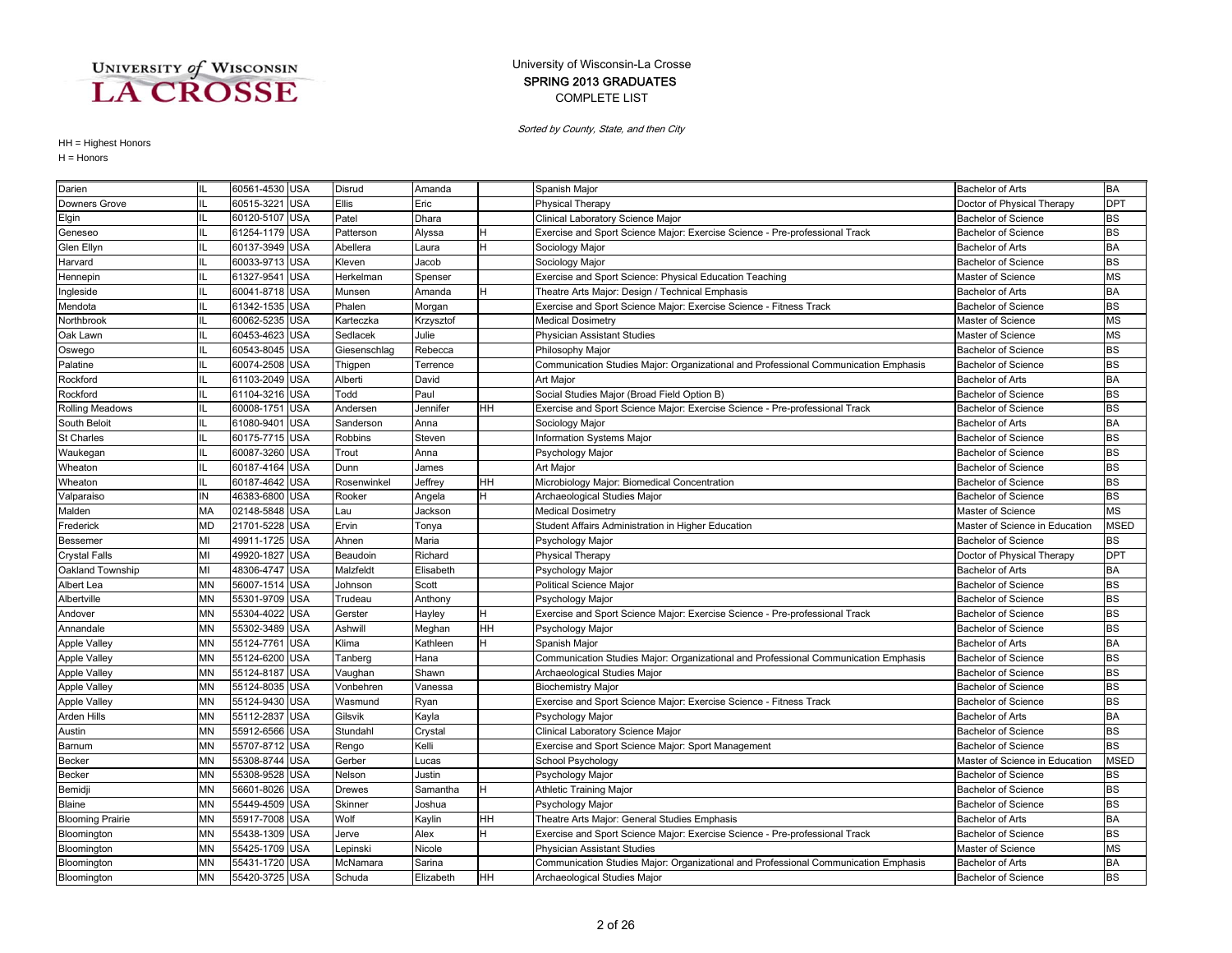### COMPLETE LIST SPRING 2013 GRADUATES University of Wisconsin-La Crosse

Sorted by County, State, and then City

| Darien                  |           | 60561-4530 USA |            | Disrud       | Amanda    |           | Spanish Major                                                                       | <b>Bachelor of Arts</b>        | <b>BA</b>   |
|-------------------------|-----------|----------------|------------|--------------|-----------|-----------|-------------------------------------------------------------------------------------|--------------------------------|-------------|
| Downers Grove           |           | 60515-3221     | <b>USA</b> | <b>Ellis</b> | Eric      |           | <b>Physical Therapy</b>                                                             | Doctor of Physical Therapy     | <b>DPT</b>  |
| Elgin                   | IL.       | 60120-5107 USA |            | Patel        | Dhara     |           | Clinical Laboratory Science Major                                                   | <b>Bachelor of Science</b>     | <b>BS</b>   |
| Geneseo                 | Ш         | 61254-1179 USA |            | Patterson    | Alyssa    |           | Exercise and Sport Science Major: Exercise Science - Pre-professional Track         | <b>Bachelor of Science</b>     | <b>BS</b>   |
| Glen Ellyn              | IL        | 60137-3949 USA |            | Abellera     | Laura     | H         | Sociology Major                                                                     | <b>Bachelor of Arts</b>        | <b>BA</b>   |
| Harvard                 |           | 60033-9713     | <b>USA</b> | Kleven       | Jacob     |           | Sociology Major                                                                     | <b>Bachelor of Science</b>     | <b>BS</b>   |
| Hennepin                | IL        | 61327-9541     | <b>USA</b> | Herkelman    | Spenser   |           | Exercise and Sport Science: Physical Education Teaching                             | Master of Science              | <b>MS</b>   |
| Ingleside               |           | 60041-8718 USA |            | Munsen       | Amanda    |           | Theatre Arts Major: Design / Technical Emphasis                                     | <b>Bachelor of Arts</b>        | <b>BA</b>   |
| Mendota                 |           | 61342-1535 USA |            | Phalen       | Morgan    |           | Exercise and Sport Science Major: Exercise Science - Fitness Track                  | <b>Bachelor of Science</b>     | <b>BS</b>   |
| Northbrook              |           | 60062-5235 USA |            | Karteczka    | Krzysztof |           | <b>Medical Dosimetry</b>                                                            | Master of Science              | <b>MS</b>   |
| Oak Lawn                |           | 60453-4623 USA |            | Sedlacek     | Julie     |           | Physician Assistant Studies                                                         | Master of Science              | <b>MS</b>   |
| Oswego                  | IL        | 60543-8045 USA |            | Giesenschlag | Rebecca   |           | Philosophy Major                                                                    | <b>Bachelor of Science</b>     | <b>BS</b>   |
| Palatine                |           | 60074-2508 USA |            | Thigpen      | Terrence  |           | Communication Studies Major: Organizational and Professional Communication Emphasis | <b>Bachelor of Science</b>     | <b>BS</b>   |
| Rockford                | IL        | 61103-2049     | <b>USA</b> | Alberti      | David     |           | Art Major                                                                           | <b>Bachelor of Arts</b>        | <b>BA</b>   |
| Rockford                | Ш         | 61104-3216 USA |            | Todd         | Paul      |           | Social Studies Major (Broad Field Option B)                                         | <b>Bachelor of Science</b>     | <b>BS</b>   |
| Rolling Meadows         | IL        | 60008-1751     | <b>USA</b> | Andersen     | Jennifer  | HН        | Exercise and Sport Science Major: Exercise Science - Pre-professional Track         | <b>Bachelor of Science</b>     | <b>BS</b>   |
| South Beloit            |           | 61080-9401     | <b>USA</b> | Sanderson    | Anna      |           | Sociology Major                                                                     | <b>Bachelor of Arts</b>        | <b>BA</b>   |
| St Charles              |           | 60175-7715 USA |            | Robbins      | Steven    |           | Information Systems Major                                                           | <b>Bachelor of Science</b>     | <b>BS</b>   |
| Waukegan                | IL        | 60087-3260 USA |            | Trout        | Anna      |           | Psychology Major                                                                    | <b>Bachelor of Science</b>     | <b>BS</b>   |
| Wheaton                 | IL        | 60187-4164 USA |            | Dunn         | James     |           | Art Major                                                                           | <b>Bachelor of Science</b>     | <b>BS</b>   |
| Wheaton                 | IL        | 60187-4642 USA |            | Rosenwinkel  | Jeffrey   | HH        | Microbiology Major: Biomedical Concentration                                        | <b>Bachelor of Science</b>     | <b>BS</b>   |
| Valparaiso              | IN        | 46383-6800     | <b>USA</b> | Rooker       | Angela    |           | Archaeological Studies Major                                                        | <b>Bachelor of Science</b>     | <b>BS</b>   |
| Malden                  | MA        | 02148-5848 USA |            | Lau          | Jackson   |           | <b>Medical Dosimetry</b>                                                            | Master of Science              | <b>MS</b>   |
| Frederick               | <b>MD</b> | 21701-5228 USA |            | Ervin        | Tonya     |           | Student Affairs Administration in Higher Education                                  | Master of Science in Education | <b>MSED</b> |
| Bessemer                | MI        | 49911-1725 USA |            | Ahnen        | Maria     |           | Psychology Major                                                                    | <b>Bachelor of Science</b>     | <b>BS</b>   |
| Crystal Falls           | MI        | 49920-1827     | <b>USA</b> | Beaudoin     | Richard   |           | Physical Therapy                                                                    | Doctor of Physical Therapy     | <b>DPT</b>  |
| Oakland Township        | MI        | 48306-4747 USA |            | Malzfeldt    | Elisabeth |           | Psychology Major                                                                    | <b>Bachelor of Arts</b>        | <b>BA</b>   |
| Albert Lea              | <b>MN</b> | 56007-1514 USA |            | Johnson      | Scott     |           | Political Science Major                                                             | <b>Bachelor of Science</b>     | <b>BS</b>   |
| Albertville             | <b>MN</b> | 55301-9709 USA |            | Trudeau      | Anthony   |           | Psychology Major                                                                    | <b>Bachelor of Science</b>     | <b>BS</b>   |
| Andover                 | <b>MN</b> | 55304-4022     | <b>USA</b> | Gerster      | Hayley    | H         | Exercise and Sport Science Major: Exercise Science - Pre-professional Track         | <b>Bachelor of Science</b>     | <b>BS</b>   |
| Annandale               | <b>MN</b> | 55302-3489     | <b>USA</b> | Ashwill      | Meghan    | HH        | Psychology Major                                                                    | <b>Bachelor of Science</b>     | <b>BS</b>   |
| Apple Valley            | <b>MN</b> | 55124-7761     | <b>USA</b> | Klima        | Kathleen  | H.        | Spanish Major                                                                       | <b>Bachelor of Arts</b>        | <b>BA</b>   |
| <b>Apple Valley</b>     | <b>MN</b> | 55124-6200 USA |            | Tanberg      | Hana      |           | Communication Studies Major: Organizational and Professional Communication Emphasis | <b>Bachelor of Science</b>     | <b>BS</b>   |
| Apple Valley            | MN        | 55124-8187     | <b>USA</b> | Vaughan      | Shawn     |           | Archaeological Studies Major                                                        | <b>Bachelor of Science</b>     | <b>BS</b>   |
| <b>Apple Valley</b>     | MN        | 55124-8035 USA |            | Vonbehren    | Vanessa   |           | <b>Biochemistry Major</b>                                                           | <b>Bachelor of Science</b>     | <b>BS</b>   |
| <b>Apple Valley</b>     | <b>MN</b> | 55124-9430 USA |            | Wasmund      | Ryan      |           | Exercise and Sport Science Major: Exercise Science - Fitness Track                  | <b>Bachelor of Science</b>     | <b>BS</b>   |
| Arden Hills             | MN        | 55112-2837 USA |            | Gilsvik      | Kayla     |           | Psychology Major                                                                    | Bachelor of Arts               | <b>BA</b>   |
| Austin                  | MN        | 55912-6566     | <b>USA</b> | Stundahl     | Crystal   |           | Clinical Laboratory Science Major                                                   | <b>Bachelor of Science</b>     | <b>BS</b>   |
| Barnum                  | <b>MN</b> | 55707-8712     | <b>USA</b> | Rengo        | Kelli     |           | Exercise and Sport Science Major: Sport Management                                  | <b>Bachelor of Science</b>     | <b>BS</b>   |
| Becker                  | <b>MN</b> | 55308-8744     | <b>USA</b> | Gerber       | Lucas     |           | School Psychology                                                                   | Master of Science in Education | <b>MSED</b> |
| Becker                  | <b>MN</b> | 55308-9528     | <b>USA</b> | Nelson       | Justin    |           | Psychology Major                                                                    | <b>Bachelor of Science</b>     | <b>BS</b>   |
| Bemidji                 | MN        | 56601-8026     | <b>USA</b> | Drewes       | Samantha  | Н         | Athletic Training Major                                                             | <b>Bachelor of Science</b>     | <b>BS</b>   |
| Blaine                  | <b>MN</b> | 55449-4509 USA |            | Skinner      | Joshua    |           | Psychology Major                                                                    | <b>Bachelor of Science</b>     | <b>BS</b>   |
| <b>Blooming Prairie</b> | MN        | 55917-7008 USA |            | Wolf         | Kaylin    | HН        | Theatre Arts Major: General Studies Emphasis                                        | <b>Bachelor of Arts</b>        | <b>BA</b>   |
| Bloomington             | MN        | 55438-1309 USA |            | Jerve        | Alex      | н         | Exercise and Sport Science Major: Exercise Science - Pre-professional Track         | <b>Bachelor of Science</b>     | <b>BS</b>   |
| Bloomington             | MN        | 55425-1709 USA |            | Lepinski     | Nicole    |           | <b>Physician Assistant Studies</b>                                                  | Master of Science              | <b>MS</b>   |
| Bloomington             | MN        | 55431-1720 USA |            | McNamara     | Sarina    |           | Communication Studies Major: Organizational and Professional Communication Emphasis | <b>Bachelor of Arts</b>        | <b>BA</b>   |
| Bloomington             | <b>MN</b> | 55420-3725 USA |            | Schuda       | Elizabeth | <b>HH</b> | Archaeological Studies Major                                                        | <b>Bachelor of Science</b>     | <b>BS</b>   |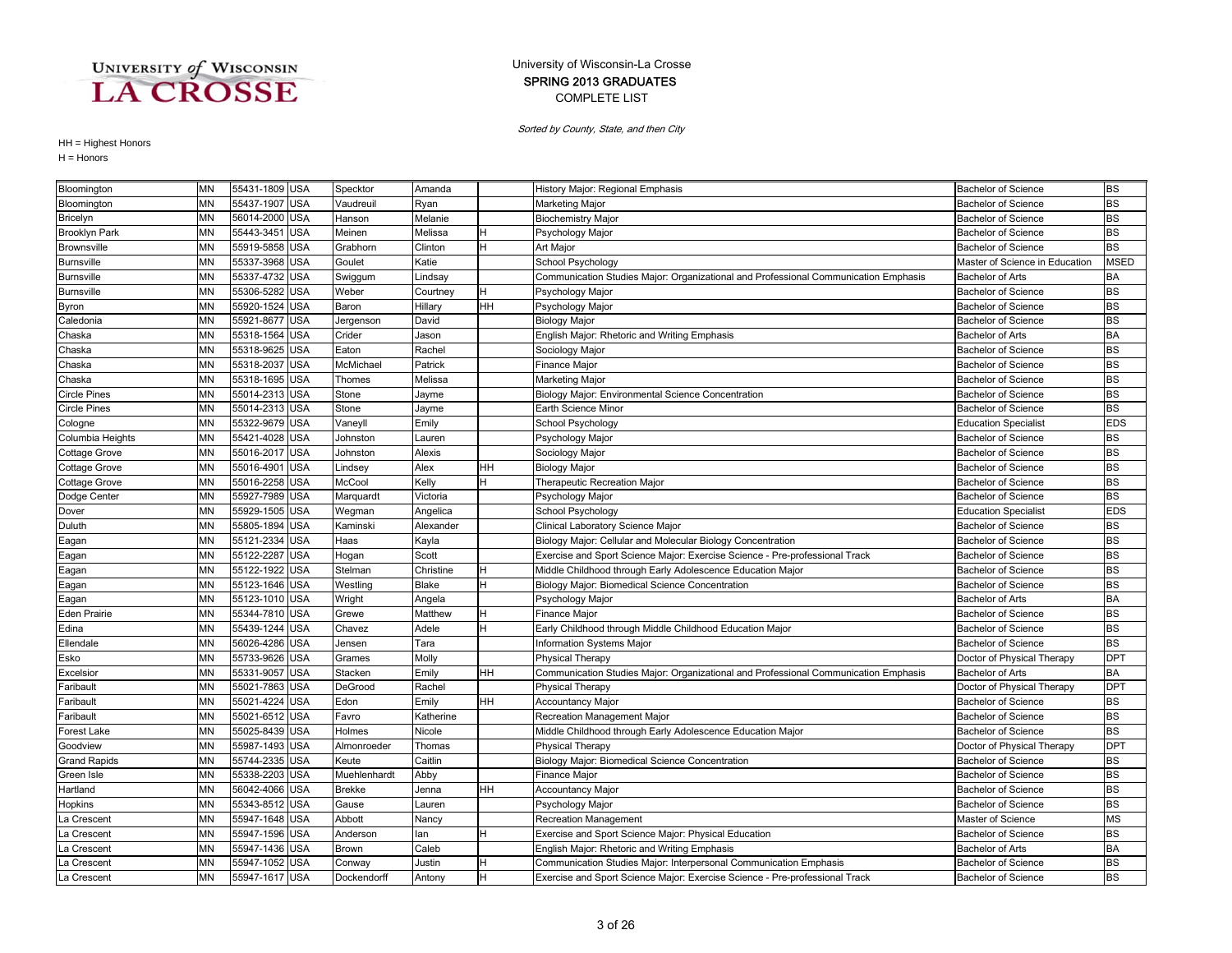### COMPLETE LIST SPRING 2013 GRADUATES University of Wisconsin-La Crosse

Sorted by County, State, and then City

| Bloomington          | <b>MN</b> | 55431-1809 USA |            | Specktor     | Amanda    |    | History Major: Regional Emphasis                                                    | <b>Bachelor of Science</b>     | <b>BS</b>   |
|----------------------|-----------|----------------|------------|--------------|-----------|----|-------------------------------------------------------------------------------------|--------------------------------|-------------|
| Bloomington          | <b>MN</b> | 55437-1907 USA |            | Vaudreuil    | Ryan      |    | Marketing Major                                                                     | <b>Bachelor of Science</b>     | <b>BS</b>   |
| Bricelyn             | MN        | 56014-2000 USA |            | Hanson       | Melanie   |    | <b>Biochemistry Major</b>                                                           | <b>Bachelor of Science</b>     | <b>BS</b>   |
| <b>Brooklyn Park</b> | MN        | 55443-3451 USA |            | Meinen       | Melissa   |    | Psychology Major                                                                    | <b>Bachelor of Science</b>     | <b>BS</b>   |
| <b>Brownsville</b>   | <b>MN</b> | 55919-5858 USA |            | Grabhorn     | Clinton   | н  | Art Major                                                                           | <b>Bachelor of Science</b>     | <b>BS</b>   |
| <b>Burnsville</b>    | <b>MN</b> | 55337-3968 USA |            | Goulet       | Katie     |    | School Psychology                                                                   | Master of Science in Education | <b>MSED</b> |
| <b>Burnsville</b>    | <b>MN</b> | 55337-4732 USA |            | Swiggum      | Lindsay   |    | Communication Studies Major: Organizational and Professional Communication Emphasis | <b>Bachelor of Arts</b>        | <b>BA</b>   |
| <b>Burnsville</b>    | <b>MN</b> | 55306-5282     | <b>USA</b> | Weber        | Courtney  | H  | Psychology Major                                                                    | <b>Bachelor of Science</b>     | <b>BS</b>   |
| Byron                | <b>MN</b> | 55920-1524     | <b>USA</b> | Baron        | Hillary   | HH | Psychology Major                                                                    | <b>Bachelor of Science</b>     | <b>BS</b>   |
| Caledonia            | <b>MN</b> | 55921-8677     | <b>USA</b> | Jergenson    | David     |    | <b>Biology Major</b>                                                                | <b>Bachelor of Science</b>     | <b>BS</b>   |
| Chaska               | MN        | 55318-1564 USA |            | Crider       | Jason     |    | English Major: Rhetoric and Writing Emphasis                                        | <b>Bachelor of Arts</b>        | <b>BA</b>   |
| Chaska               | MN        | 55318-9625 USA |            | Eaton        | Rachel    |    | Sociology Major                                                                     | <b>Bachelor of Science</b>     | <b>BS</b>   |
| Chaska               | <b>MN</b> | 55318-2037 USA |            | McMichael    | Patrick   |    | Finance Major                                                                       | <b>Bachelor of Science</b>     | <b>BS</b>   |
| Chaska               | MN        | 55318-1695 USA |            | Thomes       | Melissa   |    | Marketing Major                                                                     | <b>Bachelor of Science</b>     | <b>BS</b>   |
| <b>Circle Pines</b>  | MN        | 55014-2313 USA |            | Stone        | Jayme     |    | Biology Major: Environmental Science Concentration                                  | <b>Bachelor of Science</b>     | <b>BS</b>   |
| <b>Circle Pines</b>  | <b>MN</b> | 55014-2313 USA |            | Stone        | Jayme     |    | Earth Science Minor                                                                 | <b>Bachelor of Science</b>     | <b>BS</b>   |
| Cologne              | <b>MN</b> | 55322-9679 USA |            | Vaneyll      | Emily     |    | School Psychology                                                                   | <b>Education Specialist</b>    | <b>EDS</b>  |
| Columbia Heights     | <b>MN</b> | 55421-4028     | <b>USA</b> | Johnston     | Lauren    |    | Psychology Major                                                                    | <b>Bachelor of Science</b>     | <b>BS</b>   |
| Cottage Grove        | <b>MN</b> | 55016-2017     | <b>USA</b> | Johnston     | Alexis    |    | Sociology Major                                                                     | <b>Bachelor of Science</b>     | <b>BS</b>   |
| <b>Cottage Grove</b> | <b>MN</b> | 55016-4901 USA |            | Lindsey      | Alex      | HH | <b>Biology Major</b>                                                                | <b>Bachelor of Science</b>     | <b>BS</b>   |
| <b>Cottage Grove</b> | <b>MN</b> | 55016-2258 USA |            | McCool       | Kelly     | H  | Therapeutic Recreation Major                                                        | <b>Bachelor of Science</b>     | <b>BS</b>   |
| Dodge Center         | <b>MN</b> | 55927-7989 USA |            | Marquardt    | Victoria  |    | Psychology Major                                                                    | <b>Bachelor of Science</b>     | <b>BS</b>   |
| Dover                | MN        | 55929-1505 USA |            | Wegman       | Angelica  |    | School Psychology                                                                   | <b>Education Specialist</b>    | <b>EDS</b>  |
| Duluth               | <b>MN</b> | 55805-1894 USA |            | Kaminski     | Alexander |    | Clinical Laboratory Science Major                                                   | <b>Bachelor of Science</b>     | <b>BS</b>   |
| Eagan                | <b>MN</b> | 55121-2334     | <b>USA</b> | Haas         | Kayla     |    | Biology Major: Cellular and Molecular Biology Concentration                         | <b>Bachelor of Science</b>     | <b>BS</b>   |
| Eagan                | MN        | 55122-2287 USA |            | Hogan        | Scott     |    | Exercise and Sport Science Major: Exercise Science - Pre-professional Track         | <b>Bachelor of Science</b>     | <b>BS</b>   |
| Eagan                | <b>MN</b> | 55122-1922 USA |            | Stelman      | Christine | H  | Middle Childhood through Early Adolescence Education Major                          | <b>Bachelor of Science</b>     | <b>BS</b>   |
| Eagan                | <b>MN</b> | 55123-1646 USA |            | Westling     | Blake     | н  | Biology Major: Biomedical Science Concentration                                     | <b>Bachelor of Science</b>     | <b>BS</b>   |
| Eagan                | <b>MN</b> | 55123-1010 USA |            | Wright       | Angela    |    | Psychology Major                                                                    | <b>Bachelor of Arts</b>        | <b>BA</b>   |
| <b>Eden Prairie</b>  | MN        | 55344-7810 USA |            | Grewe        | Matthew   | н  | Finance Major                                                                       | <b>Bachelor of Science</b>     | <b>BS</b>   |
| Edina                | <b>MN</b> | 55439-1244 USA |            | Chavez       | Adele     | H. | Early Childhood through Middle Childhood Education Major                            | <b>Bachelor of Science</b>     | <b>BS</b>   |
| Ellendale            | <b>MN</b> | 56026-4286     | <b>USA</b> | Jensen       | Tara      |    | Information Systems Major                                                           | <b>Bachelor of Science</b>     | <b>BS</b>   |
| Esko                 | <b>MN</b> | 55733-9626     | <b>USA</b> | Grames       | Molly     |    | <b>Physical Therapy</b>                                                             | Doctor of Physical Therapy     | <b>DPT</b>  |
| Excelsion            | <b>MN</b> | 55331-9057 USA |            | Stacken      | Emily     | HН | Communication Studies Major: Organizational and Professional Communication Emphasis | <b>Bachelor of Arts</b>        | <b>BA</b>   |
| Faribault            | <b>MN</b> | 55021-7863 USA |            | DeGrood      | Rachel    |    | <b>Physical Therapy</b>                                                             | Doctor of Physical Therapy     | <b>DPT</b>  |
| Faribault            | <b>MN</b> | 55021-4224     | <b>USA</b> | Edon         | Emily     | HH | <b>Accountancy Major</b>                                                            | <b>Bachelor of Science</b>     | <b>BS</b>   |
| Faribault            | <b>MN</b> | 55021-6512 USA |            | Favro        | Katherine |    | Recreation Management Major                                                         | <b>Bachelor of Science</b>     | <b>BS</b>   |
| Forest Lake          | <b>MN</b> | 55025-8439     | <b>USA</b> | Holmes       | Nicole    |    | Middle Childhood through Early Adolescence Education Major                          | <b>Bachelor of Science</b>     | <b>BS</b>   |
| Goodview             | <b>MN</b> | 55987-1493     | <b>USA</b> | Almonroeder  | Thomas    |    | <b>Physical Therapy</b>                                                             | Doctor of Physical Therapy     | <b>DPT</b>  |
| <b>Grand Rapids</b>  | <b>MN</b> | 55744-2335     | <b>USA</b> | Keute        | Caitlin   |    | Biology Major: Biomedical Science Concentration                                     | <b>Bachelor of Science</b>     | <b>BS</b>   |
| Green Isle           | <b>MN</b> | 55338-2203     | <b>USA</b> | Muehlenhardt | Abby      |    | Finance Major                                                                       | <b>Bachelor of Science</b>     | <b>BS</b>   |
| Hartland             | MN        | 56042-4066 USA |            | Brekke       | Jenna     | HH | Accountancy Major                                                                   | <b>Bachelor of Science</b>     | <b>BS</b>   |
| Hopkins              | <b>MN</b> | 55343-8512 USA |            | Gause        | Lauren    |    | Psychology Major                                                                    | <b>Bachelor of Science</b>     | <b>BS</b>   |
| La Crescent          | <b>MN</b> | 55947-1648 USA |            | Abbott       | Nancy     |    | <b>Recreation Management</b>                                                        | Master of Science              | <b>MS</b>   |
| La Crescent          | <b>MN</b> | 55947-1596 USA |            | Anderson     | lan       | H. | Exercise and Sport Science Major: Physical Education                                | <b>Bachelor of Science</b>     | <b>BS</b>   |
| La Crescent          | <b>MN</b> | 55947-1436 USA |            | Brown        | Caleb     |    | English Major: Rhetoric and Writing Emphasis                                        | <b>Bachelor of Arts</b>        | <b>BA</b>   |
| La Crescent          | <b>MN</b> | 55947-1052 USA |            | Conway       | Justin    | H. | Communication Studies Major: Interpersonal Communication Emphasis                   | <b>Bachelor of Science</b>     | <b>BS</b>   |
| La Crescent          | <b>MN</b> | 55947-1617 USA |            | Dockendorff  | Antony    | H  | Exercise and Sport Science Major: Exercise Science - Pre-professional Track         | <b>Bachelor of Science</b>     | <b>BS</b>   |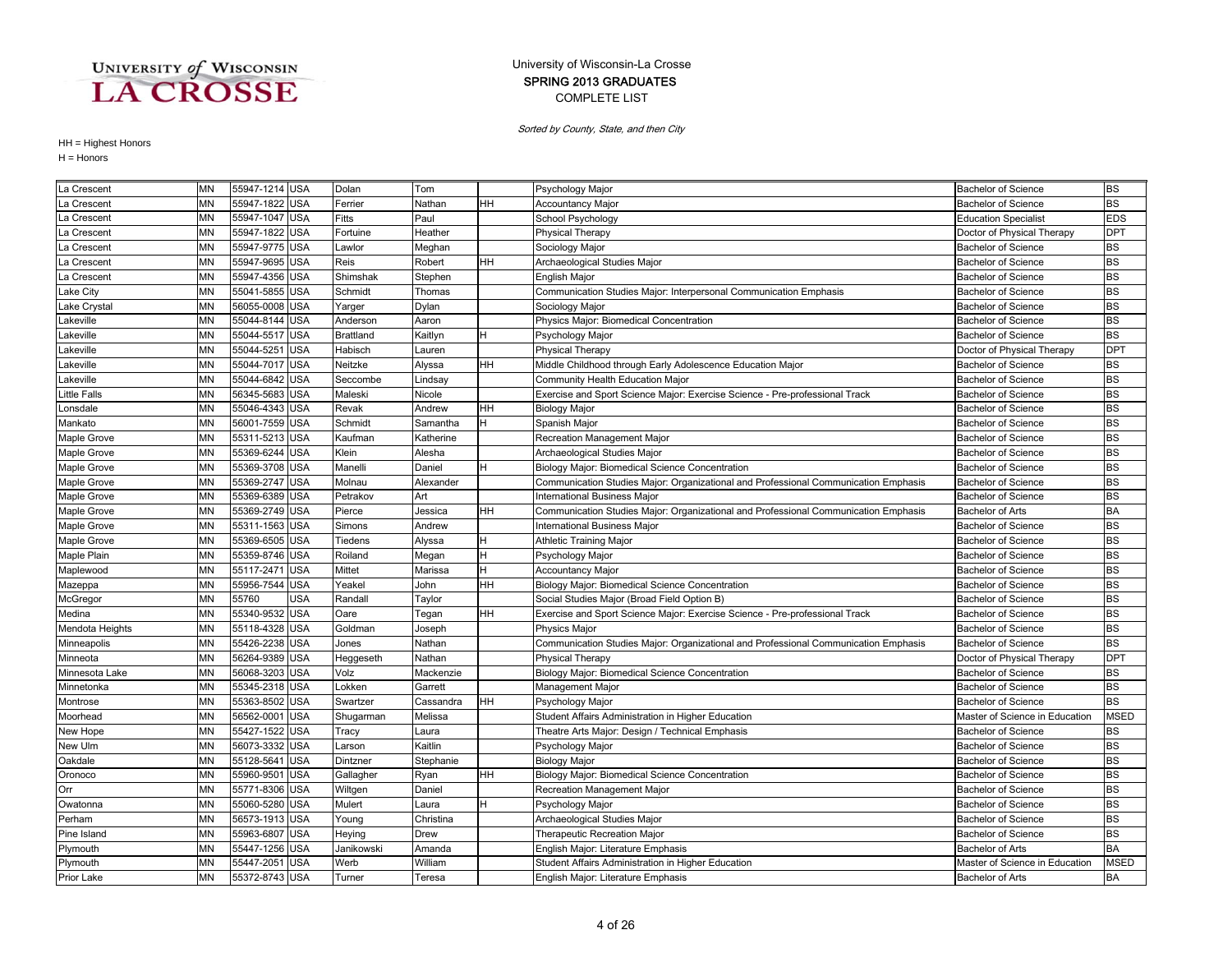### COMPLETE LIST SPRING 2013 GRADUATES University of Wisconsin-La Crosse

Sorted by County, State, and then City

| La Crescent       | ΜN        | 55947-1214 USA |            | Dolan            | Tom       |    | Psychology Major                                                                    | <b>Bachelor of Science</b>     | BS          |
|-------------------|-----------|----------------|------------|------------------|-----------|----|-------------------------------------------------------------------------------------|--------------------------------|-------------|
| La Crescent       | MN        | 55947-1822 USA |            | Ferrier          | Nathan    | HН | <b>Accountancy Major</b>                                                            | <b>Bachelor of Science</b>     | <b>BS</b>   |
| La Crescent       | <b>MN</b> | 55947-1047 USA |            | Fitts            | Paul      |    | School Psychology                                                                   | <b>Education Specialist</b>    | <b>EDS</b>  |
| La Crescent       | <b>MN</b> | 55947-1822     | <b>USA</b> | Fortuine         | Heather   |    | <b>Physical Therapy</b>                                                             | Doctor of Physical Therapy     | <b>DPT</b>  |
| La Crescent       | MN        | 55947-9775 USA |            | Lawlor           | Meghan    |    | Sociology Major                                                                     | <b>Bachelor of Science</b>     | BS          |
| La Crescent       | MN        | 55947-9695 USA |            | Reis             | Robert    | HН | Archaeological Studies Major                                                        | <b>Bachelor of Science</b>     | <b>BS</b>   |
| La Crescent       | <b>MN</b> | 55947-4356 USA |            | Shimshak         | Stephen   |    | <b>English Major</b>                                                                | <b>Bachelor of Science</b>     | <b>BS</b>   |
| Lake City         | <b>MN</b> | 55041-5855 USA |            | Schmidt          | Thomas    |    | Communication Studies Major: Interpersonal Communication Emphasis                   | <b>Bachelor of Science</b>     | <b>BS</b>   |
| Lake Crystal      | <b>MN</b> | 56055-0008 USA |            | Yarger           | Dylan     |    | Sociology Major                                                                     | <b>Bachelor of Science</b>     | <b>BS</b>   |
| Lakeville         | <b>MN</b> | 55044-8144     | <b>USA</b> | Anderson         | Aaron     |    | Physics Major: Biomedical Concentration                                             | <b>Bachelor of Science</b>     | <b>BS</b>   |
| _akeville         | <b>MN</b> | 55044-5517     | <b>USA</b> | <b>Brattland</b> | Kaitlyn   |    | Psychology Major                                                                    | <b>Bachelor of Science</b>     | <b>BS</b>   |
| _akeville         | MN        | 55044-5251     | <b>USA</b> | Habisch          | Lauren    |    | Physical Therapy                                                                    | Doctor of Physical Therapy     | <b>DPT</b>  |
| Lakeville         | <b>MN</b> | 55044-7017 USA |            | Neitzke          | Alyssa    | HН | Middle Childhood through Early Adolescence Education Major                          | <b>Bachelor of Science</b>     | <b>BS</b>   |
| _akeville         | <b>MN</b> | 55044-6842 USA |            | Seccombe         | Lindsay   |    | Community Health Education Major                                                    | <b>Bachelor of Science</b>     | <b>BS</b>   |
| Little Falls      | <b>MN</b> | 56345-5683     | <b>USA</b> | Maleski          | Nicole    |    | Exercise and Sport Science Major: Exercise Science - Pre-professional Track         | <b>Bachelor of Science</b>     | <b>BS</b>   |
| Lonsdale          | <b>MN</b> | 55046-4343 USA |            | Revak            | Andrew    | HН | <b>Biology Major</b>                                                                | <b>Bachelor of Science</b>     | <b>BS</b>   |
| Mankato           | MN        | 56001-7559 USA |            | Schmidt          | Samantha  | H. | Spanish Major                                                                       | <b>Bachelor of Science</b>     | <b>BS</b>   |
| Maple Grove       | <b>MN</b> | 55311-5213     | <b>USA</b> | Kaufman          | Katherine |    | Recreation Management Major                                                         | <b>Bachelor of Science</b>     | <b>BS</b>   |
| Maple Grove       | MN        | 55369-6244     | <b>USA</b> | Klein            | Alesha    |    | Archaeological Studies Major                                                        | <b>Bachelor of Science</b>     | <b>BS</b>   |
| Maple Grove       | MN        | 55369-3708 USA |            | Manelli          | Daniel    | н  | Biology Major: Biomedical Science Concentration                                     | <b>Bachelor of Science</b>     | <b>BS</b>   |
| Maple Grove       | MN        | 55369-2747 USA |            | Molnau           | Alexander |    | Communication Studies Major: Organizational and Professional Communication Emphasis | <b>Bachelor of Science</b>     | BS          |
| Maple Grove       | <b>MN</b> | 55369-6389 USA |            | Petrakov         | Art       |    | International Business Major                                                        | <b>Bachelor of Science</b>     | <b>BS</b>   |
| Maple Grove       | MN        | 55369-2749 USA |            | Pierce           | Jessica   | HН | Communication Studies Major: Organizational and Professional Communication Emphasis | Bachelor of Arts               | BA          |
| Maple Grove       | MN        | 55311-1563 USA |            | Simons           | Andrew    |    | <b>International Business Major</b>                                                 | <b>Bachelor of Science</b>     | <b>BS</b>   |
| Maple Grove       | <b>MN</b> | 55369-6505 USA |            | Tiedens          | Alyssa    | н  | <b>Athletic Training Major</b>                                                      | <b>Bachelor of Science</b>     | <b>BS</b>   |
| Maple Plain       | <b>MN</b> | 55359-8746 USA |            | Roiland          | Megan     | н  | Psychology Major                                                                    | <b>Bachelor of Science</b>     | <b>BS</b>   |
| Maplewood         | MN        | 55117-2471     | <b>USA</b> | Mittet           | Marissa   | н  | <b>Accountancy Major</b>                                                            | <b>Bachelor of Science</b>     | <b>BS</b>   |
| Mazeppa           | MN        | 55956-7544 USA |            | Yeakel           | John      | HН | Biology Major: Biomedical Science Concentration                                     | <b>Bachelor of Science</b>     | <b>BS</b>   |
| McGregor          | <b>MN</b> | 55760          | <b>USA</b> | Randall          | Taylor    |    | Social Studies Major (Broad Field Option B)                                         | <b>Bachelor of Science</b>     | <b>BS</b>   |
| Medina            | <b>MN</b> | 55340-9532 USA |            | Oare             | Tegan     | HН | Exercise and Sport Science Major: Exercise Science - Pre-professional Track         | <b>Bachelor of Science</b>     | <b>BS</b>   |
| Mendota Heights   | <b>MN</b> | 55118-4328     | <b>USA</b> | Goldman          | Joseph    |    | <b>Physics Major</b>                                                                | <b>Bachelor of Science</b>     | <b>BS</b>   |
| Minneapolis       | <b>MN</b> | 55426-2238 USA |            | Jones            | Nathan    |    | Communication Studies Major: Organizational and Professional Communication Emphasis | <b>Bachelor of Science</b>     | <b>BS</b>   |
| Minneota          | <b>MN</b> | 56264-9389 USA |            | Heggeseth        | Nathan    |    | <b>Physical Therapy</b>                                                             | Doctor of Physical Therapy     | <b>DPT</b>  |
| Minnesota Lake    | <b>MN</b> | 56068-3203 USA |            | Volz             | Mackenzie |    | Biology Major: Biomedical Science Concentration                                     | <b>Bachelor of Science</b>     | <b>BS</b>   |
| Minnetonka        | MN        | 55345-2318 USA |            | Lokken           | Garrett   |    | Management Major                                                                    | <b>Bachelor of Science</b>     | BS          |
| Montrose          | <b>MN</b> | 55363-8502 USA |            | Swartzer         | Cassandra | HH | Psychology Major                                                                    | <b>Bachelor of Science</b>     | <b>BS</b>   |
| Moorhead          | MN        | 56562-0001     | <b>USA</b> | Shugarman        | Melissa   |    | Student Affairs Administration in Higher Education                                  | Master of Science in Education | MSED        |
| New Hope          | <b>MN</b> | 55427-1522 USA |            | Tracy            | Laura     |    | Theatre Arts Major: Design / Technical Emphasis                                     | <b>Bachelor of Science</b>     | <b>BS</b>   |
| New Ulm           | MN        | 56073-3332 USA |            | Larson           | Kaitlin   |    | Psychology Major                                                                    | <b>Bachelor of Science</b>     | <b>BS</b>   |
| Oakdale           | <b>MN</b> | 55128-564      | <b>USA</b> | Dintzner         | Stephanie |    | <b>Biology Major</b>                                                                | <b>Bachelor of Science</b>     | <b>BS</b>   |
| Oronoco           | <b>MN</b> | 55960-9501     | <b>USA</b> | Gallagher        | Ryan      | HН | Biology Major: Biomedical Science Concentration                                     | <b>Bachelor of Science</b>     | <b>BS</b>   |
| Orr               | MN        | 55771-8306 USA |            | Wiltgen          | Daniel    |    | Recreation Management Major                                                         | <b>Bachelor of Science</b>     | <b>BS</b>   |
| Owatonna          | <b>MN</b> | 55060-5280 USA |            | Mulert           | Laura     | H  | Psychology Major                                                                    | <b>Bachelor of Science</b>     | <b>BS</b>   |
| Perham            | <b>MN</b> | 56573-1913 USA |            | Young            | Christina |    | Archaeological Studies Major                                                        | <b>Bachelor of Science</b>     | <b>BS</b>   |
| Pine Island       | <b>MN</b> | 55963-6807     | <b>USA</b> | Heying           | Drew      |    | Therapeutic Recreation Major                                                        | <b>Bachelor of Science</b>     | <b>BS</b>   |
| Plymouth          | <b>MN</b> | 55447-1256 USA |            | Janikowski       | Amanda    |    | English Major: Literature Emphasis                                                  | <b>Bachelor of Arts</b>        | <b>BA</b>   |
| Plymouth          | <b>MN</b> | 55447-2051     | <b>USA</b> | Werb             | William   |    | Student Affairs Administration in Higher Education                                  | Master of Science in Education | <b>MSED</b> |
| <b>Prior Lake</b> | <b>MN</b> | 55372-8743 USA |            | Turner           | Teresa    |    | English Major: Literature Emphasis                                                  | <b>Bachelor of Arts</b>        | <b>BA</b>   |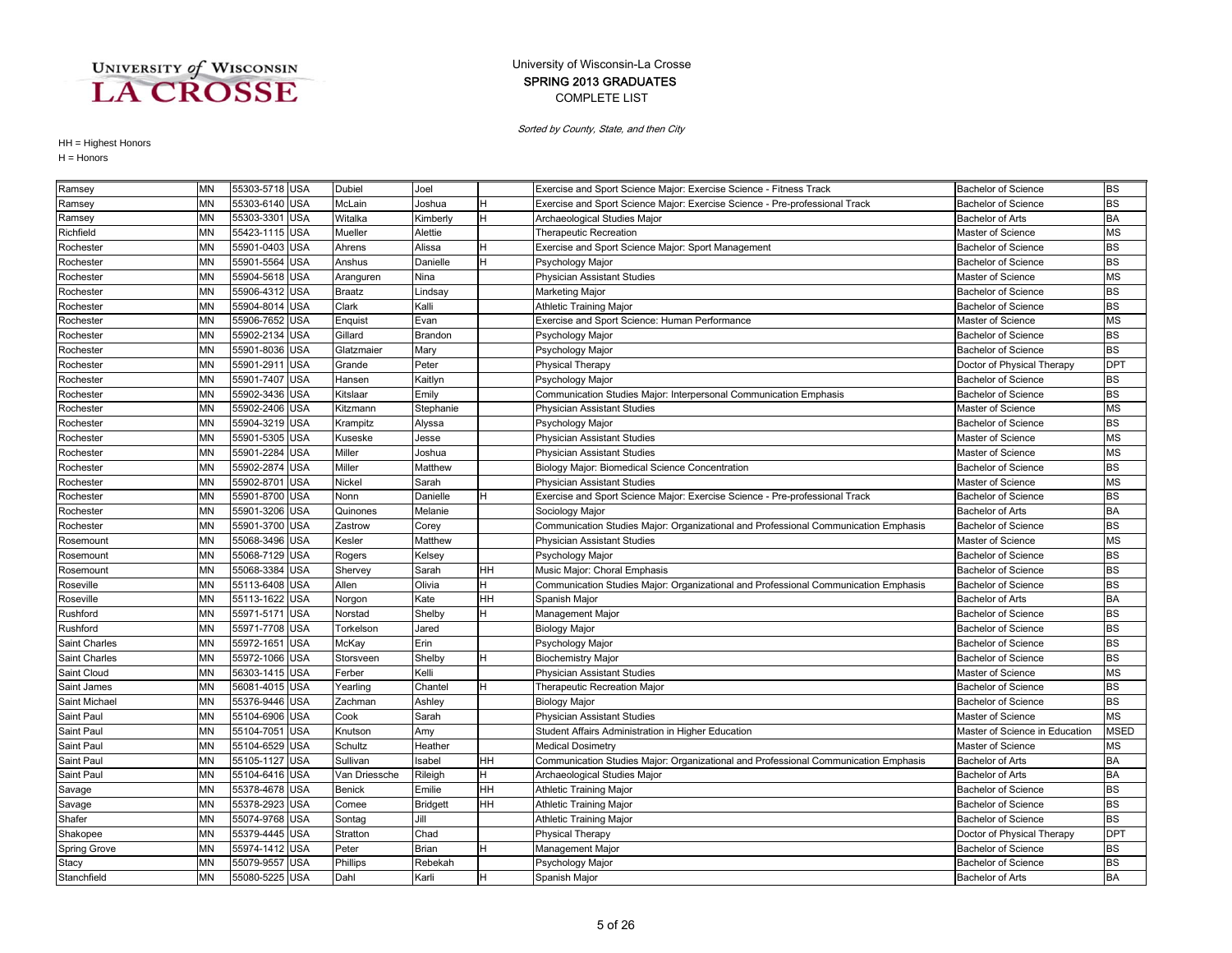### COMPLETE LIST SPRING 2013 GRADUATES University of Wisconsin-La Crosse

Sorted by County, State, and then City

| Ramsey              | MN        | 55303-5718 USA           | Dubiel        | Joel            |    | Exercise and Sport Science Major: Exercise Science - Fitness Track                  | <b>Bachelor of Science</b>     | <b>BS</b>   |
|---------------------|-----------|--------------------------|---------------|-----------------|----|-------------------------------------------------------------------------------------|--------------------------------|-------------|
| Ramsey              | <b>MN</b> | 55303-6140 USA           | McLain        | Joshua          |    | Exercise and Sport Science Major: Exercise Science - Pre-professional Track         | <b>Bachelor of Science</b>     | <b>BS</b>   |
| Ramsey              | MN        | 55303-3301 USA           | Witalka       | Kimberly        | н  | Archaeological Studies Major                                                        | Bachelor of Arts               | BA          |
| Richfield           | <b>MN</b> | 55423-1115 USA           | Mueller       | Alettie         |    | Therapeutic Recreation                                                              | Master of Science              | <b>MS</b>   |
| Rochester           | MN        | 55901-0403 USA           | Ahrens        | Alissa          |    | Exercise and Sport Science Major: Sport Management                                  | <b>Bachelor of Science</b>     | <b>BS</b>   |
| Rochester           | <b>MN</b> | 55901-5564 USA           | Anshus        | Danielle        |    | Psychology Major                                                                    | <b>Bachelor of Science</b>     | <b>BS</b>   |
| Rochester           | <b>MN</b> | 55904-5618 USA           | Aranguren     | Nina            |    | <b>Physician Assistant Studies</b>                                                  | Master of Science              | <b>MS</b>   |
| Rochester           | <b>MN</b> | 55906-4312 USA           | <b>Braatz</b> | Lindsay         |    | Marketing Major                                                                     | <b>Bachelor of Science</b>     | <b>BS</b>   |
| Rochester           | <b>MN</b> | 55904-801<br><b>USA</b>  | Clark         | Kalli           |    | <b>Athletic Training Major</b>                                                      | <b>Bachelor of Science</b>     | <b>BS</b>   |
| Rochester           | MΝ        | 55906-7652 USA           | Enquist       | Evan            |    | Exercise and Sport Science: Human Performance                                       | Master of Science              | <b>MS</b>   |
| Rochester           | MN        | 55902-2134 USA           | Gillard       | Brandon         |    | Psychology Major                                                                    | <b>Bachelor of Science</b>     | <b>BS</b>   |
| Rochester           | ΜN        | 55901-8036 USA           | Glatzmaier    | Mary            |    | Psychology Major                                                                    | <b>Bachelor of Science</b>     | <b>BS</b>   |
| Rochester           | MN        | 55901-2911<br><b>USA</b> | Grande        | Peter           |    | <b>Physical Therapy</b>                                                             | Doctor of Physical Therapy     | <b>DPT</b>  |
| Rochester           | MN        | 55901-7407 USA           | Hansen        | Kaitlyn         |    | Psychology Major                                                                    | <b>Bachelor of Science</b>     | <b>BS</b>   |
| Rochester           | MN        | 55902-3436 USA           | Kitslaar      | Emily           |    | Communication Studies Major: Interpersonal Communication Emphasis                   | Bachelor of Science            | <b>BS</b>   |
| Rochester           | <b>MN</b> | 55902-2406 USA           | Kitzmann      | Stephanie       |    | <b>Physician Assistant Studies</b>                                                  | Master of Science              | <b>MS</b>   |
| Rochester           | <b>MN</b> | 55904-3219 USA           | Krampitz      | Alyssa          |    | Psychology Major                                                                    | <b>Bachelor of Science</b>     | <b>BS</b>   |
| Rochester           | <b>MN</b> | 55901-5305 USA           | Kuseske       | Jesse           |    | Physician Assistant Studies                                                         | Master of Science              | <b>MS</b>   |
| Rochester           | <b>MN</b> | 55901-2284 USA           | Miller        | Joshua          |    | <b>Physician Assistant Studies</b>                                                  | Master of Science              | <b>MS</b>   |
| Rochester           | MN        | 55902-2874 USA           | Miller        | Matthew         |    | Biology Major: Biomedical Science Concentration                                     | Bachelor of Science            | <b>BS</b>   |
| Rochester           | MN        | 55902-8701 USA           | Nickel        | Sarah           |    | <b>Physician Assistant Studies</b>                                                  | Master of Science              | <b>MS</b>   |
| Rochester           | <b>MN</b> | 55901-8700 USA           | Nonn          | Danielle        |    | Exercise and Sport Science Major: Exercise Science - Pre-professional Track         | <b>Bachelor of Science</b>     | <b>BS</b>   |
| Rochester           | MN        | 55901-3206 USA           | Quinones      | Melanie         |    | Sociology Major                                                                     | <b>Bachelor of Arts</b>        | <b>BA</b>   |
| Rochester           | MN        | 55901-3700 USA           | Zastrow       | Corey           |    | Communication Studies Major: Organizational and Professional Communication Emphasis | <b>Bachelor of Science</b>     | <b>BS</b>   |
| Rosemount           | <b>MN</b> | 55068-3496 USA           | Kesler        | Matthew         |    | <b>Physician Assistant Studies</b>                                                  | Master of Science              | <b>MS</b>   |
| Rosemount           | MN        | 55068-7129 USA           | Rogers        | <b>Kelsey</b>   |    | Psychology Major                                                                    | <b>Bachelor of Science</b>     | <b>BS</b>   |
| Rosemount           | MN        | 55068-3384 USA           | Shervey       | Sarah           | HН | Music Major: Choral Emphasis                                                        | <b>Bachelor of Science</b>     | <b>BS</b>   |
| Roseville           | MN        | 55113-6408 USA           | Allen         | Olivia          | H. | Communication Studies Major: Organizational and Professional Communication Emphasis | <b>Bachelor of Science</b>     | <b>BS</b>   |
| Roseville           | MN        | 55113-1622 USA           | Norgon        | Kate            | HH | Spanish Major                                                                       | <b>Bachelor of Arts</b>        | <b>BA</b>   |
| Rushford            | ΜN        | 55971-5171<br><b>USA</b> | Norstad       | Shelby          | н  | Management Major                                                                    | <b>Bachelor of Science</b>     | <b>BS</b>   |
| Rushford            | MN        | 55971-7708 USA           | Torkelson     | Jared           |    | <b>Biology Major</b>                                                                | <b>Bachelor of Science</b>     | <b>BS</b>   |
| Saint Charles       | MN        | 55972-1651<br><b>USA</b> | McKay         | Erin            |    | Psychology Major                                                                    | <b>Bachelor of Science</b>     | <b>BS</b>   |
| Saint Charles       | <b>MN</b> | 55972-1066 USA           | Storsveen     | Shelby          |    | <b>Biochemistry Major</b>                                                           | <b>Bachelor of Science</b>     | <b>BS</b>   |
| Saint Cloud         | <b>MN</b> | 56303-1415 USA           | Ferber        | <b>Kelli</b>    |    | Physician Assistant Studies                                                         | Master of Science              | <b>MS</b>   |
| Saint James         | MN        | 56081-4015 USA           | Yearling      | Chantel         |    | Therapeutic Recreation Major                                                        | <b>Bachelor of Science</b>     | <b>BS</b>   |
| Saint Michael       | <b>MN</b> | 55376-9446 USA           | Zachman       | Ashley          |    | <b>Biology Major</b>                                                                | <b>Bachelor of Science</b>     | <b>BS</b>   |
| Saint Paul          | MN        | 55104-6906 USA           | Cook          | Sarah           |    | <b>Physician Assistant Studies</b>                                                  | Master of Science              | <b>MS</b>   |
| Saint Paul          | MN        | 55104-7051<br><b>USA</b> | Knutson       | Amy             |    | Student Affairs Administration in Higher Education                                  | Master of Science in Education | <b>MSED</b> |
| Saint Paul          | MN        | 55104-6529 USA           | Schultz       | Heather         |    | Medical Dosimetry                                                                   | Master of Science              | <b>MS</b>   |
| Saint Paul          | MN        | 55105-1127 USA           | Sullivan      | sabel           | HН | Communication Studies Major: Organizational and Professional Communication Emphasis | <b>Bachelor of Arts</b>        | <b>BA</b>   |
| Saint Paul          | MN        | 55104-6416 USA           | Van Driessche | Rileigh         | н  | Archaeological Studies Major                                                        | <b>Bachelor of Arts</b>        | <b>BA</b>   |
| Savage              | MN        | 55378-4678 USA           | Benick        | Emilie          | HН | Athletic Training Major                                                             | <b>Bachelor of Science</b>     | <b>BS</b>   |
| Savage              | MN        | 55378-2923 USA           | Comee         | <b>Bridgett</b> | HH | <b>Athletic Training Major</b>                                                      | <b>Bachelor of Science</b>     | <b>BS</b>   |
| Shafer              | MN        | 55074-9768 USA           | Sontag        | Jill            |    | <b>Athletic Training Major</b>                                                      | <b>Bachelor of Science</b>     | <b>BS</b>   |
| Shakopee            | <b>MN</b> | 55379-4445 USA           | Stratton      | Chad            |    | Physical Therapy                                                                    | Doctor of Physical Therapy     | <b>DPT</b>  |
| <b>Spring Grove</b> | <b>MN</b> | 55974-1412 USA           | Peter         | Brian           | н  | Management Major                                                                    | <b>Bachelor of Science</b>     | <b>BS</b>   |
| Stacy               | <b>MN</b> | 55079-9557 USA           | Phillips      | Rebekah         |    | Psychology Major                                                                    | <b>Bachelor of Science</b>     | <b>BS</b>   |
| Stanchfield         | <b>MN</b> | 55080-5225 USA           | Dahl          | Karli           | H. | Spanish Major                                                                       | <b>Bachelor of Arts</b>        | <b>BA</b>   |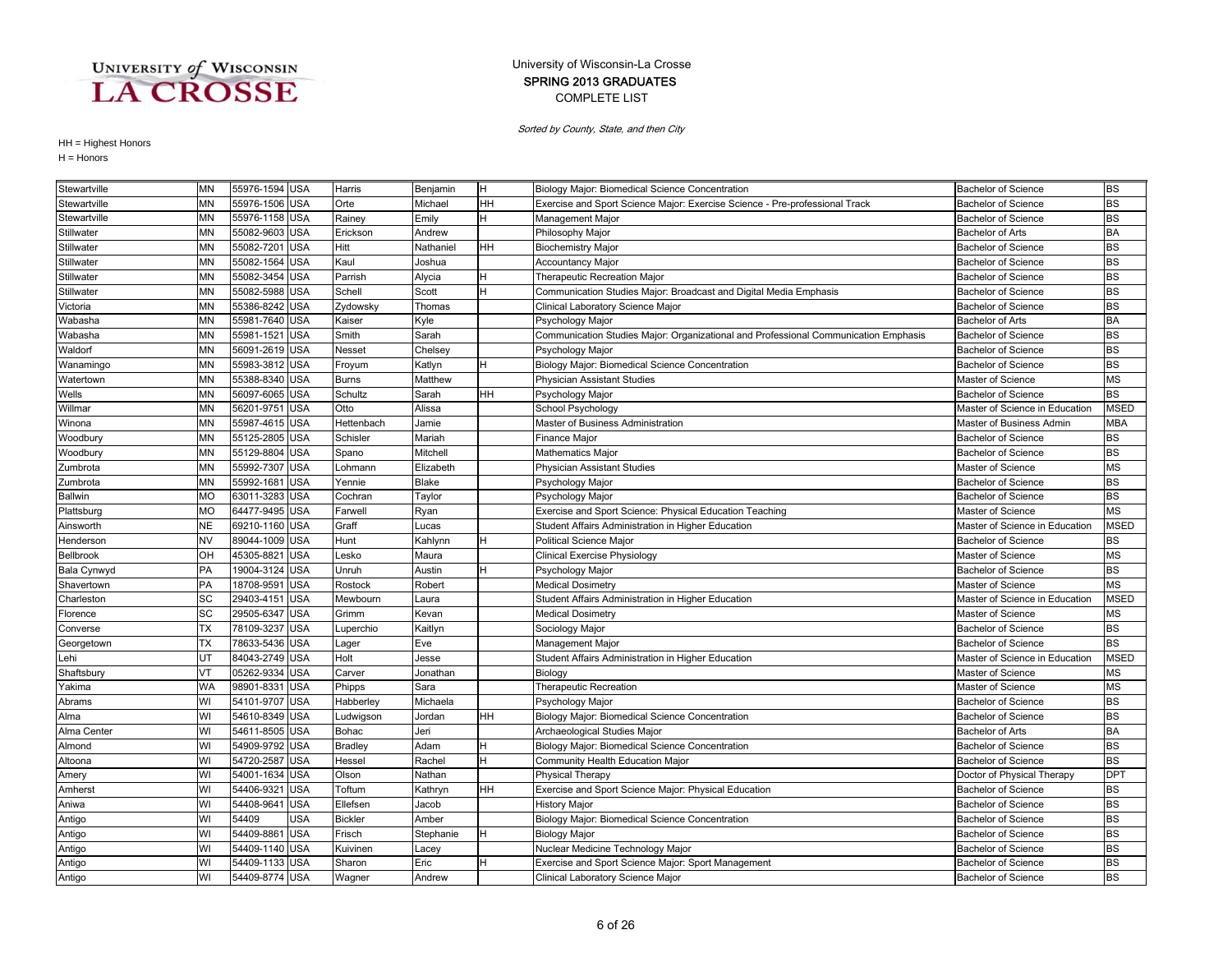### COMPLETE LIST SPRING 2013 GRADUATES University of Wisconsin-La Crosse

Sorted by County, State, and then City

| Stewartville     | ΜN        | 55976-1594 USA |            | Harris         | Benjamin  | lH. | Biology Major: Biomedical Science Concentration                                     | <b>Bachelor of Science</b>     | <b>BS</b>   |
|------------------|-----------|----------------|------------|----------------|-----------|-----|-------------------------------------------------------------------------------------|--------------------------------|-------------|
| Stewartville     | MN        | 55976-1506 USA |            | Orte           | Michael   | HН  | Exercise and Sport Science Major: Exercise Science - Pre-professional Track         | Bachelor of Science            | <b>BS</b>   |
| Stewartville     | MN        | 55976-1158 USA |            | Rainey         | Emily     | н   | Management Major                                                                    | <b>Bachelor of Science</b>     | <b>BS</b>   |
| Stillwater       | <b>MN</b> | 55082-9603 USA |            | Erickson       | Andrew    |     | Philosophy Major                                                                    | <b>Bachelor of Arts</b>        | <b>BA</b>   |
| Stillwater       | <b>MN</b> | 55082-7201     | <b>USA</b> | Hitt           | Nathaniel | HH  | <b>Biochemistry Major</b>                                                           | <b>Bachelor of Science</b>     | <b>BS</b>   |
| Stillwater       | <b>MN</b> | 55082-1564     | <b>USA</b> | Kaul           | Joshua    |     | Accountancy Major                                                                   | <b>Bachelor of Science</b>     | <b>BS</b>   |
| Stillwater       | <b>MN</b> | 55082-3454     | <b>USA</b> | Parrish        | Alycia    | н   | Therapeutic Recreation Major                                                        | <b>Bachelor of Science</b>     | <b>BS</b>   |
| Stillwater       | <b>MN</b> | 55082-5988     | <b>USA</b> | Schell         | Scott     | н   | Communication Studies Major: Broadcast and Digital Media Emphasis                   | <b>Bachelor of Science</b>     | <b>BS</b>   |
| Victoria         | <b>MN</b> | 55386-8242     | <b>USA</b> | Zydowsky       | Thomas    |     | Clinical Laboratory Science Major                                                   | <b>Bachelor of Science</b>     | <b>BS</b>   |
| Wabasha          | MN        | 55981-7640     | <b>USA</b> | Kaiser         | Kyle      |     | Psychology Major                                                                    | <b>Bachelor of Arts</b>        | <b>BA</b>   |
| Wabasha          | <b>MN</b> | 55981-1521 USA |            | Smith          | Sarah     |     | Communication Studies Major: Organizational and Professional Communication Emphasis | <b>Bachelor of Science</b>     | <b>BS</b>   |
| Waldorf          | <b>MN</b> | 56091-2619 USA |            | Nesset         | Chelsey   |     | Psychology Major                                                                    | <b>Bachelor of Science</b>     | <b>BS</b>   |
| Wanamingo        | <b>MN</b> | 55983-3812 USA |            | Froyum         | Katlyn    | н   | Biology Major: Biomedical Science Concentration                                     | <b>Bachelor of Science</b>     | <b>BS</b>   |
| Watertown        | <b>MN</b> | 55388-8340     | <b>USA</b> | Burns          | Matthew   |     | <b>Physician Assistant Studies</b>                                                  | Master of Science              | <b>MS</b>   |
| Wells            | <b>MN</b> | 56097-6065     | <b>USA</b> | Schultz        | Sarah     | HH  | Psychology Major                                                                    | <b>Bachelor of Science</b>     | <b>BS</b>   |
| Willmar          | <b>MN</b> | 56201-9751     | <b>USA</b> | Otto           | Alissa    |     | School Psychology                                                                   | Master of Science in Education | <b>MSED</b> |
| Winona           | <b>MN</b> | 55987-4615     | <b>USA</b> | Hettenbach     | Jamie     |     | Master of Business Administration                                                   | Master of Business Admin       | <b>MBA</b>  |
| Woodbury         | <b>MN</b> | 55125-2805     | <b>USA</b> | Schisler       | Mariah    |     | <b>Finance Major</b>                                                                | <b>Bachelor of Science</b>     | <b>BS</b>   |
| Woodbury         | MN        | 55129-8804     | <b>USA</b> | Spano          | Mitchell  |     | Mathematics Major                                                                   | <b>Bachelor of Science</b>     | <b>BS</b>   |
| Zumbrota         | <b>MN</b> | 55992-7307     | <b>USA</b> | Lohmann        | Elizabeth |     | Physician Assistant Studies                                                         | Master of Science              | <b>MS</b>   |
| Zumbrota         | <b>MN</b> | 55992-1681     | <b>USA</b> | Yennie         | Blake     |     | Psychology Major                                                                    | <b>Bachelor of Science</b>     | <b>BS</b>   |
| <b>Ballwin</b>   | <b>MO</b> | 63011-3283     | <b>USA</b> | Cochran        | Taylor    |     | Psychology Major                                                                    | <b>Bachelor of Science</b>     | <b>BS</b>   |
| Plattsburg       | <b>MO</b> | 64477-9495     | <b>USA</b> | Farwell        | Ryan      |     | Exercise and Sport Science: Physical Education Teaching                             | Master of Science              | <b>MS</b>   |
| Ainsworth        | <b>NE</b> | 69210-1160     | <b>USA</b> | Graff          | Lucas     |     | Student Affairs Administration in Higher Education                                  | Master of Science in Education | <b>MSED</b> |
| Henderson        | <b>NV</b> | 89044-1009     | <b>USA</b> | Hunt           | Kahlynn   | н   | <b>Political Science Major</b>                                                      | <b>Bachelor of Science</b>     | <b>BS</b>   |
| <b>Bellbrook</b> | OH        | 45305-8821     | <b>USA</b> | Lesko          | Maura     |     | Clinical Exercise Physiology                                                        | Master of Science              | <b>MS</b>   |
| Bala Cynwyd      | PA        | 19004-3124     | <b>USA</b> | Unruh          | Austin    |     | Psychology Major                                                                    | <b>Bachelor of Science</b>     | <b>BS</b>   |
| Shavertown       | PA        | 18708-9591     | <b>USA</b> | Rostock        | Robert    |     | <b>Medical Dosimetry</b>                                                            | Master of Science              | <b>MS</b>   |
| Charleston       | SC        | 29403-4151     | <b>USA</b> | Mewbourn       | Laura     |     | Student Affairs Administration in Higher Education                                  | Master of Science in Education | <b>MSED</b> |
| Florence         | <b>SC</b> | 29505-6347     | <b>USA</b> | Grimm          | Kevan     |     | <b>Medical Dosimetry</b>                                                            | Master of Science              | <b>MS</b>   |
| Converse         | <b>TX</b> | 78109-3237     | <b>USA</b> | uperchio.      | Kaitlyn   |     | Sociology Major                                                                     | <b>Bachelor of Science</b>     | <b>BS</b>   |
| Georgetown       | <b>TX</b> | 78633-5436     | <b>USA</b> | Lager          | Eve       |     | Management Major                                                                    | <b>Bachelor of Science</b>     | <b>BS</b>   |
| Lehi             | UT        | 84043-2749     | <b>USA</b> | Holt           | Jesse     |     | Student Affairs Administration in Higher Education                                  | Master of Science in Education | <b>MSED</b> |
| Shaftsbury       | VT        | 05262-9334     | <b>USA</b> | Carver         | Jonathan  |     | Biology                                                                             | Master of Science              | <b>MS</b>   |
| Yakima           | WA        | 98901-833      | <b>USA</b> | Phipps         | Sara      |     | Therapeutic Recreation                                                              | Master of Science              | <b>MS</b>   |
| Abrams           | WI        | 54101-9707     | <b>USA</b> | Habberley      | Michaela  |     | Psychology Major                                                                    | <b>Bachelor of Science</b>     | <b>BS</b>   |
| Alma             | WI        | 54610-8349 USA |            | udwigson_      | Jordan    | HН  | Biology Major: Biomedical Science Concentration                                     | <b>Bachelor of Science</b>     | <b>BS</b>   |
| Alma Center      | WI        | 54611-8505 USA |            | Bohac          | Jeri      |     | Archaeological Studies Major                                                        | <b>Bachelor of Arts</b>        | <b>BA</b>   |
| Almond           | WI        | 54909-9792     | <b>USA</b> | <b>Bradley</b> | Adam      |     | Biology Major: Biomedical Science Concentration                                     | <b>Bachelor of Science</b>     | <b>BS</b>   |
| Altoona          | WI        | 54720-2587     | <b>USA</b> | Hessel         | Rachel    | н   | Community Health Education Major                                                    | <b>Bachelor of Science</b>     | <b>BS</b>   |
| Amery            | WI        | 54001-1634     | <b>USA</b> | Olson          | Nathan    |     | Physical Therapy                                                                    | Doctor of Physical Therapy     | <b>DPT</b>  |
| Amherst          | WI        | 54406-932      | <b>USA</b> | Toftum         | Kathryn   | HH  | Exercise and Sport Science Major: Physical Education                                | <b>Bachelor of Science</b>     | <b>BS</b>   |
| Aniwa            | WI        | 54408-964      | USA        | Ellefsen       | Jacob     |     | <b>History Major</b>                                                                | Bachelor of Science            | <b>BS</b>   |
| Antigo           | WI        | 54409          | USA        | <b>Bickler</b> | Amber     |     | Biology Major: Biomedical Science Concentration                                     | <b>Bachelor of Science</b>     | <b>BS</b>   |
| Antigo           | WI        | 54409-8861 USA |            | Frisch         | Stephanie | H   | <b>Biology Major</b>                                                                | <b>Bachelor of Science</b>     | <b>BS</b>   |
| Antigo           | WI        | 54409-1140 USA |            | Kuivinen       | Lacey     |     | Nuclear Medicine Technology Major                                                   | <b>Bachelor of Science</b>     | <b>BS</b>   |
| Antigo           | WI        | 54409-1133 USA |            | Sharon         | Eric      |     | Exercise and Sport Science Major: Sport Management                                  | <b>Bachelor of Science</b>     | <b>BS</b>   |
| Antigo           | WI        | 54409-8774 USA |            | Wagner         | Andrew    |     | Clinical Laboratory Science Major                                                   | <b>Bachelor of Science</b>     | <b>BS</b>   |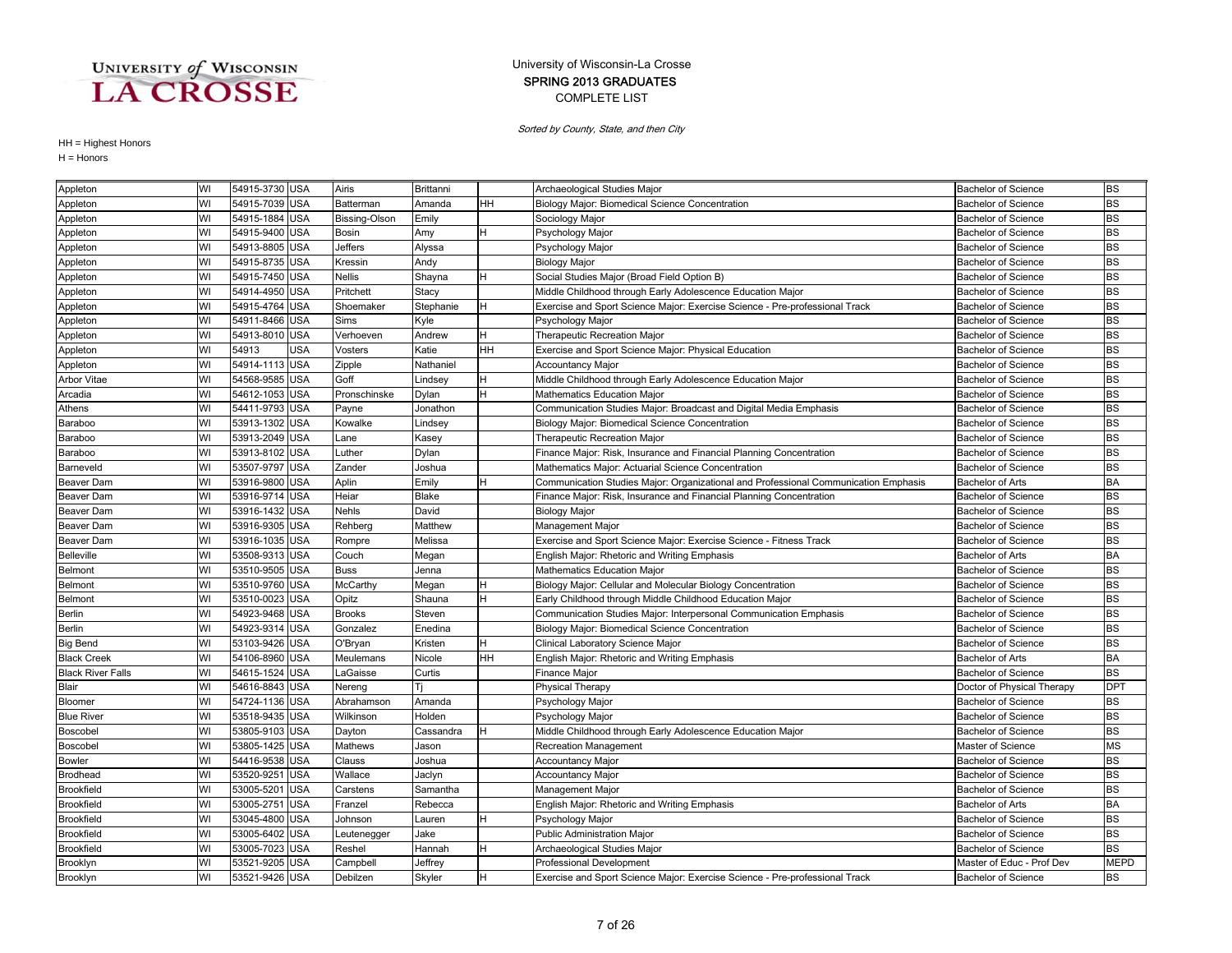### COMPLETE LIST SPRING 2013 GRADUATES University of Wisconsin-La Crosse

Sorted by County, State, and then City

| Appleton                 | WI | 54915-3730 USA           | Airis           | Brittanni    |    | Archaeological Studies Major                                                        | <b>Bachelor of Science</b> | <b>BS</b>   |
|--------------------------|----|--------------------------|-----------------|--------------|----|-------------------------------------------------------------------------------------|----------------------------|-------------|
| Appleton                 | WI | 54915-7039 USA           | Batterman       | Amanda       | HН | Biology Major: Biomedical Science Concentration                                     | <b>Bachelor of Science</b> | <b>BS</b>   |
| Appleton                 | WI | 54915-1884 USA           | Bissing-Olson   | Emily        |    | Sociology Major                                                                     | <b>Bachelor of Science</b> | <b>BS</b>   |
| Appleton                 | WI | 54915-9400 USA           | <b>Bosin</b>    | Amy          | н  | Psychology Major                                                                    | <b>Bachelor of Science</b> | <b>BS</b>   |
| Appleton                 | WI | 54913-8805 USA           | <b>Jeffers</b>  | Alyssa       |    | Psychology Major                                                                    | <b>Bachelor of Science</b> | <b>BS</b>   |
| Appleton                 | WI | 54915-8735 USA           | Kressin         | Andy         |    | <b>Biology Major</b>                                                                | <b>Bachelor of Science</b> | <b>BS</b>   |
| Appleton                 | WI | 54915-7450 USA           | <b>Nellis</b>   | Shayna       |    | Social Studies Major (Broad Field Option B)                                         | <b>Bachelor of Science</b> | <b>BS</b>   |
| Appleton                 | WI | 54914-4950 USA           | Pritchett       | Stacy        |    | Middle Childhood through Early Adolescence Education Major                          | <b>Bachelor of Science</b> | <b>BS</b>   |
| Appleton                 | WI | 54915-4764 USA           | Shoemaker       | Stephanie    |    | Exercise and Sport Science Major: Exercise Science - Pre-professional Track         | <b>Bachelor of Science</b> | <b>BS</b>   |
| Appleton                 | WI | 54911-8466 USA           | Sims            | Kyle         |    | Psychology Major                                                                    | <b>Bachelor of Science</b> | <b>BS</b>   |
| Appleton                 | WI | 54913-8010 USA           | Verhoeven       | Andrew       | н  | Therapeutic Recreation Major                                                        | <b>Bachelor of Science</b> | <b>BS</b>   |
| Appleton                 | WI | 54913<br><b>USA</b>      | Vosters         | Katie        | HН | Exercise and Sport Science Major: Physical Education                                | <b>Bachelor of Science</b> | <b>BS</b>   |
| Appleton                 | WI | 54914-1113 USA           | Zipple          | Nathaniel    |    | <b>Accountancy Major</b>                                                            | <b>Bachelor of Science</b> | <b>BS</b>   |
| <b>Arbor Vitae</b>       | WI | 54568-9585 USA           | Goff            | Lindsey      | н  | Middle Childhood through Early Adolescence Education Major                          | <b>Bachelor of Science</b> | <b>BS</b>   |
| Arcadia                  | WI | 54612-1053 USA           | Pronschinske    | Dylan        | H. | <b>Mathematics Education Major</b>                                                  | <b>Bachelor of Science</b> | <b>BS</b>   |
| Athens                   | WI | 54411-9793 USA           | Payne           | Jonathon     |    | Communication Studies Major: Broadcast and Digital Media Emphasis                   | <b>Bachelor of Science</b> | <b>BS</b>   |
| Baraboo                  | WI | 53913-1302 USA           | Kowalke         | Lindsey      |    | Biology Major: Biomedical Science Concentration                                     | <b>Bachelor of Science</b> | <b>BS</b>   |
| Baraboo                  | WI | 53913-2049 USA           | Lane            | Kasey        |    | Therapeutic Recreation Major                                                        | <b>Bachelor of Science</b> | <b>BS</b>   |
| Baraboo                  | WI | 53913-8102 USA           | Luther          | Dylan        |    | Finance Major: Risk, Insurance and Financial Planning Concentration                 | <b>Bachelor of Science</b> | <b>BS</b>   |
| Barneveld                | WI | 53507-9797 USA           | Zander          | Joshua       |    | Mathematics Major: Actuarial Science Concentration                                  | <b>Bachelor of Science</b> | <b>BS</b>   |
| <b>Beaver Dam</b>        | WI | 53916-9800 USA           | Aplin           | Emily        |    | Communication Studies Major: Organizational and Professional Communication Emphasis | <b>Bachelor of Arts</b>    | <b>BA</b>   |
| Beaver Dam               | WI | 53916-9714 USA           | Heiar           | <b>Blake</b> |    | Finance Major: Risk, Insurance and Financial Planning Concentration                 | <b>Bachelor of Science</b> | <b>BS</b>   |
| <b>Beaver Dam</b>        | WI | 53916-1432 USA           | <b>Nehls</b>    | David        |    | <b>Biology Major</b>                                                                | <b>Bachelor of Science</b> | <b>BS</b>   |
| <b>Beaver Dam</b>        | WI | 53916-9305 USA           | Rehberg         | Matthew      |    | <b>Management Major</b>                                                             | <b>Bachelor of Science</b> | <b>BS</b>   |
| Beaver Dam               | WI | 53916-1035 USA           | Rompre          | Melissa      |    | Exercise and Sport Science Major: Exercise Science - Fitness Track                  | Bachelor of Science        | <b>BS</b>   |
| <b>Belleville</b>        | WI | 53508-9313 USA           | Couch           | Megan        |    | English Major: Rhetoric and Writing Emphasis                                        | Bachelor of Arts           | <b>BA</b>   |
| Belmont                  | WI | 53510-9505 USA           | <b>Buss</b>     | Jenna        |    | Mathematics Education Major                                                         | <b>Bachelor of Science</b> | <b>BS</b>   |
| <b>Belmont</b>           | WI | 53510-9760 USA           | <b>McCarthy</b> | Megan        |    | Biology Major: Cellular and Molecular Biology Concentration                         | <b>Bachelor of Science</b> | <b>BS</b>   |
| Belmont                  | WI | 53510-0023 USA           | Opitz           | Shauna       |    | Early Childhood through Middle Childhood Education Major                            | <b>Bachelor of Science</b> | <b>BS</b>   |
| <b>Berlin</b>            | WI | 54923-9468 USA           | <b>Brooks</b>   | Steven       |    | Communication Studies Major: Interpersonal Communication Emphasis                   | <b>Bachelor of Science</b> | <b>BS</b>   |
| <b>Berlin</b>            | WI | 54923-931<br><b>USA</b>  | Gonzalez        | Enedina      |    | Biology Major: Biomedical Science Concentration                                     | <b>Bachelor of Science</b> | <b>BS</b>   |
| <b>Big Bend</b>          | WI | 53103-9426 USA           | O'Bryan         | Kristen      |    | Clinical Laboratory Science Major                                                   | <b>Bachelor of Science</b> | <b>BS</b>   |
| <b>Black Creek</b>       | WI | 54106-8960 USA           | Meulemans       | Nicole       | HН | English Major: Rhetoric and Writing Emphasis                                        | <b>Bachelor of Arts</b>    | <b>BA</b>   |
| <b>Black River Falls</b> | WI | 54615-1524 USA           | LaGaisse        | Curtis       |    | Finance Major                                                                       | <b>Bachelor of Science</b> | <b>BS</b>   |
| <b>Blair</b>             | WI | 54616-8843 USA           | Nereng          | Γi           |    | <b>Physical Therapy</b>                                                             | Doctor of Physical Therapy | <b>DPT</b>  |
| Bloomer                  | WI | 54724-1136 USA           | Abrahamson      | Amanda       |    | Psychology Major                                                                    | <b>Bachelor of Science</b> | <b>BS</b>   |
| <b>Blue River</b>        | WI | 53518-9435 USA           | Wilkinson       | Holden       |    | Psychology Major                                                                    | <b>Bachelor of Science</b> | <b>BS</b>   |
| Boscobel                 | WI | 53805-9103 USA           | Dayton          | Cassandra    |    | Middle Childhood through Early Adolescence Education Major                          | <b>Bachelor of Science</b> | <b>BS</b>   |
| Boscobel                 | WI | 53805-1425 USA           | Mathews         | Jason        |    | <b>Recreation Management</b>                                                        | Master of Science          | <b>MS</b>   |
| Bowler                   | WI | 54416-9538 USA           | Clauss          | Joshua       |    | Accountancy Major                                                                   | Bachelor of Science        | <b>BS</b>   |
| <b>Brodhead</b>          | WI | 53520-9251<br><b>USA</b> | Wallace         | Jaclyn       |    | Accountancy Major                                                                   | <b>Bachelor of Science</b> | <b>BS</b>   |
| <b>Brookfield</b>        | WI | <b>USA</b><br>53005-5201 | Carstens        | Samantha     |    | Management Major                                                                    | <b>Bachelor of Science</b> | <b>BS</b>   |
| Brookfield               | WI | 53005-2751 USA           | Franzel         | Rebecca      |    | English Major: Rhetoric and Writing Emphasis                                        | <b>Bachelor of Arts</b>    | <b>BA</b>   |
| <b>Brookfield</b>        | WI | 53045-4800 USA           | Johnson         | Lauren       | н  | Psychology Major                                                                    | <b>Bachelor of Science</b> | <b>BS</b>   |
| Brookfield               | WI | 53005-6402 USA           | Leutenegger     | Jake         |    | Public Administration Major                                                         | <b>Bachelor of Science</b> | <b>BS</b>   |
| <b>Brookfield</b>        | WI | 53005-7023 USA           | Reshel          | Hannah       |    | Archaeological Studies Major                                                        | <b>Bachelor of Science</b> | <b>BS</b>   |
| Brooklyn                 | WI | 53521-9205 USA           | Campbell        | Jeffrey      |    | <b>Professional Development</b>                                                     | Master of Educ - Prof Dev  | <b>MEPD</b> |
| Brooklyn                 | WI | 53521-9426 USA           | Debilzen        | Skyler       |    | Exercise and Sport Science Major: Exercise Science - Pre-professional Track         | <b>Bachelor of Science</b> | <b>BS</b>   |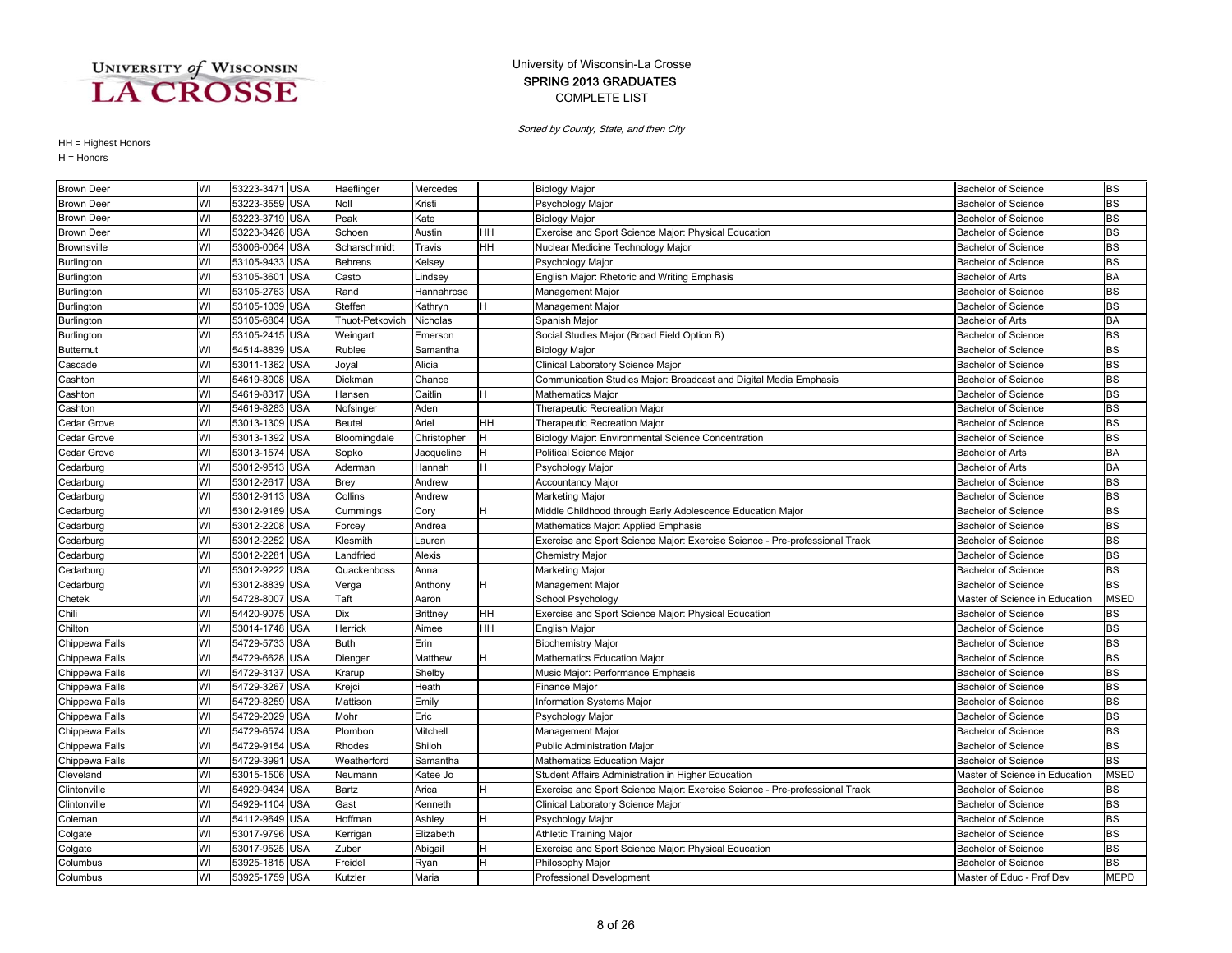### COMPLETE LIST SPRING 2013 GRADUATES University of Wisconsin-La Crosse

Sorted by County, State, and then City

| <b>Brown Deer</b>  | WI | 53223-3471 USA |            | Haeflinger      | Mercedes        |    | <b>Biology Major</b>                                                        | <b>Bachelor of Science</b>     | <b>BS</b>   |
|--------------------|----|----------------|------------|-----------------|-----------------|----|-----------------------------------------------------------------------------|--------------------------------|-------------|
| <b>Brown Deer</b>  | WI | 53223-3559 USA |            | Noll            | Kristi          |    | Psychology Major                                                            | <b>Bachelor of Science</b>     | <b>BS</b>   |
| <b>Brown Deer</b>  | WI | 53223-3719 USA |            | Peak            | Kate            |    | <b>Biology Major</b>                                                        | <b>Bachelor of Science</b>     | <b>BS</b>   |
| <b>Brown Deer</b>  | WI | 53223-3426     | <b>USA</b> | Schoen          | Austin          | HН | Exercise and Sport Science Major: Physical Education                        | <b>Bachelor of Science</b>     | <b>BS</b>   |
| <b>Brownsville</b> | WI | 53006-0064     | <b>USA</b> | Scharschmidt    | Travis          | HН | Nuclear Medicine Technology Major                                           | <b>Bachelor of Science</b>     | <b>BS</b>   |
| Burlington         | WI | 53105-9433 USA |            | <b>Behrens</b>  | Kelsey          |    | Psychology Major                                                            | <b>Bachelor of Science</b>     | <b>BS</b>   |
| Burlington         | WI | 53105-3601     | <b>USA</b> | Casto           | Lindsey         |    | English Major: Rhetoric and Writing Emphasis                                | <b>Bachelor of Arts</b>        | <b>BA</b>   |
| Burlington         | WI | 53105-2763     | <b>USA</b> | Rand            | Hannahrose      |    | Management Major                                                            | <b>Bachelor of Science</b>     | <b>BS</b>   |
| Burlington         | WI | 53105-1039 USA |            | Steffen         | Kathryn         | H  | Management Major                                                            | Bachelor of Science            | <b>BS</b>   |
| Burlington         | WI | 53105-6804     | <b>USA</b> | Thuot-Petkovich | Nicholas        |    | Spanish Major                                                               | <b>Bachelor of Arts</b>        | <b>BA</b>   |
| Burlington         | WI | 53105-2415     | <b>USA</b> | Weingart        | Emerson         |    | Social Studies Major (Broad Field Option B)                                 | <b>Bachelor of Science</b>     | <b>BS</b>   |
| <b>Butternut</b>   | WI | 54514-8839     | <b>USA</b> | Rublee          | Samantha        |    | <b>Biology Major</b>                                                        | <b>Bachelor of Science</b>     | <b>BS</b>   |
| Cascade            | WI | 53011-1362     | <b>USA</b> | Joyal           | Alicia          |    | Clinical Laboratory Science Major                                           | <b>Bachelor of Science</b>     | <b>BS</b>   |
| Cashton            | WI | 54619-8008 USA |            | Dickman         | Chance          |    | Communication Studies Major: Broadcast and Digital Media Emphasis           | <b>Bachelor of Science</b>     | <b>BS</b>   |
| Cashton            | WI | 54619-8317 USA |            | Hansen          | Caitlin         | н  | Mathematics Major                                                           | <b>Bachelor of Science</b>     | <b>BS</b>   |
| Cashton            | WI | 54619-8283     | <b>USA</b> | Nofsinger       | Aden            |    | <b>Therapeutic Recreation Major</b>                                         | <b>Bachelor of Science</b>     | <b>BS</b>   |
| Cedar Grove        | WI | 53013-1309     | <b>USA</b> | Beutel          | Ariel           | HH | <b>Therapeutic Recreation Major</b>                                         | <b>Bachelor of Science</b>     | <b>BS</b>   |
| Cedar Grove        | WI | 53013-1392     | <b>USA</b> | Bloomingdale    | Christopher     | H  | Biology Major: Environmental Science Concentration                          | <b>Bachelor of Science</b>     | <b>BS</b>   |
| Cedar Grove        | WI | 53013-1574     | <b>USA</b> | Sopko           | Jacqueline      | н  | Political Science Major                                                     | <b>Bachelor of Arts</b>        | <b>BA</b>   |
| Cedarburg          | WI | 53012-9513     | <b>USA</b> | Aderman         | Hannah          | H  | Psychology Major                                                            | <b>Bachelor of Arts</b>        | <b>BA</b>   |
| Cedarburg          | WI | 53012-2617 USA |            | <b>Brey</b>     | Andrew          |    | <b>Accountancy Major</b>                                                    | <b>Bachelor of Science</b>     | <b>BS</b>   |
| Cedarburg          | WI | 53012-9113 USA |            | Collins         | Andrew          |    | Marketing Major                                                             | <b>Bachelor of Science</b>     | <b>BS</b>   |
| Cedarburg          | WI | 53012-9169 USA |            | Cummings        | Cory            | H  | Middle Childhood through Early Adolescence Education Major                  | <b>Bachelor of Science</b>     | <b>BS</b>   |
| Cedarburg          | WI | 53012-2208     | <b>USA</b> | Forcey          | Andrea          |    | Mathematics Major: Applied Emphasis                                         | <b>Bachelor of Science</b>     | <b>BS</b>   |
| Cedarburg          | WI | 53012-2252     | <b>USA</b> | Klesmith        | Lauren          |    | Exercise and Sport Science Major: Exercise Science - Pre-professional Track | <b>Bachelor of Science</b>     | <b>BS</b>   |
| Cedarburg          | WI | 53012-2281     | <b>USA</b> | Landfried       | Alexis          |    | Chemistry Major                                                             | <b>Bachelor of Science</b>     | <b>BS</b>   |
| Cedarburg          | WI | 53012-9222     | <b>USA</b> | Quackenboss     | Anna            |    | Marketing Major                                                             | <b>Bachelor of Science</b>     | <b>BS</b>   |
| Cedarburg          | WI | 53012-8839     | USA        | Verga           | Anthony         | н  | Management Major                                                            | <b>Bachelor of Science</b>     | <b>BS</b>   |
| Chetek             | WI | 54728-8007     | <b>USA</b> | Taft            | Aaron           |    | School Psychology                                                           | Master of Science in Education | <b>MSED</b> |
| Chili              | WI | 54420-9075     | <b>USA</b> | Dix             | <b>Brittney</b> | HH | Exercise and Sport Science Major: Physical Education                        | <b>Bachelor of Science</b>     | <b>BS</b>   |
| Chilton            | WI | 53014-1748 USA |            | Herrick         | Aimee           | HH | English Major                                                               | <b>Bachelor of Science</b>     | <b>BS</b>   |
| Chippewa Falls     | WI | 54729-5733 USA |            | Buth            | Erin            |    | <b>Biochemistry Major</b>                                                   | <b>Bachelor of Science</b>     | <b>BS</b>   |
| Chippewa Falls     | WI | 54729-6628     | <b>USA</b> | Dienger         | Matthew         | H. | Mathematics Education Major                                                 | <b>Bachelor of Science</b>     | <b>BS</b>   |
| Chippewa Falls     | WI | 54729-3137     | <b>USA</b> | Krarup          | Shelby          |    | Music Major: Performance Emphasis                                           | <b>Bachelor of Science</b>     | <b>BS</b>   |
| Chippewa Falls     | WI | 54729-3267     | <b>USA</b> | Krejci          | Heath           |    | <b>Finance Major</b>                                                        | <b>Bachelor of Science</b>     | <b>BS</b>   |
| Chippewa Falls     | WI | 54729-8259     | <b>USA</b> | Mattison        | Emily           |    | <b>Information Systems Major</b>                                            | <b>Bachelor of Science</b>     | <b>BS</b>   |
| Chippewa Falls     | WI | 54729-2029     | <b>USA</b> | Mohr            | Eric            |    | Psychology Major                                                            | <b>Bachelor of Science</b>     | <b>BS</b>   |
| Chippewa Falls     | WI | 54729-6574     | <b>USA</b> | Plombon         | Mitchell        |    | Management Major                                                            | <b>Bachelor of Science</b>     | <b>BS</b>   |
| Chippewa Falls     | WI | 54729-9154     | <b>USA</b> | Rhodes          | Shiloh          |    | <b>Public Administration Major</b>                                          | <b>Bachelor of Science</b>     | <b>BS</b>   |
| Chippewa Falls     | WI | 54729-3991     | USA        | Weatherford     | Samantha        |    | Mathematics Education Major                                                 | <b>Bachelor of Science</b>     | <b>BS</b>   |
| Cleveland          | WI | 53015-1506     | <b>USA</b> | Neumann         | Katee Jo        |    | Student Affairs Administration in Higher Education                          | Master of Science in Education | <b>MSED</b> |
| Clintonville       | WI | 54929-9434     | <b>USA</b> | Bartz           | Arica           | H  | Exercise and Sport Science Major: Exercise Science - Pre-professional Track | <b>Bachelor of Science</b>     | <b>BS</b>   |
| Clintonville       | WI | 54929-1104     | <b>USA</b> | Gast            | Kenneth         |    | Clinical Laboratory Science Major                                           | <b>Bachelor of Science</b>     | <b>BS</b>   |
| Coleman            | WI | 54112-9649     | <b>USA</b> | Hoffman         | Ashley          | н  | Psychology Major                                                            | <b>Bachelor of Science</b>     | <b>BS</b>   |
| Colgate            | WI | 53017-9796     | <b>USA</b> | Kerrigan        | Elizabeth       |    | <b>Athletic Training Major</b>                                              | <b>Bachelor of Science</b>     | <b>BS</b>   |
| Colgate            | WI | 53017-9525 USA |            | Zuber           | Abigail         |    | Exercise and Sport Science Major: Physical Education                        | <b>Bachelor of Science</b>     | <b>BS</b>   |
| Columbus           | WI | 53925-1815 USA |            | Freidel         | Ryan            |    | Philosophy Major                                                            | <b>Bachelor of Science</b>     | BS          |
| Columbus           | WI | 53925-1759 USA |            | Kutzler         | Maria           |    | <b>Professional Development</b>                                             | Master of Educ - Prof Dev      | <b>MEPD</b> |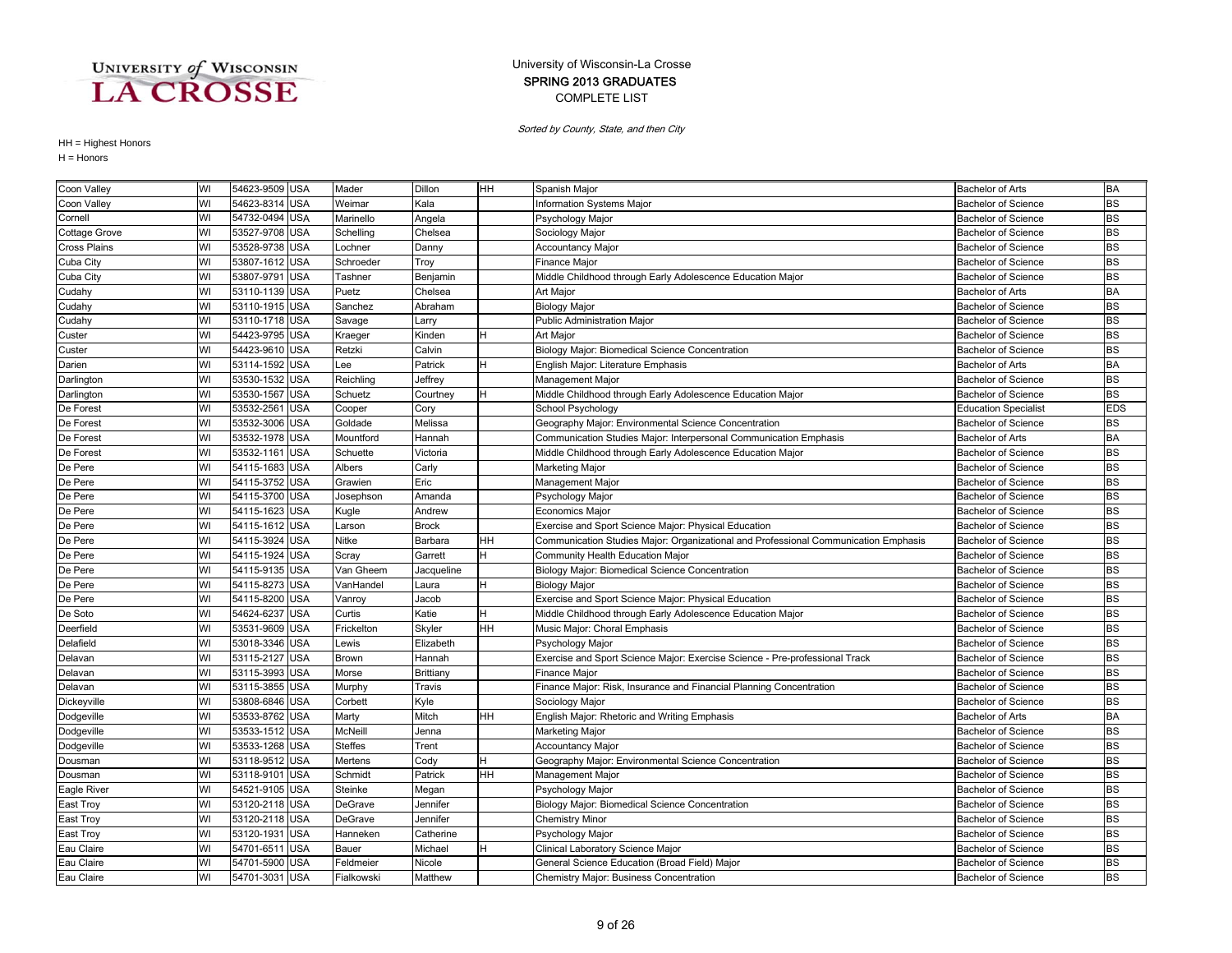### COMPLETE LIST SPRING 2013 GRADUATES University of Wisconsin-La Crosse

Sorted by County, State, and then City

| Coon Valley   | WI | 54623-9509 USA |            | Mader          | Dillon       | HH        | Spanish Major                                                                       | <b>Bachelor of Arts</b>     | <b>BA</b>  |
|---------------|----|----------------|------------|----------------|--------------|-----------|-------------------------------------------------------------------------------------|-----------------------------|------------|
| Coon Valley   | WI | 54623-8314     | <b>USA</b> | Weimar         | Kala         |           | Information Systems Major                                                           | <b>Bachelor of Science</b>  | <b>BS</b>  |
| Cornell       | WI | 54732-0494 USA |            | Marinello      | Angela       |           | Psychology Major                                                                    | <b>Bachelor of Science</b>  | <b>BS</b>  |
| Cottage Grove | WI | 53527-9708 USA |            | Schelling      | Chelsea      |           | Sociology Major                                                                     | <b>Bachelor of Science</b>  | <b>BS</b>  |
| Cross Plains  | WI | 53528-9738 USA |            | Lochner        | Danny        |           | <b>Accountancy Major</b>                                                            | <b>Bachelor of Science</b>  | <b>BS</b>  |
| Cuba City     | WI | 53807-1612     | <b>USA</b> | Schroeder      | Troy         |           | Finance Major                                                                       | <b>Bachelor of Science</b>  | <b>BS</b>  |
| Cuba City     | WI | 53807-9791     | <b>USA</b> | Tashner        | Benjamin     |           | Middle Childhood through Early Adolescence Education Major                          | <b>Bachelor of Science</b>  | <b>BS</b>  |
| Cudahy        | WI | 53110-1139 USA |            | Puetz          | Chelsea      |           | Art Major                                                                           | <b>Bachelor of Arts</b>     | <b>BA</b>  |
| Cudahy        | WI | 53110-1915 USA |            | Sanchez        | Abraham      |           | <b>Biology Major</b>                                                                | <b>Bachelor of Science</b>  | <b>BS</b>  |
| Cudahy        | WI | 53110-1718 USA |            | Savage         | Larry        |           | Public Administration Major                                                         | <b>Bachelor of Science</b>  | <b>BS</b>  |
| Custer        | WI | 54423-9795 USA |            | Kraeger        | Kinden       | н         | Art Major                                                                           | <b>Bachelor of Science</b>  | <b>BS</b>  |
| Custer        | WI | 54423-9610 USA |            | Retzki         | Calvin       |           | Biology Major: Biomedical Science Concentration                                     | <b>Bachelor of Science</b>  | <b>BS</b>  |
| Darien        | WI | 53114-1592 USA |            | Lee            | Patrick      | H         | English Major: Literature Emphasis                                                  | <b>Bachelor of Arts</b>     | <b>BA</b>  |
| Darlington    | WI | 53530-1532 USA |            | Reichling      | Jeffrey      |           | Management Major                                                                    | <b>Bachelor of Science</b>  | <b>BS</b>  |
| Darlington    | WI | 53530-1567     | <b>USA</b> | Schuetz        | Courtney     | H         | Middle Childhood through Early Adolescence Education Major                          | <b>Bachelor of Science</b>  | <b>BS</b>  |
| De Forest     | WI | 53532-2561     | <b>USA</b> | Cooper         | Cory         |           | School Psychology                                                                   | <b>Education Specialist</b> | <b>EDS</b> |
| De Forest     | WI | 53532-3006 USA |            | Goldade        | Melissa      |           | Geography Major: Environmental Science Concentration                                | <b>Bachelor of Science</b>  | <b>BS</b>  |
| De Forest     | WI | 53532-1978     | <b>USA</b> | Mountford      | Hannah       |           | Communication Studies Major: Interpersonal Communication Emphasis                   | <b>Bachelor of Arts</b>     | <b>BA</b>  |
| De Forest     | WI | 53532-1161 USA |            | Schuette       | Victoria     |           | Middle Childhood through Early Adolescence Education Major                          | <b>Bachelor of Science</b>  | <b>BS</b>  |
| De Pere       | WI | 54115-1683 USA |            | Albers         | Carly        |           | Marketing Major                                                                     | <b>Bachelor of Science</b>  | <b>BS</b>  |
| De Pere       | WI | 54115-3752 USA |            | Grawien        | Eric         |           | Management Major                                                                    | <b>Bachelor of Science</b>  | <b>BS</b>  |
| De Pere       | WI | 54115-3700     | <b>USA</b> | Josephson      | Amanda       |           | Psychology Major                                                                    | <b>Bachelor of Science</b>  | <b>BS</b>  |
| De Pere       | WI | 54115-1623 USA |            | Kugle          | Andrew       |           | <b>Economics Major</b>                                                              | <b>Bachelor of Science</b>  | <b>BS</b>  |
| De Pere       | WI | 54115-1612 USA |            | Larson         | <b>Brock</b> |           | Exercise and Sport Science Major: Physical Education                                | <b>Bachelor of Science</b>  | <b>BS</b>  |
| De Pere       | WI | 54115-3924     | <b>USA</b> | Nitke          | Barbara      | HН        | Communication Studies Major: Organizational and Professional Communication Emphasis | <b>Bachelor of Science</b>  | <b>BS</b>  |
| De Pere       | WI | 54115-1924     | <b>USA</b> | Scray          | Garrett      |           | Community Health Education Major                                                    | <b>Bachelor of Science</b>  | <b>BS</b>  |
| De Pere       | WI | 54115-9135 USA |            | Van Gheem      | Jacqueline   |           | Biology Major: Biomedical Science Concentration                                     | <b>Bachelor of Science</b>  | <b>BS</b>  |
| De Pere       | WI | 54115-8273 USA |            | VanHandel      | Laura        | н         | <b>Biology Major</b>                                                                | <b>Bachelor of Science</b>  | <b>BS</b>  |
| De Pere       | WI | 54115-8200 USA |            | Vanroy         | Jacob        |           | Exercise and Sport Science Major: Physical Education                                | <b>Bachelor of Science</b>  | <b>BS</b>  |
| De Soto       | WI | 54624-6237     | <b>USA</b> | Curtis         | Katie        | н         | Middle Childhood through Early Adolescence Education Major                          | <b>Bachelor of Science</b>  | <b>BS</b>  |
| Deerfield     | WI | 53531-9609 USA |            | Frickelton     | Skyler       | HH        | Music Major: Choral Emphasis                                                        | <b>Bachelor of Science</b>  | <b>BS</b>  |
| Delafield     | WI | 53018-3346 USA |            | Lewis          | Elizabeth    |           | Psychology Major                                                                    | <b>Bachelor of Science</b>  | <b>BS</b>  |
| Delavan       | WI | 53115-2127 USA |            | Brown          | Hannah       |           | Exercise and Sport Science Major: Exercise Science - Pre-professional Track         | <b>Bachelor of Science</b>  | <b>BS</b>  |
| Delavan       | WI | 53115-3993 USA |            | Morse          | Brittiany    |           | Finance Major                                                                       | <b>Bachelor of Science</b>  | <b>BS</b>  |
| Delavan       | WI | 53115-3855 USA |            | Murphy         | Travis       |           | Finance Major: Risk, Insurance and Financial Planning Concentration                 | <b>Bachelor of Science</b>  | <b>BS</b>  |
| Dickeyville   | WI | 53808-6846 USA |            | Corbett        | Kyle         |           | Sociology Major                                                                     | <b>Bachelor of Science</b>  | <b>BS</b>  |
| Dodgeville    | WI | 53533-8762 USA |            | Marty          | Mitch        | <b>HH</b> | English Major: Rhetoric and Writing Emphasis                                        | Bachelor of Arts            | <b>BA</b>  |
| Dodgeville    | WI | 53533-1512     | <b>USA</b> | McNeill        | Jenna        |           | <b>Marketing Major</b>                                                              | <b>Bachelor of Science</b>  | <b>BS</b>  |
| Dodgeville    | WI | 53533-1268 USA |            | <b>Steffes</b> | Trent        |           | <b>Accountancy Major</b>                                                            | <b>Bachelor of Science</b>  | <b>BS</b>  |
| Dousman       | WI | 53118-9512     | <b>USA</b> | Mertens        | Cody         | H         | Geography Major: Environmental Science Concentration                                | <b>Bachelor of Science</b>  | <b>BS</b>  |
| Dousman       | WI | 53118-9101     | <b>USA</b> | Schmidt        | Patrick      | HH        | Management Major                                                                    | <b>Bachelor of Science</b>  | <b>BS</b>  |
| Eagle River   | WI | 54521-9105 USA |            | Steinke        | Megan        |           | Psychology Major                                                                    | <b>Bachelor of Science</b>  | <b>BS</b>  |
| East Troy     | WI | 53120-2118 USA |            | DeGrave        | Jennifer     |           | Biology Major: Biomedical Science Concentration                                     | <b>Bachelor of Science</b>  | <b>BS</b>  |
| East Troy     | WI | 53120-2118 USA |            | DeGrave        | Jennifer     |           | <b>Chemistry Minor</b>                                                              | <b>Bachelor of Science</b>  | <b>BS</b>  |
| East Troy     | WI | 53120-1931     | <b>USA</b> | Hanneken       | Catherine    |           | Psychology Major                                                                    | <b>Bachelor of Science</b>  | <b>BS</b>  |
| Eau Claire    | WI | 54701-6511     | <b>USA</b> | Bauer          | Michael      |           | Clinical Laboratory Science Major                                                   | <b>Bachelor of Science</b>  | <b>BS</b>  |
| Eau Claire    | WI | 54701-5900 USA |            | Feldmeier      | Nicole       |           | General Science Education (Broad Field) Major                                       | <b>Bachelor of Science</b>  | <b>BS</b>  |
| Eau Claire    | WI | 54701-3031 USA |            | Fialkowski     | Matthew      |           | <b>Chemistry Major: Business Concentration</b>                                      | <b>Bachelor of Science</b>  | <b>BS</b>  |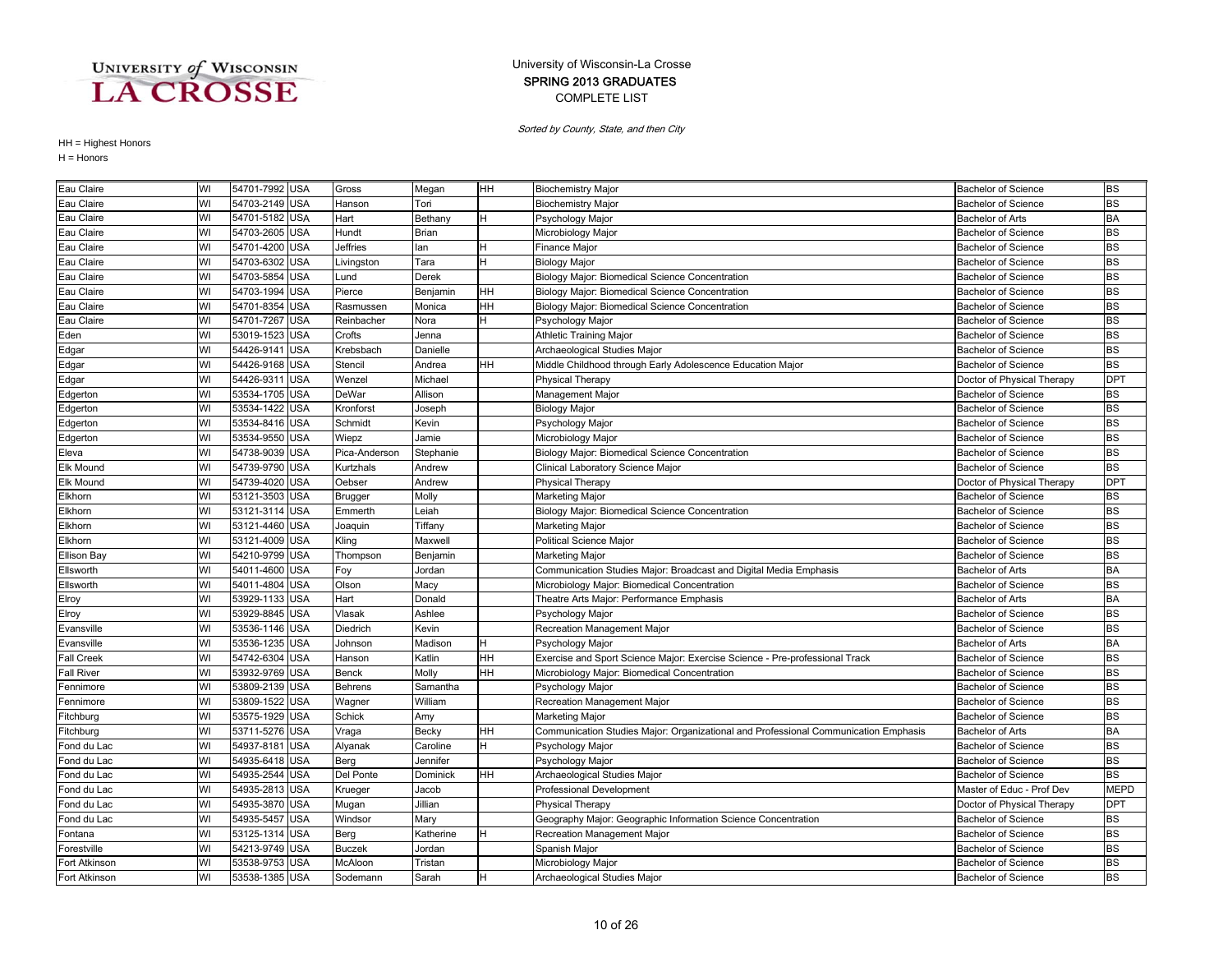### COMPLETE LIST SPRING 2013 GRADUATES University of Wisconsin-La Crosse

Sorted by County, State, and then City

| Eau Claire         | WI | 54701-7992 USA |            | Gross          | Megan     | <b>HH</b> | <b>Biochemistry Major</b>                                                           | <b>Bachelor of Science</b> | <b>BS</b>   |
|--------------------|----|----------------|------------|----------------|-----------|-----------|-------------------------------------------------------------------------------------|----------------------------|-------------|
| Eau Claire         | WI | 54703-2149 USA |            | Hanson         | Tori      |           | <b>Biochemistry Major</b>                                                           | Bachelor of Science        | <b>BS</b>   |
| Eau Claire         | WI | 54701-5182 USA |            | Hart           | Bethany   | H         | Psychology Major                                                                    | <b>Bachelor of Arts</b>    | <b>BA</b>   |
| Eau Claire         | WI | 54703-2605 USA |            | Hundt          | Brian     |           | Microbiology Major                                                                  | <b>Bachelor of Science</b> | <b>BS</b>   |
| Eau Claire         | WI | 54701-4200     | <b>USA</b> | Jeffries       | lan       | н         | Finance Major                                                                       | <b>Bachelor of Science</b> | <b>BS</b>   |
| Eau Claire         | WI | 54703-6302     | <b>USA</b> | Livingston     | Tara      | H         | <b>Biology Major</b>                                                                | <b>Bachelor of Science</b> | <b>BS</b>   |
| Eau Claire         | WI | 54703-5854     | <b>USA</b> | Lund           | Derek     |           | Biology Major: Biomedical Science Concentration                                     | <b>Bachelor of Science</b> | <b>BS</b>   |
| Eau Claire         | WI | 54703-1994     | <b>USA</b> | Pierce         | Benjamin  | HH        | Biology Major: Biomedical Science Concentration                                     | <b>Bachelor of Science</b> | <b>BS</b>   |
| Eau Claire         | WI | 54701-8354     | <b>USA</b> | Rasmussen      | Monica    | HH        | Biology Major: Biomedical Science Concentration                                     | <b>Bachelor of Science</b> | <b>BS</b>   |
| Eau Claire         | WI | 54701-7267     | <b>USA</b> | Reinbacher     | Nora      |           | Psychology Major                                                                    | <b>Bachelor of Science</b> | <b>BS</b>   |
| Eden               | WI | 53019-1523     | <b>USA</b> | Crofts         | Jenna     |           | Athletic Training Major                                                             | <b>Bachelor of Science</b> | <b>BS</b>   |
| Edgar              | WI | 54426-9141 USA |            | Krebsbach      | Danielle  |           | Archaeological Studies Major                                                        | <b>Bachelor of Science</b> | <b>BS</b>   |
| Edgar              | WI | 54426-9168 USA |            | Stencil        | Andrea    | HН        | Middle Childhood through Early Adolescence Education Major                          | <b>Bachelor of Science</b> | <b>BS</b>   |
| Edgar              | WI | 54426-9311     | <b>USA</b> | Wenzel         | Michael   |           | <b>Physical Therapy</b>                                                             | Doctor of Physical Therapy | <b>DPT</b>  |
| Edgerton           | WI | 53534-1705 USA |            | DeWar          | Allison   |           | Management Major                                                                    | <b>Bachelor of Science</b> | <b>BS</b>   |
| Edgerton           | WI | 53534-1422     | <b>USA</b> | Kronforst      | Joseph    |           | <b>Biology Major</b>                                                                | <b>Bachelor of Science</b> | <b>BS</b>   |
| Edgerton           | WI | 53534-8416     | <b>USA</b> | Schmidt        | Kevin     |           | Psychology Major                                                                    | <b>Bachelor of Science</b> | <b>BS</b>   |
| Edgerton           | WI | 53534-9550     | <b>USA</b> | Wiepz          | Jamie     |           | Microbiology Major                                                                  | <b>Bachelor of Science</b> | <b>BS</b>   |
| Eleva              | WI | 54738-9039 USA |            | Pica-Anderson  | Stephanie |           | Biology Major: Biomedical Science Concentration                                     | <b>Bachelor of Science</b> | <b>BS</b>   |
| <b>Elk Mound</b>   | WI | 54739-9790 USA |            | Kurtzhals      | Andrew    |           | Clinical Laboratory Science Major                                                   | <b>Bachelor of Science</b> | <b>BS</b>   |
| <b>Elk Mound</b>   | WI | 54739-4020 USA |            | Oebser         | Andrew    |           | Physical Therapy                                                                    | Doctor of Physical Therapy | <b>DPT</b>  |
| Elkhorn            | WI | 53121-3503     | <b>USA</b> | Brugger        | Molly     |           | Marketing Major                                                                     | <b>Bachelor of Science</b> | <b>BS</b>   |
| Elkhorn            | WI | 53121-3114     | <b>USA</b> | Emmerth        | Leiah     |           | Biology Major: Biomedical Science Concentration                                     | <b>Bachelor of Science</b> | <b>BS</b>   |
| Elkhorn            | WI | 53121-4460     | <b>USA</b> | Joaquin        | Tiffany   |           | Marketing Major                                                                     | <b>Bachelor of Science</b> | <b>BS</b>   |
| Elkhorn            | WI | 53121-4009     | <b>USA</b> | Kling          | Maxwell   |           | <b>Political Science Major</b>                                                      | Bachelor of Science        | <b>BS</b>   |
| <b>Ellison Bay</b> | WI | 54210-9799 USA |            | Thompson       | Benjamin  |           | Marketing Major                                                                     | <b>Bachelor of Science</b> | <b>BS</b>   |
| Ellsworth          | WI | 54011-4600 USA |            | Foy            | Jordan    |           | Communication Studies Major: Broadcast and Digital Media Emphasis                   | <b>Bachelor of Arts</b>    | <b>BA</b>   |
| Ellsworth          | WI | 54011-4804 USA |            | Olson          | Macy      |           | Microbiology Major: Biomedical Concentration                                        | <b>Bachelor of Science</b> | <b>BS</b>   |
| Elroy              | WI | 53929-1133 USA |            | Hart           | Donald    |           | Theatre Arts Major: Performance Emphasis                                            | <b>Bachelor of Arts</b>    | <b>BA</b>   |
| Elroy              | WI | 53929-8845 USA |            | Vlasak         | Ashlee    |           | Psychology Major                                                                    | <b>Bachelor of Science</b> | <b>BS</b>   |
| Evansville         | WI | 53536-1146     | <b>USA</b> | Diedrich       | Kevin     |           | Recreation Management Major                                                         | <b>Bachelor of Science</b> | <b>BS</b>   |
| Evansville         | WI | 53536-1235     | <b>USA</b> | Johnson        | Madison   | н         | Psychology Major                                                                    | <b>Bachelor of Arts</b>    | <b>BA</b>   |
| <b>Fall Creek</b>  | WI | 54742-6304     | <b>USA</b> | Hanson         | Katlin    | HH        | Exercise and Sport Science Major: Exercise Science - Pre-professional Track         | <b>Bachelor of Science</b> | <b>BS</b>   |
| <b>Fall River</b>  | WI | 53932-9769     | <b>USA</b> | Benck          | Molly     | HН        | Microbiology Major: Biomedical Concentration                                        | <b>Bachelor of Science</b> | <b>BS</b>   |
| Fennimore          | WI | 53809-2139 USA |            | <b>Behrens</b> | Samantha  |           | Psychology Major                                                                    | <b>Bachelor of Science</b> | <b>BS</b>   |
| Fennimore          | WI | 53809-1522     | <b>USA</b> | Wagner         | William   |           | Recreation Management Major                                                         | <b>Bachelor of Science</b> | <b>BS</b>   |
| Fitchburg          | WI | 53575-1929 USA |            | <b>Schick</b>  | Amy       |           | Marketing Major                                                                     | <b>Bachelor of Science</b> | <b>BS</b>   |
| Fitchburg          | WI | 53711-5276     | <b>USA</b> | Vraga          | Becky     | HH        | Communication Studies Major: Organizational and Professional Communication Emphasis | Bachelor of Arts           | <b>BA</b>   |
| Fond du Lac        | WI | 54937-818      | <b>USA</b> | Alyanak        | Caroline  | н         | Psychology Major                                                                    | <b>Bachelor of Science</b> | <b>BS</b>   |
| Fond du Lac        | WI | 54935-6418     | <b>USA</b> | Berg           | Jennifer  |           | Psychology Major                                                                    | <b>Bachelor of Science</b> | <b>BS</b>   |
| Fond du Lac        | WI | 54935-2544     | USA        | Del Ponte      | Dominick  | HН        | Archaeological Studies Major                                                        | <b>Bachelor of Science</b> | <b>BS</b>   |
| Fond du Lac        | WI | 54935-2813     | <b>USA</b> | Krueger        | Jacob     |           | Professional Development                                                            | Master of Educ - Prof Dev  | <b>MEPD</b> |
| Fond du Lac        | WI | 54935-3870 USA |            | Mugan          | Jillian   |           | Physical Therapy                                                                    | Doctor of Physical Therapy | <b>DPT</b>  |
| Fond du Lac        | WI | 54935-5457     | <b>USA</b> | Windsor        | Mary      |           | Geography Major: Geographic Information Science Concentration                       | <b>Bachelor of Science</b> | <b>BS</b>   |
| Fontana            | WI | 53125-1314 USA |            | Berg           | Katherine | H         | Recreation Management Major                                                         | <b>Bachelor of Science</b> | <b>BS</b>   |
| Forestville        | WI | 54213-9749 USA |            | <b>Buczek</b>  | Jordan    |           | Spanish Major                                                                       | <b>Bachelor of Science</b> | <b>BS</b>   |
| Fort Atkinson      | WI | 53538-9753 USA |            | McAloon        | Tristan   |           | Microbiology Major                                                                  | <b>Bachelor of Science</b> | <b>BS</b>   |
| Fort Atkinson      | WI | 53538-1385 USA |            | Sodemann       | Sarah     | <b>H</b>  | Archaeological Studies Major                                                        | <b>Bachelor of Science</b> | <b>BS</b>   |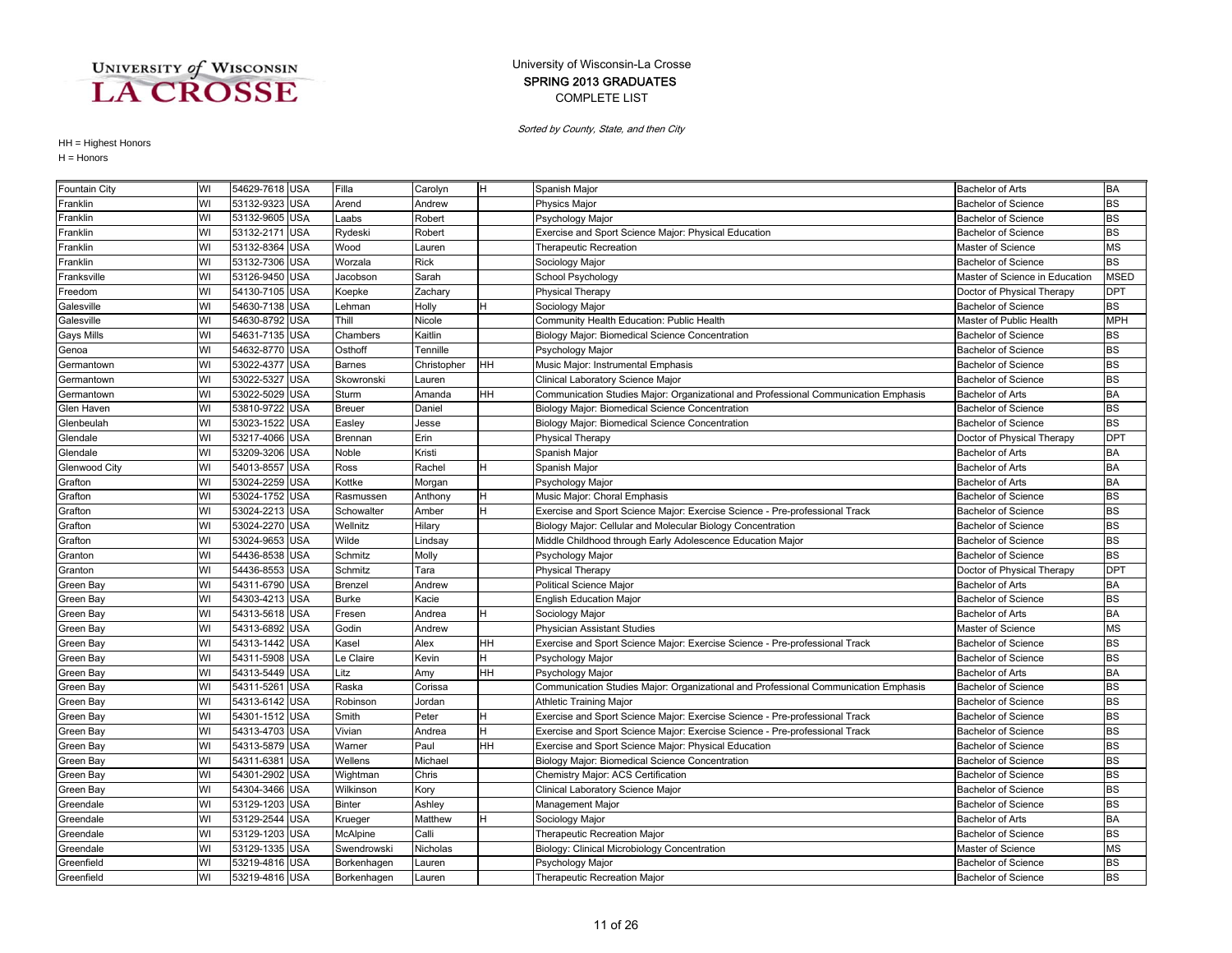### COMPLETE LIST SPRING 2013 GRADUATES University of Wisconsin-La Crosse

Sorted by County, State, and then City

| Fountain City | WI | 54629-7618 USA |            | Filla         | Carolyn     | IH. | Spanish Major                                                                       | <b>Bachelor of Arts</b>        | <b>BA</b>   |
|---------------|----|----------------|------------|---------------|-------------|-----|-------------------------------------------------------------------------------------|--------------------------------|-------------|
| Franklin      | WI | 53132-9323 USA |            | Arend         | Andrew      |     | <b>Physics Major</b>                                                                | Bachelor of Science            | <b>BS</b>   |
| Franklin      | WI | 53132-9605 USA |            | _aabs         | Robert      |     | Psychology Major                                                                    | <b>Bachelor of Science</b>     | <b>BS</b>   |
| Franklin      | WI | 53132-2171 USA |            | Rydeski       | Robert      |     | Exercise and Sport Science Major: Physical Education                                | <b>Bachelor of Science</b>     | <b>BS</b>   |
| Franklin      | WI | 53132-8364 USA |            | Wood          | Lauren      |     | Therapeutic Recreation                                                              | Master of Science              | <b>MS</b>   |
| Franklin      | WI | 53132-7306     | <b>USA</b> | Worzala       | <b>Rick</b> |     | Sociology Major                                                                     | <b>Bachelor of Science</b>     | <b>BS</b>   |
| Franksville   | WI | 53126-9450     | <b>USA</b> | Jacobson      | Sarah       |     | School Psychology                                                                   | Master of Science in Education | <b>MSED</b> |
| Freedom       | WI | 54130-7105 USA |            | Koepke        | Zachary     |     | Physical Therapy                                                                    | Doctor of Physical Therapy     | <b>DPT</b>  |
| Galesville    | WI | 54630-7138 USA |            | Lehman        | Holly       | H   | Sociology Major                                                                     | <b>Bachelor of Science</b>     | <b>BS</b>   |
| Galesville    | WI | 54630-8792 USA |            | Thill         | Nicole      |     | Community Health Education: Public Health                                           | Master of Public Health        | <b>MPH</b>  |
| Gays Mills    | WI | 54631-7135 USA |            | Chambers      | Kaitlin     |     | Biology Major: Biomedical Science Concentration                                     | <b>Bachelor of Science</b>     | <b>BS</b>   |
| Genoa         | WI | 54632-8770 USA |            | Osthoff       | Tennille    |     | Psychology Major                                                                    | <b>Bachelor of Science</b>     | <b>BS</b>   |
| Germantown    | WI | 53022-4377 USA |            | <b>Barnes</b> | Christopher | HH  | Music Major: Instrumental Emphasis                                                  | <b>Bachelor of Science</b>     | <b>BS</b>   |
| Germantown    | WI | 53022-5327     | <b>USA</b> | Skowronski    | Lauren      |     | Clinical Laboratory Science Major                                                   | <b>Bachelor of Science</b>     | <b>BS</b>   |
| Germantown    | WI | 53022-5029     | <b>USA</b> | Sturm         | Amanda      | HH  | Communication Studies Major: Organizational and Professional Communication Emphasis | <b>Bachelor of Arts</b>        | <b>BA</b>   |
| Glen Haven    | WI | 53810-9722     | <b>USA</b> | <b>Breuer</b> | Daniel      |     | Biology Major: Biomedical Science Concentration                                     | <b>Bachelor of Science</b>     | <b>BS</b>   |
| Glenbeulah    | WI | 53023-1522     | <b>USA</b> | Easley        | Jesse       |     | Biology Major: Biomedical Science Concentration                                     | <b>Bachelor of Science</b>     | <b>BS</b>   |
| Glendale      | WI | 53217-4066 USA |            | Brennan       | Erin        |     | Physical Therapy                                                                    | Doctor of Physical Therapy     | <b>DPT</b>  |
| Glendale      | WI | 53209-3206 USA |            | Noble         | Kristi      |     | Spanish Major                                                                       | <b>Bachelor of Arts</b>        | <b>BA</b>   |
| Glenwood City | WI | 54013-8557 USA |            | Ross          | Rachel      | H   | Spanish Major                                                                       | <b>Bachelor of Arts</b>        | <b>BA</b>   |
| Grafton       | WI | 53024-2259 USA |            | Kottke        | Morgan      |     | Psychology Major                                                                    | <b>Bachelor of Arts</b>        | <b>BA</b>   |
| Grafton       | WI | 53024-1752 USA |            | Rasmussen     | Anthony     | H   | Music Major: Choral Emphasis                                                        | <b>Bachelor of Science</b>     | <b>BS</b>   |
| Grafton       | WI | 53024-2213     | <b>USA</b> | Schowalter    | Amber       | H   | Exercise and Sport Science Major: Exercise Science - Pre-professional Track         | <b>Bachelor of Science</b>     | <b>BS</b>   |
| Grafton       | WI | 53024-2270     | <b>USA</b> | Wellnitz      | Hilary      |     | Biology Major: Cellular and Molecular Biology Concentration                         | <b>Bachelor of Science</b>     | <b>BS</b>   |
| Grafton       | WI | 53024-9653     | <b>USA</b> | Wilde         | Lindsay     |     | Middle Childhood through Early Adolescence Education Major                          | <b>Bachelor of Science</b>     | <b>BS</b>   |
| Granton       | WI | 54436-8538     | <b>USA</b> | Schmitz       | Molly       |     | Psychology Major                                                                    | <b>Bachelor of Science</b>     | <b>BS</b>   |
| Granton       | WI | 54436-8553     | <b>USA</b> | Schmitz       | Tara        |     | <b>Physical Therapy</b>                                                             | Doctor of Physical Therapy     | <b>DPT</b>  |
| Green Bay     | WI | 54311-6790 USA |            | Brenzel       | Andrew      |     | Political Science Major                                                             | Bachelor of Arts               | <b>BA</b>   |
| Green Bay     | WI | 54303-4213 USA |            | <b>Burke</b>  | Kacie       |     | <b>English Education Major</b>                                                      | <b>Bachelor of Science</b>     | <b>BS</b>   |
| Green Bay     | WI | 54313-5618 USA |            | Fresen        | Andrea      | H   | Sociology Major                                                                     | <b>Bachelor of Arts</b>        | <b>BA</b>   |
| Green Bay     | WI | 54313-6892     | <b>USA</b> | Godin         | Andrew      |     | Physician Assistant Studies                                                         | Master of Science              | <b>MS</b>   |
| Green Bay     | WI | 54313-1442 USA |            | Kasel         | Alex        | HН  | Exercise and Sport Science Major: Exercise Science - Pre-professional Track         | <b>Bachelor of Science</b>     | <b>BS</b>   |
| Green Bay     | WI | 54311-5908     | <b>USA</b> | Le Claire     | Kevin       | н   | Psychology Major                                                                    | <b>Bachelor of Science</b>     | <b>BS</b>   |
| Green Bay     | WI | 54313-5449 USA |            | Litz          | Amy         | HH  | Psychology Major                                                                    | <b>Bachelor of Arts</b>        | <b>BA</b>   |
| Green Bay     | WI | 54311-5261     | <b>USA</b> | Raska         | Corissa     |     | Communication Studies Major: Organizational and Professional Communication Emphasis | <b>Bachelor of Science</b>     | <b>BS</b>   |
| Green Bay     | WI | 54313-6142 USA |            | Robinson      | Jordan      |     | Athletic Training Major                                                             | <b>Bachelor of Science</b>     | <b>BS</b>   |
| Green Bay     | WI | 54301-1512 USA |            | Smith         | Peter       | н   | Exercise and Sport Science Major: Exercise Science - Pre-professional Track         | <b>Bachelor of Science</b>     | <b>BS</b>   |
| Green Bay     | WI | 54313-4703 USA |            | Vivian        | Andrea      | н   | Exercise and Sport Science Major: Exercise Science - Pre-professional Track         | <b>Bachelor of Science</b>     | <b>BS</b>   |
| Green Bay     | WI | 54313-5879 USA |            | Warner        | Paul        | HH  | Exercise and Sport Science Major: Physical Education                                | <b>Bachelor of Science</b>     | <b>BS</b>   |
| Green Bay     | WI | 54311-6381     | <b>USA</b> | Wellens       | Michael     |     | Biology Major: Biomedical Science Concentration                                     | <b>Bachelor of Science</b>     | <b>BS</b>   |
| Green Bay     | WI | 54301-2902 USA |            | Wightman      | Chris       |     | Chemistry Major: ACS Certification                                                  | <b>Bachelor of Science</b>     | <b>BS</b>   |
| Green Bay     | WI | 54304-3466 USA |            | Wilkinson     | Kory        |     | Clinical Laboratory Science Major                                                   | <b>Bachelor of Science</b>     | <b>BS</b>   |
| Greendale     | WI | 53129-1203 USA |            | <b>Binter</b> | Ashley      |     | Management Major                                                                    | <b>Bachelor of Science</b>     | <b>BS</b>   |
| Greendale     | WI | 53129-2544 USA |            | Krueger       | Matthew     | H   | Sociology Major                                                                     | Bachelor of Arts               | <b>BA</b>   |
| Greendale     | WI | 53129-1203 USA |            | McAlpine      | Calli       |     | <b>Therapeutic Recreation Major</b>                                                 | <b>Bachelor of Science</b>     | <b>BS</b>   |
| Greendale     | WI | 53129-1335 USA |            | Swendrowski   | Nicholas    |     | Biology: Clinical Microbiology Concentration                                        | Master of Science              | <b>MS</b>   |
| Greenfield    | WI | 53219-4816 USA |            | Borkenhagen   | Lauren      |     | Psychology Major                                                                    | <b>Bachelor of Science</b>     | <b>BS</b>   |
| Greenfield    | WI | 53219-4816 USA |            | Borkenhagen   | Lauren      |     | Therapeutic Recreation Major                                                        | <b>Bachelor of Science</b>     | <b>BS</b>   |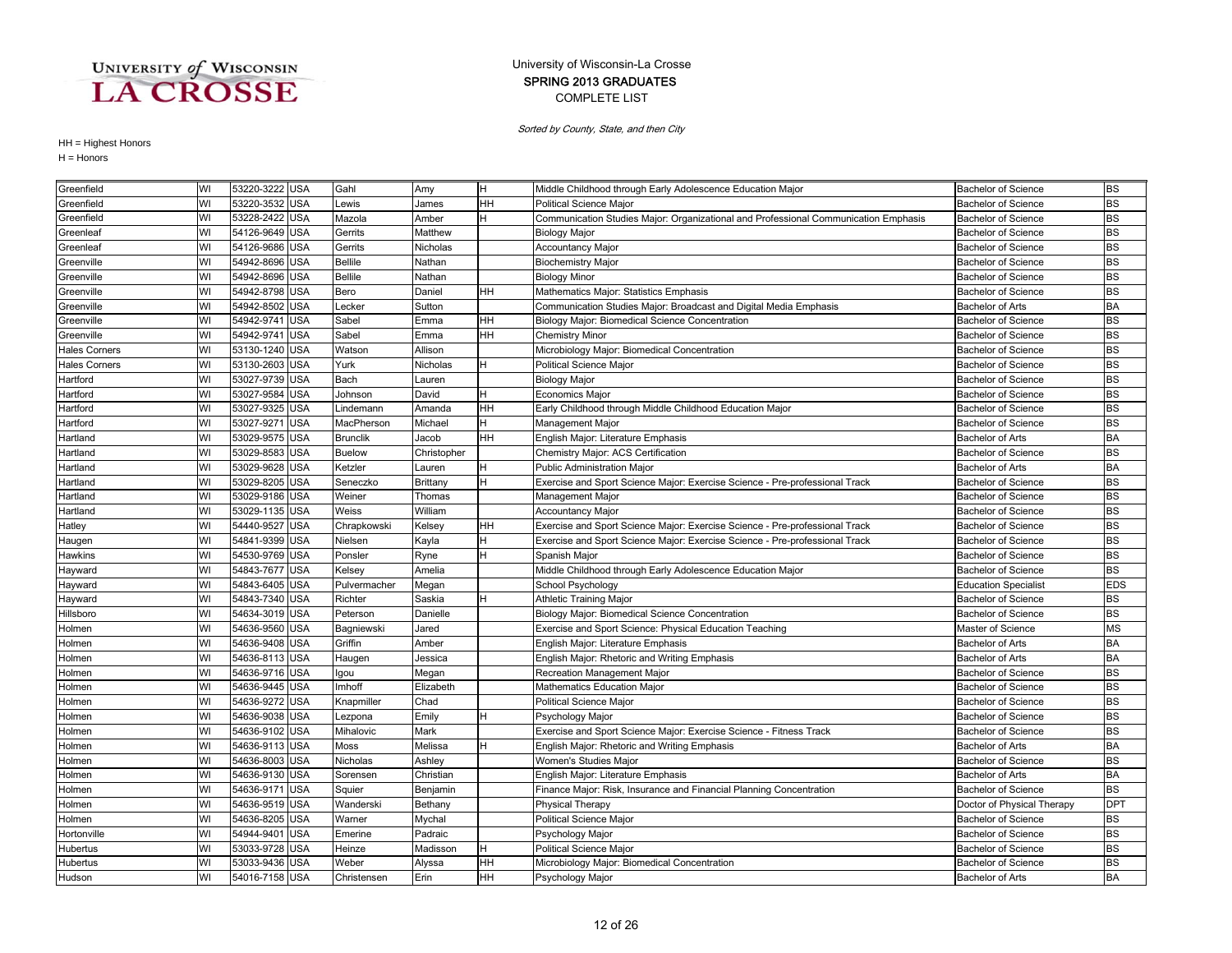### COMPLETE LIST SPRING 2013 GRADUATES University of Wisconsin-La Crosse

Sorted by County, State, and then City

| Greenfield           | WI | 53220-3222 USA |            | Gahl            | Amy             | H         | Middle Childhood through Early Adolescence Education Major                          | <b>Bachelor of Science</b>  | <b>BS</b>  |
|----------------------|----|----------------|------------|-----------------|-----------------|-----------|-------------------------------------------------------------------------------------|-----------------------------|------------|
| Greenfield           | WI | 53220-3532     | <b>USA</b> | Lewis           | James           | HН        | <b>Political Science Major</b>                                                      | <b>Bachelor of Science</b>  | <b>BS</b>  |
| Greenfield           | WI | 53228-2422     | <b>USA</b> | Mazola          | Amber           |           | Communication Studies Major: Organizational and Professional Communication Emphasis | <b>Bachelor of Science</b>  | <b>BS</b>  |
| Greenleaf            | WI | 54126-9649 USA |            | Gerrits         | Matthew         |           | <b>Biology Major</b>                                                                | <b>Bachelor of Science</b>  | <b>BS</b>  |
| Greenleaf            | WI | 54126-9686 USA |            | Gerrits         | Nicholas        |           | <b>Accountancy Major</b>                                                            | <b>Bachelor of Science</b>  | <b>BS</b>  |
| Greenville           | WI | 54942-8696     | <b>USA</b> | <b>Bellile</b>  | Nathan          |           | <b>Biochemistry Major</b>                                                           | <b>Bachelor of Science</b>  | <b>BS</b>  |
| Greenville           | WI | 54942-8696     | <b>USA</b> | <b>Bellile</b>  | Nathan          |           | <b>Biology Minor</b>                                                                | <b>Bachelor of Science</b>  | <b>BS</b>  |
| Greenville           | WI | 54942-8798     | <b>USA</b> | Bero            | Daniel          | HН        | Mathematics Major: Statistics Emphasis                                              | <b>Bachelor of Science</b>  | <b>BS</b>  |
| Greenville           | WI | 54942-8502     | <b>USA</b> | Lecker          | Sutton          |           | Communication Studies Major: Broadcast and Digital Media Emphasis                   | <b>Bachelor of Arts</b>     | <b>BA</b>  |
| Greenville           | WI | 54942-974      | <b>USA</b> | Sabel           | Emma            | HН        | Biology Major: Biomedical Science Concentration                                     | <b>Bachelor of Science</b>  | <b>BS</b>  |
| Greenville           | WI | 54942-9741     | USA        | Sabel           | Emma            | HН        | <b>Chemistry Minor</b>                                                              | <b>Bachelor of Science</b>  | <b>BS</b>  |
| <b>Hales Corners</b> | WI | 53130-1240 USA |            | Watson          | Allison         |           | Microbiology Major: Biomedical Concentration                                        | <b>Bachelor of Science</b>  | <b>BS</b>  |
| <b>Hales Corners</b> | WI | 53130-2603     | <b>USA</b> | Yurk            | Nicholas        | н         | <b>Political Science Major</b>                                                      | <b>Bachelor of Science</b>  | <b>BS</b>  |
| Hartford             | WI | 53027-9739 USA |            | Bach            | Lauren          |           | <b>Biology Major</b>                                                                | <b>Bachelor of Science</b>  | <b>BS</b>  |
| Hartford             | WI | 53027-9584     | <b>USA</b> | Johnson         | David           | н         | Economics Major                                                                     | Bachelor of Science         | <b>BS</b>  |
| Hartford             | WI | 53027-9325     | <b>USA</b> | Lindemann       | Amanda          | HH        | Early Childhood through Middle Childhood Education Major                            | <b>Bachelor of Science</b>  | <b>BS</b>  |
| Hartford             | WI | 53027-9271     | <b>USA</b> | MacPherson      | Michael         | н         | Management Major                                                                    | <b>Bachelor of Science</b>  | <b>BS</b>  |
| Hartland             | WI | 53029-9575     | <b>USA</b> | <b>Brunclik</b> | Jacob           | HH        | English Major: Literature Emphasis                                                  | <b>Bachelor of Arts</b>     | <b>BA</b>  |
| Hartland             | WI | 53029-8583     | <b>USA</b> | <b>Buelow</b>   | Christopher     |           | Chemistry Major: ACS Certification                                                  | <b>Bachelor of Science</b>  | <b>BS</b>  |
| Hartland             | WI | 53029-9628 USA |            | Ketzler         | Lauren          |           | <b>Public Administration Major</b>                                                  | <b>Bachelor of Arts</b>     | <b>BA</b>  |
| Hartland             | WI | 53029-8205     | <b>USA</b> | Seneczko        | <b>Brittany</b> | н         | Exercise and Sport Science Major: Exercise Science - Pre-professional Track         | <b>Bachelor of Science</b>  | <b>BS</b>  |
| Hartland             | WI | 53029-9186 USA |            | Weiner          | Thomas          |           | Management Major                                                                    | <b>Bachelor of Science</b>  | <b>BS</b>  |
| Hartland             | WI | 53029-1135 USA |            | Weiss           | William         |           | <b>Accountancy Major</b>                                                            | <b>Bachelor of Science</b>  | <b>BS</b>  |
| Hatley               | WI | 54440-9527     | <b>USA</b> | Chrapkowski     | Kelsey          | HH        | Exercise and Sport Science Major: Exercise Science - Pre-professional Track         | <b>Bachelor of Science</b>  | <b>BS</b>  |
| Haugen               | WI | 54841-9399     | <b>USA</b> | Nielsen         | Kayla           | H         | Exercise and Sport Science Major: Exercise Science - Pre-professional Track         | <b>Bachelor of Science</b>  | <b>BS</b>  |
| Hawkins              | WI | 54530-9769     | <b>USA</b> | Ponsler         | Ryne            | н         | Spanish Major                                                                       | <b>Bachelor of Science</b>  | <b>BS</b>  |
| Hayward              | WI | 54843-7677     | <b>USA</b> | Kelsey          | Amelia          |           | Middle Childhood through Early Adolescence Education Major                          | <b>Bachelor of Science</b>  | <b>BS</b>  |
| Hayward              | WI | 54843-6405 USA |            | Pulvermacher    | Megan           |           | School Psychology                                                                   | <b>Education Specialist</b> | <b>EDS</b> |
| Hayward              | WI | 54843-7340 USA |            | Richter         | Saskia          | н         | <b>Athletic Training Major</b>                                                      | <b>Bachelor of Science</b>  | <b>BS</b>  |
| Hillsboro            | WI | 54634-3019 USA |            | Peterson        | Danielle        |           | Biology Major: Biomedical Science Concentration                                     | <b>Bachelor of Science</b>  | <b>BS</b>  |
| Holmen               | WI | 54636-9560     | <b>USA</b> | Bagniewski      | Jared           |           | Exercise and Sport Science: Physical Education Teaching                             | Master of Science           | <b>MS</b>  |
| Holmen               | WI | 54636-9408     | <b>USA</b> | Griffin         | Amber           |           | English Major: Literature Emphasis                                                  | <b>Bachelor of Arts</b>     | <b>BA</b>  |
| Holmen               | WI | 54636-8113     | <b>USA</b> | Haugen          | Jessica         |           | English Major: Rhetoric and Writing Emphasis                                        | <b>Bachelor of Arts</b>     | <b>BA</b>  |
| Holmen               | WI | 54636-9716     | <b>USA</b> | gou             | Megan           |           | Recreation Management Major                                                         | <b>Bachelor of Science</b>  | <b>BS</b>  |
| Holmen               | WI | 54636-9445     | <b>USA</b> | <b>Imhoff</b>   | Elizabeth       |           | Mathematics Education Major                                                         | <b>Bachelor of Science</b>  | <b>BS</b>  |
| Holmen               | WI | 54636-9272     | <b>USA</b> | Knapmiller      | Chad            |           | Political Science Major                                                             | <b>Bachelor of Science</b>  | <b>BS</b>  |
| Holmen               | WI | 54636-9038 USA |            | Lezpona         | Emily           |           | Psychology Major                                                                    | <b>Bachelor of Science</b>  | <b>BS</b>  |
| Holmen               | WI | 54636-9102 USA |            | Mihalovic       | Mark            |           | Exercise and Sport Science Major: Exercise Science - Fitness Track                  | <b>Bachelor of Science</b>  | <b>BS</b>  |
| Holmen               | WI | 54636-9113 USA |            | Moss            | Melissa         |           | English Major: Rhetoric and Writing Emphasis                                        | <b>Bachelor of Arts</b>     | <b>BA</b>  |
| Holmen               | WI | 54636-8003     | <b>USA</b> | Nicholas        | Ashley          |           | Women's Studies Major                                                               | <b>Bachelor of Science</b>  | <b>BS</b>  |
| Holmen               | WI | 54636-9130     | <b>USA</b> | Sorensen        | Christian       |           | English Major: Literature Emphasis                                                  | <b>Bachelor of Arts</b>     | <b>BA</b>  |
| Holmen               | WI | 54636-9171     | <b>USA</b> | Squier          | Benjamin        |           | Finance Major: Risk, Insurance and Financial Planning Concentration                 | <b>Bachelor of Science</b>  | <b>BS</b>  |
| Holmen               | WI | 54636-9519     | USA        | Wanderski       | Bethany         |           | <b>Physical Therapy</b>                                                             | Doctor of Physical Therapy  | <b>DPT</b> |
| Holmen               | WI | 54636-8205     | <b>USA</b> | Warner          | Mychal          |           | Political Science Major                                                             | <b>Bachelor of Science</b>  | <b>BS</b>  |
| Hortonville          | WI | 54944-9401 USA |            | Emerine         | Padraic         |           | Psychology Major                                                                    | <b>Bachelor of Science</b>  | <b>BS</b>  |
| Hubertus             | WI | 53033-9728 USA |            | Heinze          | Madisson        | н         | Political Science Major                                                             | <b>Bachelor of Science</b>  | <b>BS</b>  |
| Hubertus             | WI | 53033-9436 USA |            | Weber           | Alyssa          | HH        | Microbiology Major: Biomedical Concentration                                        | <b>Bachelor of Science</b>  | <b>BS</b>  |
| Hudson               | WI | 54016-7158 USA |            | Christensen     | Erin            | <b>HH</b> | Psychology Major                                                                    | Bachelor of Arts            | <b>BA</b>  |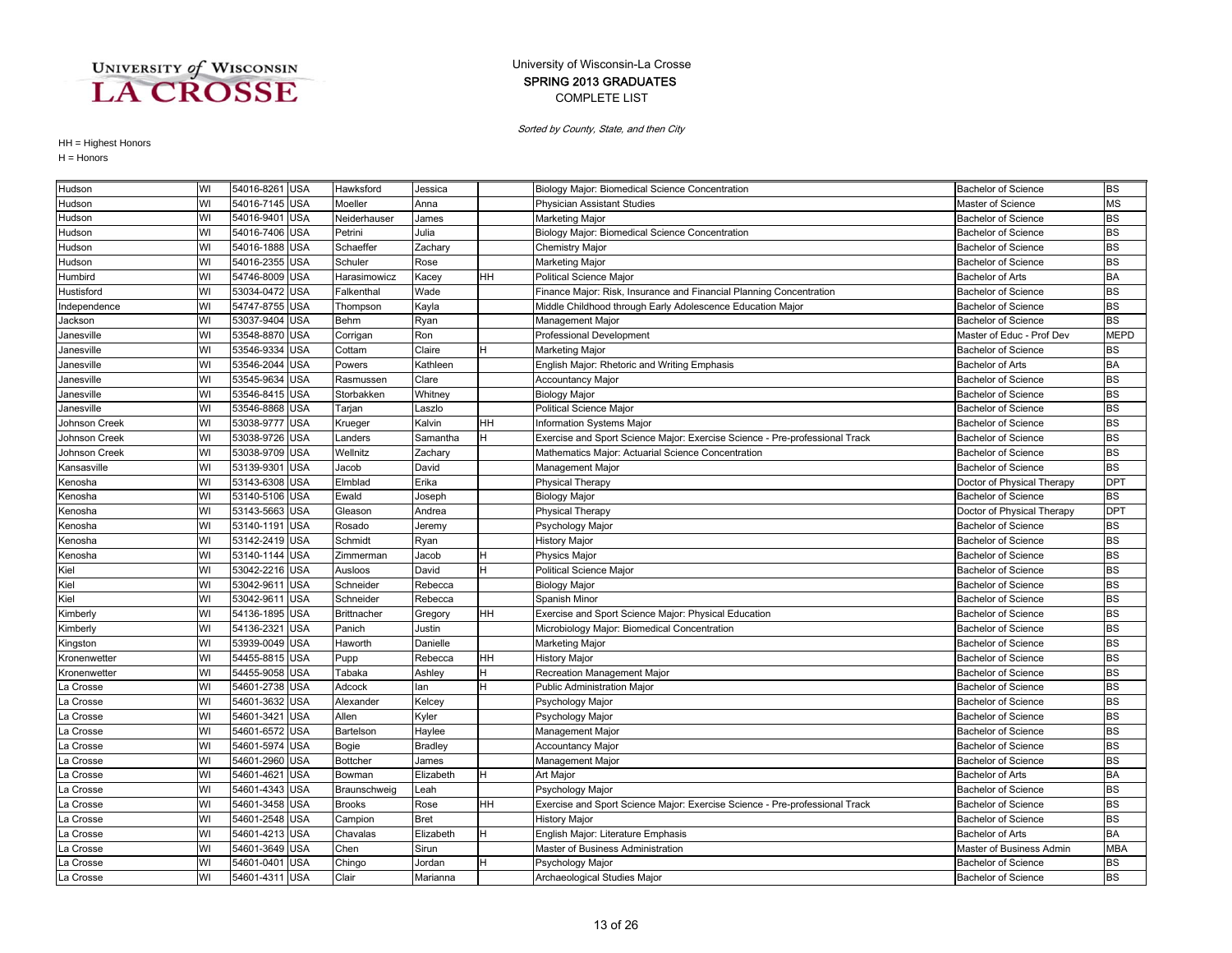### COMPLETE LIST SPRING 2013 GRADUATES University of Wisconsin-La Crosse

Sorted by County, State, and then City

| Hudson        | WI | 54016-8261 USA |            | Hawksford          | Jessica     |    | Biology Major: Biomedical Science Concentration                             | <b>Bachelor of Science</b> | <b>BS</b>  |
|---------------|----|----------------|------------|--------------------|-------------|----|-----------------------------------------------------------------------------|----------------------------|------------|
| Hudson        | WI | 54016-7145 USA |            | Moeller            | Anna        |    | <b>Physician Assistant Studies</b>                                          | Master of Science          | <b>MS</b>  |
| Hudson        | WI | 54016-9401 USA |            | Neiderhauser       | James       |    | Marketing Major                                                             | <b>Bachelor of Science</b> | <b>BS</b>  |
| Hudson        | WI | 54016-7406 USA |            | Petrini            | Julia       |    | Biology Major: Biomedical Science Concentration                             | <b>Bachelor of Science</b> | <b>BS</b>  |
| Hudson        | WI | 54016-1888 USA |            | Schaeffer          | Zachary     |    | <b>Chemistry Major</b>                                                      | <b>Bachelor of Science</b> | <b>BS</b>  |
| Hudson        | WI | 54016-2355 USA |            | Schuler            | Rose        |    | Marketing Major                                                             | <b>Bachelor of Science</b> | <b>BS</b>  |
| Humbird       | WI | 54746-8009 USA |            | Harasimowicz       | Kacey       | HH | Political Science Major                                                     | <b>Bachelor of Arts</b>    | <b>BA</b>  |
| Hustisford    | WI | 53034-0472 USA |            | Falkenthal         | Wade        |    | Finance Major: Risk, Insurance and Financial Planning Concentration         | <b>Bachelor of Science</b> | <b>BS</b>  |
| Independence  | WI | 54747-8755     | <b>USA</b> | Thompson           | Kayla       |    | Middle Childhood through Early Adolescence Education Major                  | <b>Bachelor of Science</b> | <b>BS</b>  |
| Jackson       | WI | 53037-9404     | <b>USA</b> | Behm               | Ryan        |    | Management Major                                                            | <b>Bachelor of Science</b> | <b>BS</b>  |
| Janesville    | WI | 53548-8870 USA |            | Corrigan           | Ron         |    | <b>Professional Development</b>                                             | Master of Educ - Prof Dev  | MEPD       |
| Janesville    | WI | 53546-9334 USA |            | Cottam             | Claire      | H  | Marketing Major                                                             | <b>Bachelor of Science</b> | <b>BS</b>  |
| Janesville    | WI | 53546-2044 USA |            | Powers             | Kathleen    |    | English Major: Rhetoric and Writing Emphasis                                | <b>Bachelor of Arts</b>    | <b>BA</b>  |
| Janesville    | WI | 53545-9634     | <b>USA</b> | Rasmussen          | Clare       |    | <b>Accountancy Major</b>                                                    | <b>Bachelor of Science</b> | <b>BS</b>  |
| Janesville    | WI | 53546-8415     | <b>USA</b> | Storbakken         | Whitney     |    | <b>Biology Major</b>                                                        | <b>Bachelor of Science</b> | <b>BS</b>  |
| Janesville    | WI | 53546-8868 USA |            | Tarjan             | Laszlo      |    | Political Science Major                                                     | <b>Bachelor of Science</b> | <b>BS</b>  |
| Johnson Creek | WI | 53038-9777 USA |            | Krueger            | Kalvin      | HН | <b>Information Systems Major</b>                                            | <b>Bachelor of Science</b> | <b>BS</b>  |
| Johnson Creek | WI | 53038-9726     | <b>USA</b> | ∟anders            | Samantha    |    | Exercise and Sport Science Major: Exercise Science - Pre-professional Track | <b>Bachelor of Science</b> | <b>BS</b>  |
| Johnson Creek | WI | 53038-9709 USA |            | Wellnitz           | Zachary     |    | Mathematics Major: Actuarial Science Concentration                          | <b>Bachelor of Science</b> | <b>BS</b>  |
| Kansasville   | WI | 53139-9301 USA |            | Jacob              | David       |    | Management Major                                                            | <b>Bachelor of Science</b> | <b>BS</b>  |
| Kenosha       | WI | 53143-6308 USA |            | Elmblad            | Erika       |    | <b>Physical Therapy</b>                                                     | Doctor of Physical Therapy | <b>DPT</b> |
| Kenosha       | WI | 53140-5106 USA |            | Ewald              | Joseph      |    | <b>Biology Major</b>                                                        | <b>Bachelor of Science</b> | <b>BS</b>  |
| Kenosha       | WI | 53143-5663     | <b>USA</b> | Gleason            | Andrea      |    | <b>Physical Therapy</b>                                                     | Doctor of Physical Therapy | <b>DPT</b> |
| Kenosha       | WI | 53140-1191     | <b>USA</b> | Rosado             | Jeremy      |    | Psychology Major                                                            | <b>Bachelor of Science</b> | <b>BS</b>  |
| Kenosha       | WI | 53142-2419 USA |            | Schmidt            | Ryan        |    | <b>History Major</b>                                                        | <b>Bachelor of Science</b> | <b>BS</b>  |
| Kenosha       | WI | 53140-1144 USA |            | Zimmerman          | Jacob       |    | <b>Physics Major</b>                                                        | <b>Bachelor of Science</b> | <b>BS</b>  |
| Kiel          | WI | 53042-2216 USA |            | Ausloos            | David       |    | Political Science Major                                                     | <b>Bachelor of Science</b> | <b>BS</b>  |
| Kiel          | WI | 53042-961      | <b>USA</b> | Schneider          | Rebecca     |    | <b>Biology Major</b>                                                        | <b>Bachelor of Science</b> | <b>BS</b>  |
| Kiel          | WI | 53042-961      | <b>USA</b> | Schneider          | Rebecca     |    | Spanish Minor                                                               | <b>Bachelor of Science</b> | <b>BS</b>  |
| Kimberly      | WI | 54136-1895 USA |            | <b>Brittnacher</b> | Gregory     | HH | Exercise and Sport Science Major: Physical Education                        | <b>Bachelor of Science</b> | <b>BS</b>  |
| Kimberly      | WI | 54136-2321     | <b>USA</b> | Panich             | Justin      |    | Microbiology Major: Biomedical Concentration                                | <b>Bachelor of Science</b> | <b>BS</b>  |
| Kingston      | WI | 53939-0049 USA |            | Haworth            | Danielle    |    | Marketing Major                                                             | <b>Bachelor of Science</b> | <b>BS</b>  |
| Kronenwetter  | WI | 54455-8815     | <b>USA</b> | Pupp               | Rebecca     | HH | <b>History Major</b>                                                        | <b>Bachelor of Science</b> | <b>BS</b>  |
| Kronenwetter  | WI | 54455-9058     | <b>USA</b> | Tabaka             | Ashley      |    | Recreation Management Major                                                 | <b>Bachelor of Science</b> | <b>BS</b>  |
| La Crosse     | WI | 54601-2738 USA |            | Adcock             | lan         |    | Public Administration Major                                                 | <b>Bachelor of Science</b> | <b>BS</b>  |
| La Crosse     | WI | 54601-3632 USA |            | Alexander          | Kelcey      |    | Psychology Major                                                            | <b>Bachelor of Science</b> | <b>BS</b>  |
| La Crosse     | WI | 54601-3421     | <b>USA</b> | Allen              | Kyler       |    | Psychology Major                                                            | <b>Bachelor of Science</b> | <b>BS</b>  |
| La Crosse     | WI | 54601-6572 USA |            | Bartelson          | Haylee      |    | Management Major                                                            | <b>Bachelor of Science</b> | <b>BS</b>  |
| La Crosse     | WI | 54601-5974     | <b>USA</b> | Bogie              | Bradley     |    | <b>Accountancy Major</b>                                                    | <b>Bachelor of Science</b> | <b>BS</b>  |
| La Crosse     | WI | 54601-2960     | <b>USA</b> | Bottcher           | James       |    | Management Major                                                            | <b>Bachelor of Science</b> | <b>BS</b>  |
| La Crosse     | WI | 54601-4621     | <b>USA</b> | Bowman             | Elizabeth   | H. | Art Major                                                                   | <b>Bachelor of Arts</b>    | <b>BA</b>  |
| a Crosse.     | WI | 54601-4343 USA |            | Braunschweig       | Leah        |    | Psychology Major                                                            | <b>Bachelor of Science</b> | <b>BS</b>  |
| La Crosse     | WI | 54601-3458 USA |            | <b>Brooks</b>      | Rose        | HН | Exercise and Sport Science Major: Exercise Science - Pre-professional Track | <b>Bachelor of Science</b> | <b>BS</b>  |
| a Crosse.     | WI | 54601-2548 USA |            | Campion            | <b>Bret</b> |    | <b>History Major</b>                                                        | <b>Bachelor of Science</b> | <b>BS</b>  |
| La Crosse     | WI | 54601-4213 USA |            | Chavalas           | Elizabeth   | H  | English Major: Literature Emphasis                                          | <b>Bachelor of Arts</b>    | <b>BA</b>  |
| La Crosse     | WI | 54601-3649 USA |            | Chen               | Sirun       |    | Master of Business Administration                                           | Master of Business Admin   | <b>MBA</b> |
| La Crosse     | WI | 54601-0401 USA |            | Chingo             | Jordan      |    | Psychology Major                                                            | <b>Bachelor of Science</b> | <b>BS</b>  |
| La Crosse     | WI | 54601-4311 USA |            | Clair              | Marianna    |    | Archaeological Studies Major                                                | <b>Bachelor of Science</b> | <b>BS</b>  |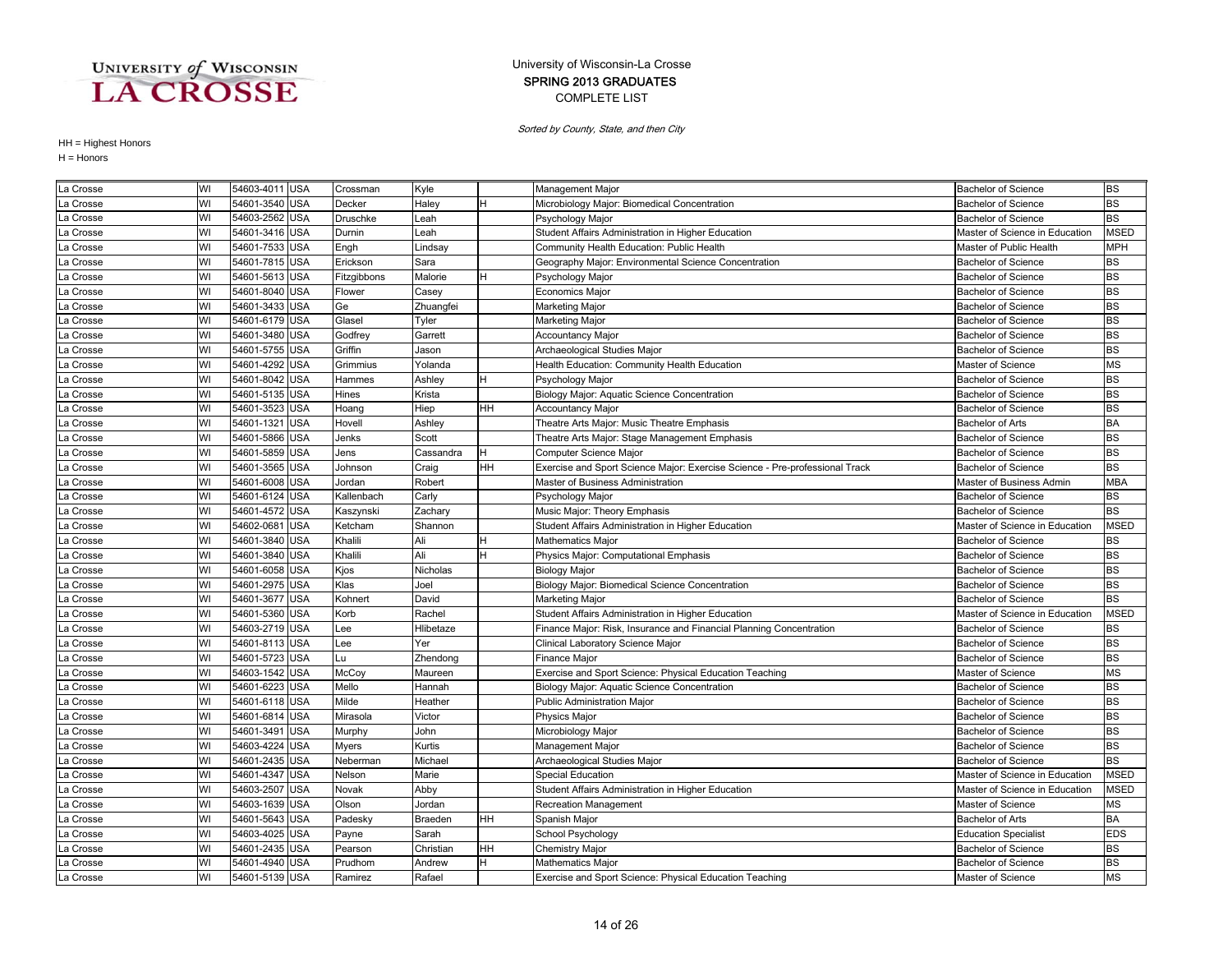### COMPLETE LIST SPRING 2013 GRADUATES University of Wisconsin-La Crosse

Sorted by County, State, and then City

| La Crosse | WI | 54603-4011 USA |            | Crossman    | Kyle      |    | Management Major                                                            | <b>Bachelor of Science</b>     | <b>BS</b>   |
|-----------|----|----------------|------------|-------------|-----------|----|-----------------------------------------------------------------------------|--------------------------------|-------------|
| La Crosse | WI | 54601-3540 USA |            | Decker      | Haley     | H  | Microbiology Major: Biomedical Concentration                                | <b>Bachelor of Science</b>     | <b>BS</b>   |
| La Crosse | WI | 54603-2562     | <b>USA</b> | Druschke    | _eah      |    | Psychology Major                                                            | Bachelor of Science            | <b>BS</b>   |
| La Crosse | WI | 54601-3416 USA |            | Durnin      | Leah      |    | Student Affairs Administration in Higher Education                          | Master of Science in Education | <b>MSED</b> |
| La Crosse | WI | 54601-7533 USA |            | Engh        | Lindsay   |    | Community Health Education: Public Health                                   | Master of Public Health        | <b>MPH</b>  |
| La Crosse | WI | 54601-7815     | <b>USA</b> | Erickson    | Sara      |    | Geography Major: Environmental Science Concentration                        | <b>Bachelor of Science</b>     | <b>BS</b>   |
| La Crosse | WI | 54601-5613 USA |            | Fitzgibbons | Malorie   |    | Psychology Major                                                            | <b>Bachelor of Science</b>     | <b>BS</b>   |
| La Crosse | WI | 54601-8040 USA |            | Flower      | Casey     |    | Economics Major                                                             | <b>Bachelor of Science</b>     | <b>BS</b>   |
| La Crosse | WI | 54601-3433     | <b>USA</b> | Ge          | Zhuangfei |    | Marketing Major                                                             | <b>Bachelor of Science</b>     | <b>BS</b>   |
| La Crosse | WI | 54601-6179     | <b>USA</b> | Glasel      | Tyler     |    | Marketing Major                                                             | <b>Bachelor of Science</b>     | <b>BS</b>   |
| La Crosse | WI | 54601-3480     | <b>USA</b> | Godfrey     | Garrett   |    | <b>Accountancy Major</b>                                                    | <b>Bachelor of Science</b>     | <b>BS</b>   |
| La Crosse | WI | 54601-5755     | <b>USA</b> | Griffin     | Jason     |    | Archaeological Studies Major                                                | <b>Bachelor of Science</b>     | <b>BS</b>   |
| La Crosse | WI | 54601-4292     | <b>USA</b> | Grimmius    | Yolanda   |    | Health Education: Community Health Education                                | Master of Science              | <b>MS</b>   |
| La Crosse | WI | 54601-8042 USA |            | Hammes      | Ashley    |    | Psychology Major                                                            | <b>Bachelor of Science</b>     | <b>BS</b>   |
| La Crosse | WI | 54601-5135 USA |            | Hines       | Krista    |    | Biology Major: Aquatic Science Concentration                                | <b>Bachelor of Science</b>     | <b>BS</b>   |
| La Crosse | WI | 54601-3523 USA |            | Hoang       | Hiep      | HH | <b>Accountancy Major</b>                                                    | <b>Bachelor of Science</b>     | <b>BS</b>   |
| La Crosse | WI | 54601-1321     | <b>USA</b> | Hovell      | Ashley    |    | Theatre Arts Major: Music Theatre Emphasis                                  | <b>Bachelor of Arts</b>        | <b>BA</b>   |
| La Crosse | WI | 54601-5866     | <b>USA</b> | Jenks       | Scott     |    | Theatre Arts Major: Stage Management Emphasis                               | <b>Bachelor of Science</b>     | <b>BS</b>   |
| La Crosse | WI | 54601-5859     | <b>USA</b> | Jens        | Cassandra | H  | Computer Science Major                                                      | <b>Bachelor of Science</b>     | <b>BS</b>   |
| La Crosse | WI | 54601-3565     | <b>USA</b> | Johnson     | Craig     | HH | Exercise and Sport Science Major: Exercise Science - Pre-professional Track | <b>Bachelor of Science</b>     | <b>BS</b>   |
| La Crosse | WI | 54601-6008 USA |            | Jordan      | Robert    |    | Master of Business Administration                                           | Master of Business Admin       | <b>MBA</b>  |
| La Crosse | WI | 54601-6124 USA |            | Kallenbach  | Carly     |    | Psychology Major                                                            | <b>Bachelor of Science</b>     | <b>BS</b>   |
| La Crosse | WI | 54601-4572 USA |            | Kaszynski   | Zachary   |    | Music Major: Theory Emphasis                                                | <b>Bachelor of Science</b>     | <b>BS</b>   |
| La Crosse | WI | 54602-0681     | <b>USA</b> | Ketcham     | Shannon   |    | Student Affairs Administration in Higher Education                          | Master of Science in Education | <b>MSED</b> |
| La Crosse | WI | 54601-3840 USA |            | Khalili     | Ali       |    | Mathematics Major                                                           | <b>Bachelor of Science</b>     | <b>BS</b>   |
| La Crosse | WI | 54601-3840     | <b>USA</b> | Khalili     | Ali       |    | Physics Major: Computational Emphasis                                       | <b>Bachelor of Science</b>     | <b>BS</b>   |
| La Crosse | WI | 54601-6058     | <b>USA</b> | Kjos        | Nicholas  |    | <b>Biology Major</b>                                                        | <b>Bachelor of Science</b>     | <b>BS</b>   |
| La Crosse | WI | 54601-2975     | <b>USA</b> | Klas        | Joel      |    | Biology Major: Biomedical Science Concentration                             | <b>Bachelor of Science</b>     | <b>BS</b>   |
| La Crosse | WI | 54601-3677     | <b>USA</b> | Kohnert     | David     |    | Marketing Major                                                             | <b>Bachelor of Science</b>     | <b>BS</b>   |
| La Crosse | WI | 54601-5360 USA |            | Korb        | Rachel    |    | Student Affairs Administration in Higher Education                          | Master of Science in Education | <b>MSED</b> |
| La Crosse | WI | 54603-2719 USA |            | Lee         | Hlibetaze |    | Finance Major: Risk, Insurance and Financial Planning Concentration         | <b>Bachelor of Science</b>     | <b>BS</b>   |
| La Crosse | WI | 54601-8113 USA |            | Lee         | Yer       |    | Clinical Laboratory Science Major                                           | <b>Bachelor of Science</b>     | <b>BS</b>   |
| La Crosse | WI | 54601-5723 USA |            | Lu          | Zhendong  |    | Finance Major                                                               | <b>Bachelor of Science</b>     | <b>BS</b>   |
| La Crosse | WI | 54603-1542     | <b>USA</b> | McCoy       | Maureen   |    | Exercise and Sport Science: Physical Education Teaching                     | Master of Science              | <b>MS</b>   |
| La Crosse | WI | 54601-6223     | <b>USA</b> | Mello       | Hannah    |    | Biology Major: Aquatic Science Concentration                                | <b>Bachelor of Science</b>     | <b>BS</b>   |
| La Crosse | WI | 54601-6118     | <b>USA</b> | Milde       | Heather   |    | <b>Public Administration Major</b>                                          | Bachelor of Science            | <b>BS</b>   |
| La Crosse | WI | 54601-6814     | <b>USA</b> | Mirasola    | Victor    |    | Physics Major                                                               | <b>Bachelor of Science</b>     | <b>BS</b>   |
| La Crosse | WI | 54601-3491 USA |            | Murphy      | John      |    | Microbiology Major                                                          | <b>Bachelor of Science</b>     | <b>BS</b>   |
| La Crosse | WI | 54603-4224     | <b>USA</b> | Myers       | Kurtis    |    | Management Major                                                            | <b>Bachelor of Science</b>     | <b>BS</b>   |
| La Crosse | WI | 54601-2435     | <b>USA</b> | Neberman    | Michael   |    | Archaeological Studies Major                                                | <b>Bachelor of Science</b>     | <b>BS</b>   |
| La Crosse | WI | 54601-4347     | <b>USA</b> | Nelson      | Marie     |    | <b>Special Education</b>                                                    | Master of Science in Education | <b>MSED</b> |
| La Crosse | WI | 54603-2507     | <b>USA</b> | Novak       | Abby      |    | Student Affairs Administration in Higher Education                          | Master of Science in Education | <b>MSED</b> |
| La Crosse | WI | 54603-1639     | <b>USA</b> | Olson       | Jordan    |    | <b>Recreation Management</b>                                                | Master of Science              | <b>MS</b>   |
| La Crosse | WI | 54601-5643     | <b>USA</b> | Padesky     | Braeden   | HН | Spanish Major                                                               | <b>Bachelor of Arts</b>        | BA          |
| La Crosse | WI | 54603-4025     | <b>USA</b> | Payne       | Sarah     |    | School Psychology                                                           | <b>Education Specialist</b>    | <b>EDS</b>  |
| La Crosse | WI | 54601-2435 USA |            | Pearson     | Christian | HH | <b>Chemistry Major</b>                                                      | <b>Bachelor of Science</b>     | <b>BS</b>   |
| La Crosse | WI | 54601-4940 USA |            | Prudhom     | Andrew    | H  | <b>Mathematics Major</b>                                                    | <b>Bachelor of Science</b>     | <b>BS</b>   |
| La Crosse | WI | 54601-5139 USA |            | Ramirez     | Rafael    |    | Exercise and Sport Science: Physical Education Teaching                     | Master of Science              | <b>MS</b>   |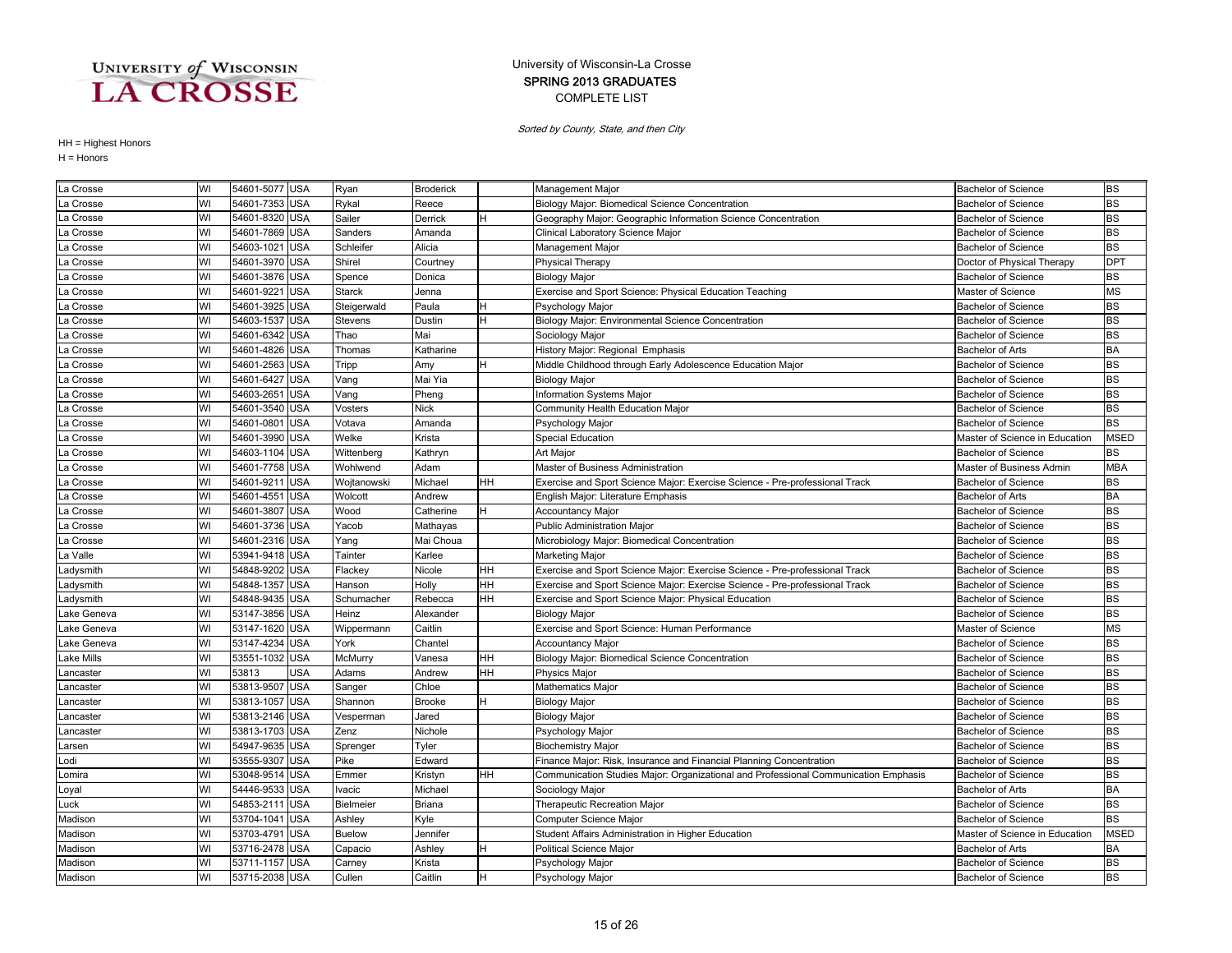### COMPLETE LIST SPRING 2013 GRADUATES University of Wisconsin-La Crosse

Sorted by County, State, and then City

| La Crosse   | WI | 54601-5077 USA |            | Ryan          | <b>Broderick</b> |     | Management Major                                                                    | <b>Bachelor of Science</b>     | <b>BS</b>   |
|-------------|----|----------------|------------|---------------|------------------|-----|-------------------------------------------------------------------------------------|--------------------------------|-------------|
| La Crosse   | WI | 54601-7353     | <b>USA</b> | Rykal         | Reece            |     | Biology Major: Biomedical Science Concentration                                     | Bachelor of Science            | <b>BS</b>   |
| La Crosse   | WI | 54601-8320 USA |            | Sailer        | Derrick          |     | Geography Major: Geographic Information Science Concentration                       | Bachelor of Science            | <b>BS</b>   |
| La Crosse   | WI | 54601-7869 USA |            | Sanders       | Amanda           |     | Clinical Laboratory Science Major                                                   | <b>Bachelor of Science</b>     | <b>BS</b>   |
| La Crosse   | WI | 54603-1021     | <b>USA</b> | Schleifer     | Alicia           |     | Management Major                                                                    | <b>Bachelor of Science</b>     | <b>BS</b>   |
| La Crosse   | WI | 54601-3970 USA |            | Shirel        | Courtney         |     | <b>Physical Therapy</b>                                                             | Doctor of Physical Therapy     | <b>DPT</b>  |
| La Crosse   | WI | 54601-3876 USA |            | Spence        | Donica           |     | <b>Biology Major</b>                                                                | Bachelor of Science            | <b>BS</b>   |
| La Crosse   | WI | 54601-9221     | <b>USA</b> | <b>Starck</b> | Jenna            |     | Exercise and Sport Science: Physical Education Teaching                             | Master of Science              | <b>MS</b>   |
| La Crosse   | WI | 54601-3925     | <b>USA</b> | Steigerwald   | Paula            |     | Psychology Major                                                                    | <b>Bachelor of Science</b>     | <b>BS</b>   |
| La Crosse   | WI | 54603-1537     | <b>USA</b> | Stevens       | Dustin           |     | Biology Major: Environmental Science Concentration                                  | <b>Bachelor of Science</b>     | <b>BS</b>   |
| La Crosse   | WI | 54601-6342     | <b>USA</b> | Thao          | Mai              |     | Sociology Major                                                                     | <b>Bachelor of Science</b>     | <b>BS</b>   |
| La Crosse   | WI | 54601-4826 USA |            | Thomas        | Katharine        |     | History Major: Regional Emphasis                                                    | <b>Bachelor of Arts</b>        | <b>BA</b>   |
| La Crosse   | WI | 54601-2563 USA |            | Tripp         | Amy              |     | Middle Childhood through Early Adolescence Education Major                          | <b>Bachelor of Science</b>     | <b>BS</b>   |
| La Crosse   | WI | 54601-6427 USA |            | Vang          | Mai Yia          |     | <b>Biology Major</b>                                                                | <b>Bachelor of Science</b>     | <b>BS</b>   |
| La Crosse   | WI | 54603-2651     | <b>USA</b> | Vang          | Pheng            |     | Information Systems Major                                                           | <b>Bachelor of Science</b>     | <b>BS</b>   |
| La Crosse   | WI | 54601-3540 USA |            | Vosters       | <b>Nick</b>      |     | Community Health Education Major                                                    | <b>Bachelor of Science</b>     | <b>BS</b>   |
| La Crosse   | WI | 54601-0801     | <b>USA</b> | Votava        | Amanda           |     | Psychology Major                                                                    | Bachelor of Science            | <b>BS</b>   |
| La Crosse   | WI | 54601-3990     | <b>USA</b> | Welke         | Krista           |     | <b>Special Education</b>                                                            | Master of Science in Education | <b>MSED</b> |
| La Crosse   | WI | 54603-1104     | <b>USA</b> | Wittenberg    | Kathryn          |     | Art Major                                                                           | Bachelor of Science            | <b>BS</b>   |
| La Crosse   | WI | 54601-7758 USA |            | Wohlwend      | Adam             |     | Master of Business Administration                                                   | Master of Business Admin       | <b>MBA</b>  |
| La Crosse   | WI | 54601-9211     | <b>USA</b> | Wojtanowski   | Michael          | HН  | Exercise and Sport Science Major: Exercise Science - Pre-professional Track         | <b>Bachelor of Science</b>     | <b>BS</b>   |
| La Crosse   | WI | 54601-4551     | <b>USA</b> | Wolcott       | Andrew           |     | English Major: Literature Emphasis                                                  | <b>Bachelor of Arts</b>        | <b>BA</b>   |
| La Crosse   | WI | 54601-3807 USA |            | Wood          | Catherine        | н   | <b>Accountancy Major</b>                                                            | <b>Bachelor of Science</b>     | <b>BS</b>   |
| La Crosse   | WI | 54601-3736 USA |            | Yacob         | Mathayas         |     | <b>Public Administration Major</b>                                                  | <b>Bachelor of Science</b>     | <b>BS</b>   |
| La Crosse   | WI | 54601-2316 USA |            | Yang          | Mai Choua        |     | Microbiology Major: Biomedical Concentration                                        | <b>Bachelor of Science</b>     | <b>BS</b>   |
| a Valle     | WI | 53941-9418     | <b>USA</b> | Tainter       | Karlee           |     | Marketing Major                                                                     | <b>Bachelor of Science</b>     | <b>BS</b>   |
| Ladysmith   | WI | 54848-9202     | <b>USA</b> | Flackey       | Nicole           | HН  | Exercise and Sport Science Major: Exercise Science - Pre-professional Track         | <b>Bachelor of Science</b>     | <b>BS</b>   |
| .adysmith   | WI | 54848-1357     | <b>USA</b> | Hanson        | Holly            | HН  | Exercise and Sport Science Major: Exercise Science - Pre-professional Track         | Bachelor of Science            | <b>BS</b>   |
| Ladysmith   | WI | 54848-9435 USA |            | Schumacher    | Rebecca          | HH. | Exercise and Sport Science Major: Physical Education                                | <b>Bachelor of Science</b>     | <b>BS</b>   |
| Lake Geneva | WI | 53147-3856 USA |            | Heinz         | Alexander        |     | <b>Biology Major</b>                                                                | <b>Bachelor of Science</b>     | <b>BS</b>   |
| Lake Geneva | WI | 53147-1620     | <b>USA</b> | Wippermann    | Caitlin          |     | Exercise and Sport Science: Human Performance                                       | Master of Science              | <b>MS</b>   |
| Lake Geneva | WI | 53147-4234     | <b>USA</b> | York          | Chantel          |     | <b>Accountancy Major</b>                                                            | <b>Bachelor of Science</b>     | <b>BS</b>   |
| Lake Mills  | WI | 53551-1032     | <b>USA</b> | McMurry       | Vanesa           | HH  | Biology Major: Biomedical Science Concentration                                     | <b>Bachelor of Science</b>     | <b>BS</b>   |
| Lancaster   | WI | 53813          | <b>USA</b> | Adams         | Andrew           | HН  | <b>Physics Major</b>                                                                | <b>Bachelor of Science</b>     | <b>BS</b>   |
| .ancaster   | WI | 53813-9507     | <b>USA</b> | Sanger        | Chloe            |     | Mathematics Major                                                                   | <b>Bachelor of Science</b>     | <b>BS</b>   |
| Lancaster   | WI | 53813-1057     | <b>USA</b> | Shannon       | <b>Brooke</b>    |     | <b>Biology Major</b>                                                                | <b>Bachelor of Science</b>     | <b>BS</b>   |
| -ancaster   | WI | 53813-2146 USA |            | Vesperman     | Jared            |     | <b>Biology Major</b>                                                                | <b>Bachelor of Science</b>     | <b>BS</b>   |
| Lancaster   | WI | 53813-1703 USA |            | Zenz          | Nichole          |     | Psychology Major                                                                    | <b>Bachelor of Science</b>     | <b>BS</b>   |
| Larsen      | WI | 54947-9635 USA |            | Sprenger      | Tyler            |     | <b>Biochemistry Major</b>                                                           | <b>Bachelor of Science</b>     | <b>BS</b>   |
| Lodi        | WI | 53555-9307     | <b>USA</b> | Pike          | Edward           |     | Finance Major: Risk, Insurance and Financial Planning Concentration                 | <b>Bachelor of Science</b>     | <b>BS</b>   |
| Lomira      | WI | 53048-9514     | <b>USA</b> | Emmer         | Kristyn          | HН  | Communication Studies Major: Organizational and Professional Communication Emphasis | <b>Bachelor of Science</b>     | <b>BS</b>   |
| Loyal       | WI | 54446-9533     | <b>USA</b> | vacic         | Michael          |     | Sociology Major                                                                     | <b>Bachelor of Arts</b>        | <b>BA</b>   |
| Luck        | WI | 54853-211      | <b>USA</b> | Bielmeier     | <b>Briana</b>    |     | Therapeutic Recreation Major                                                        | <b>Bachelor of Science</b>     | <b>BS</b>   |
| Madison     | WI | 53704-104      | USA        | Ashley        | Kyle             |     | Computer Science Major                                                              | Bachelor of Science            | <b>BS</b>   |
| Madison     | WI | 53703-4791     | <b>USA</b> | <b>Buelow</b> | Jennifer         |     | Student Affairs Administration in Higher Education                                  | Master of Science in Education | <b>MSED</b> |
| Madison     | WI | 53716-2478 USA |            | Capacio       | Ashley           |     | Political Science Major                                                             | <b>Bachelor of Arts</b>        | <b>BA</b>   |
| Madison     | WI | 53711-1157 USA |            | Carney        | Krista           |     | Psychology Major                                                                    | <b>Bachelor of Science</b>     | <b>BS</b>   |
| Madison     | WI | 53715-2038 USA |            | Cullen        | Caitlin          | H   | Psychology Major                                                                    | <b>Bachelor of Science</b>     | <b>BS</b>   |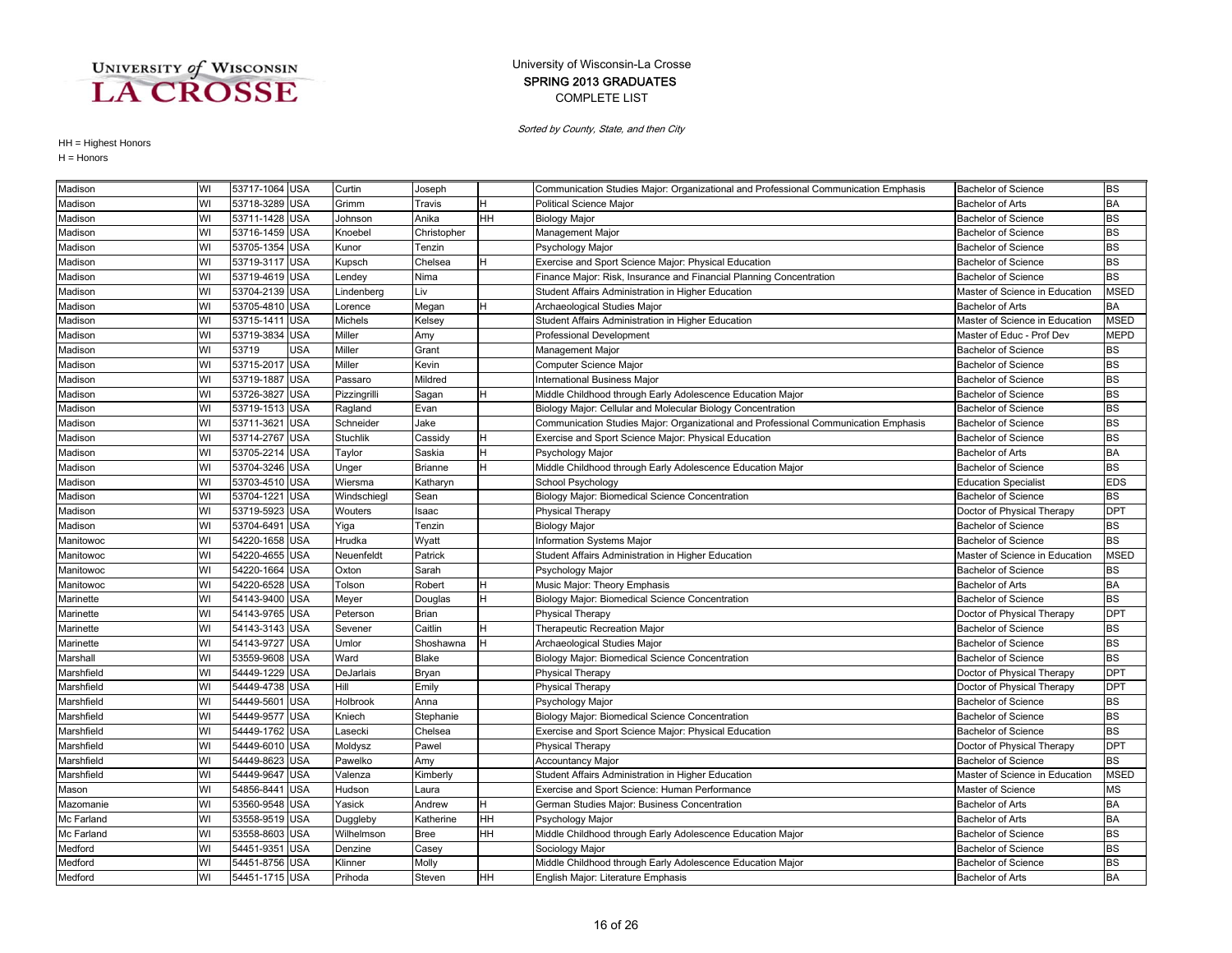### COMPLETE LIST SPRING 2013 GRADUATES University of Wisconsin-La Crosse

Sorted by County, State, and then City

| Madison    | WI | 53717-1064 USA |            | Curtin          | Joseph       |           | Communication Studies Major: Organizational and Professional Communication Emphasis | <b>Bachelor of Science</b>     | <b>BS</b>   |
|------------|----|----------------|------------|-----------------|--------------|-----------|-------------------------------------------------------------------------------------|--------------------------------|-------------|
| Madison    | WI | 53718-3289 USA |            | Grimm           | Travis       |           | Political Science Major                                                             | <b>Bachelor of Arts</b>        | <b>BA</b>   |
| Madison    | WI | 53711-1428 USA |            | Johnson         | Anika        | HH        | <b>Biology Major</b>                                                                | <b>Bachelor of Science</b>     | <b>BS</b>   |
| Madison    | WI | 53716-1459 USA |            | Knoebel         | Christopher  |           | Management Major                                                                    | <b>Bachelor of Science</b>     | <b>BS</b>   |
| Madison    | WI | 53705-1354 USA |            | Kunor           | Tenzin       |           | Psychology Major                                                                    | <b>Bachelor of Science</b>     | <b>BS</b>   |
| Madison    | WI | 53719-3117     | <b>USA</b> | Kupsch          | Chelsea      | H.        | Exercise and Sport Science Major: Physical Education                                | <b>Bachelor of Science</b>     | <b>BS</b>   |
| Madison    | WI | 53719-4619     | <b>USA</b> | Lendey          | Nima         |           | Finance Major: Risk, Insurance and Financial Planning Concentration                 | <b>Bachelor of Science</b>     | <b>BS</b>   |
| Madison    | WI | 53704-2139     | <b>USA</b> | Lindenberg      | Liv          |           | Student Affairs Administration in Higher Education                                  | Master of Science in Education | <b>MSED</b> |
| Madison    | WI | 53705-4810     | <b>USA</b> | Lorence         | Megan        | H         | Archaeological Studies Major                                                        | <b>Bachelor of Arts</b>        | <b>BA</b>   |
| Madison    | WI | 53715-1411     | <b>USA</b> | Michels         | Kelsey       |           | Student Affairs Administration in Higher Education                                  | Master of Science in Education | <b>MSED</b> |
| Madison    | WI | 53719-3834     | <b>USA</b> | Miller          | Amy          |           | Professional Development                                                            | Master of Educ - Prof Dev      | <b>MEPD</b> |
| Madison    | WI | 53719          | <b>USA</b> | Miller          | Grant        |           | Management Major                                                                    | <b>Bachelor of Science</b>     | <b>BS</b>   |
| Madison    | WI | 53715-2017 USA |            | Miller          | Kevin        |           | Computer Science Major                                                              | <b>Bachelor of Science</b>     | <b>BS</b>   |
| Madison    | WI | 53719-1887 USA |            | Passaro         | Mildred      |           | <b>International Business Major</b>                                                 | <b>Bachelor of Science</b>     | <b>BS</b>   |
| Madison    | WI | 53726-3827     | <b>USA</b> | Pizzingrilli    | Sagan        | H         | Middle Childhood through Early Adolescence Education Major                          | <b>Bachelor of Science</b>     | <b>BS</b>   |
| Madison    | WI | 53719-1513     | <b>USA</b> | Ragland         | Evan         |           | Biology Major: Cellular and Molecular Biology Concentration                         | <b>Bachelor of Science</b>     | <b>BS</b>   |
| Madison    | WI | 53711-3621     | <b>USA</b> | Schneider       | Jake         |           | Communication Studies Major: Organizational and Professional Communication Emphasis | <b>Bachelor of Science</b>     | <b>BS</b>   |
| Madison    | WI | 53714-2767     | <b>USA</b> | <b>Stuchlik</b> | Cassidy      |           | Exercise and Sport Science Major: Physical Education                                | <b>Bachelor of Science</b>     | <b>BS</b>   |
| Madison    | WI | 53705-2214     | <b>USA</b> | Taylor          | Saskia       |           | Psychology Major                                                                    | <b>Bachelor of Arts</b>        | <b>BA</b>   |
| Madison    | WI | 53704-3246 USA |            | Unger           | Brianne      | н         | Middle Childhood through Early Adolescence Education Major                          | <b>Bachelor of Science</b>     | <b>BS</b>   |
| Madison    | WI | 53703-4510 USA |            | Wiersma         | Katharyn     |           | School Psychology                                                                   | <b>Education Specialist</b>    | <b>EDS</b>  |
| Madison    | WI | 53704-1221 USA |            | Windschiegl     | Sean         |           | Biology Major: Biomedical Science Concentration                                     | <b>Bachelor of Science</b>     | <b>BS</b>   |
| Madison    | WI | 53719-5923     | <b>USA</b> | Wouters         | Isaac        |           | <b>Physical Therapy</b>                                                             | Doctor of Physical Therapy     | <b>DPT</b>  |
| Madison    | WI | 53704-6491     | <b>USA</b> | Yiga            | Tenzin       |           | <b>Biology Major</b>                                                                | <b>Bachelor of Science</b>     | <b>BS</b>   |
| Manitowoc  | WI | 54220-1658     | <b>USA</b> | Hrudka          | Wyatt        |           | <b>Information Systems Major</b>                                                    | <b>Bachelor of Science</b>     | <b>BS</b>   |
| Manitowoc  | WI | 54220-4655 USA |            | Neuenfeldt      | Patrick      |           | Student Affairs Administration in Higher Education                                  | Master of Science in Education | <b>MSED</b> |
| Manitowoc  | WI | 54220-1664     | <b>USA</b> | Oxton           | Sarah        |           | Psychology Major                                                                    | <b>Bachelor of Science</b>     | <b>BS</b>   |
| Manitowoc  | WI | 54220-6528 USA |            | Tolson          | Robert       | H         | Music Major: Theory Emphasis                                                        | Bachelor of Arts               | <b>BA</b>   |
| Marinette  | WI | 54143-9400 USA |            | Meyer           | Douglas      | H         | Biology Major: Biomedical Science Concentration                                     | Bachelor of Science            | <b>BS</b>   |
| Marinette  | WI | 54143-9765 USA |            | Peterson        | Brian        |           | <b>Physical Therapy</b>                                                             | Doctor of Physical Therapy     | <b>DPT</b>  |
| Marinette  | WI | 54143-3143     | <b>USA</b> | Sevener         | Caitlin      | H         | Therapeutic Recreation Major                                                        | <b>Bachelor of Science</b>     | <b>BS</b>   |
| Marinette  | WI | 54143-9727     | <b>USA</b> | Umlor           | Shoshawna    | H         | Archaeological Studies Major                                                        | <b>Bachelor of Science</b>     | <b>BS</b>   |
| Marshall   | WI | 53559-9608     | <b>USA</b> | Ward            | <b>Blake</b> |           | Biology Major: Biomedical Science Concentration                                     | <b>Bachelor of Science</b>     | <b>BS</b>   |
| Marshfield | WI | 54449-1229     | <b>USA</b> | DeJarlais       | Bryan        |           | Physical Therapy                                                                    | Doctor of Physical Therapy     | <b>DPT</b>  |
| Marshfield | WI | 54449-4738     | <b>USA</b> | Hill            | Emily        |           | Physical Therapy                                                                    | Doctor of Physical Therapy     | <b>DPT</b>  |
| Marshfield | WI | 54449-5601     | <b>USA</b> | Holbrook        | Anna         |           | Psychology Major                                                                    | <b>Bachelor of Science</b>     | <b>BS</b>   |
| Marshfield | WI | 54449-9577     | <b>USA</b> | Kniech          | Stephanie    |           | Biology Major: Biomedical Science Concentration                                     | <b>Bachelor of Science</b>     | <b>BS</b>   |
| Marshfield | WI | 54449-1762 USA |            | Lasecki         | Chelsea      |           | Exercise and Sport Science Major: Physical Education                                | <b>Bachelor of Science</b>     | <b>BS</b>   |
| Marshfield | WI | 54449-6010 USA |            | Moldysz         | Pawel        |           | <b>Physical Therapy</b>                                                             | Doctor of Physical Therapy     | <b>DPT</b>  |
| Marshfield | WI | 54449-8623     | <b>USA</b> | Pawelko         | Amy          |           | <b>Accountancy Major</b>                                                            | <b>Bachelor of Science</b>     | <b>BS</b>   |
| Marshfield | WI | 54449-9647     | <b>USA</b> | Valenza         | Kimberly     |           | Student Affairs Administration in Higher Education                                  | Master of Science in Education | <b>MSED</b> |
| Mason      | WI | 54856-8441     | <b>USA</b> | Hudson          | Laura        |           | Exercise and Sport Science: Human Performance                                       | Master of Science              | <b>MS</b>   |
| Mazomanie  | WI | 53560-9548     | <b>USA</b> | Yasick          | Andrew       |           | German Studies Major: Business Concentration                                        | <b>Bachelor of Arts</b>        | <b>BA</b>   |
| Mc Farland | WI | 53558-9519 USA |            | Duggleby        | Katherine    | HH        | Psychology Major                                                                    | <b>Bachelor of Arts</b>        | <b>BA</b>   |
| Mc Farland | WI | 53558-8603 USA |            | Wilhelmson      | <b>Bree</b>  | HH        | Middle Childhood through Early Adolescence Education Major                          | <b>Bachelor of Science</b>     | <b>BS</b>   |
| Medford    | WI | 54451-9351 USA |            | Denzine         | Casey        |           | Sociology Major                                                                     | <b>Bachelor of Science</b>     | <b>BS</b>   |
| Medford    | WI | 54451-8756 USA |            | Klinner         | Molly        |           | Middle Childhood through Early Adolescence Education Major                          | <b>Bachelor of Science</b>     | <b>BS</b>   |
| Medford    | WI | 54451-1715 USA |            | Prihoda         | Steven       | <b>HH</b> | English Major: Literature Emphasis                                                  | <b>Bachelor of Arts</b>        | <b>BA</b>   |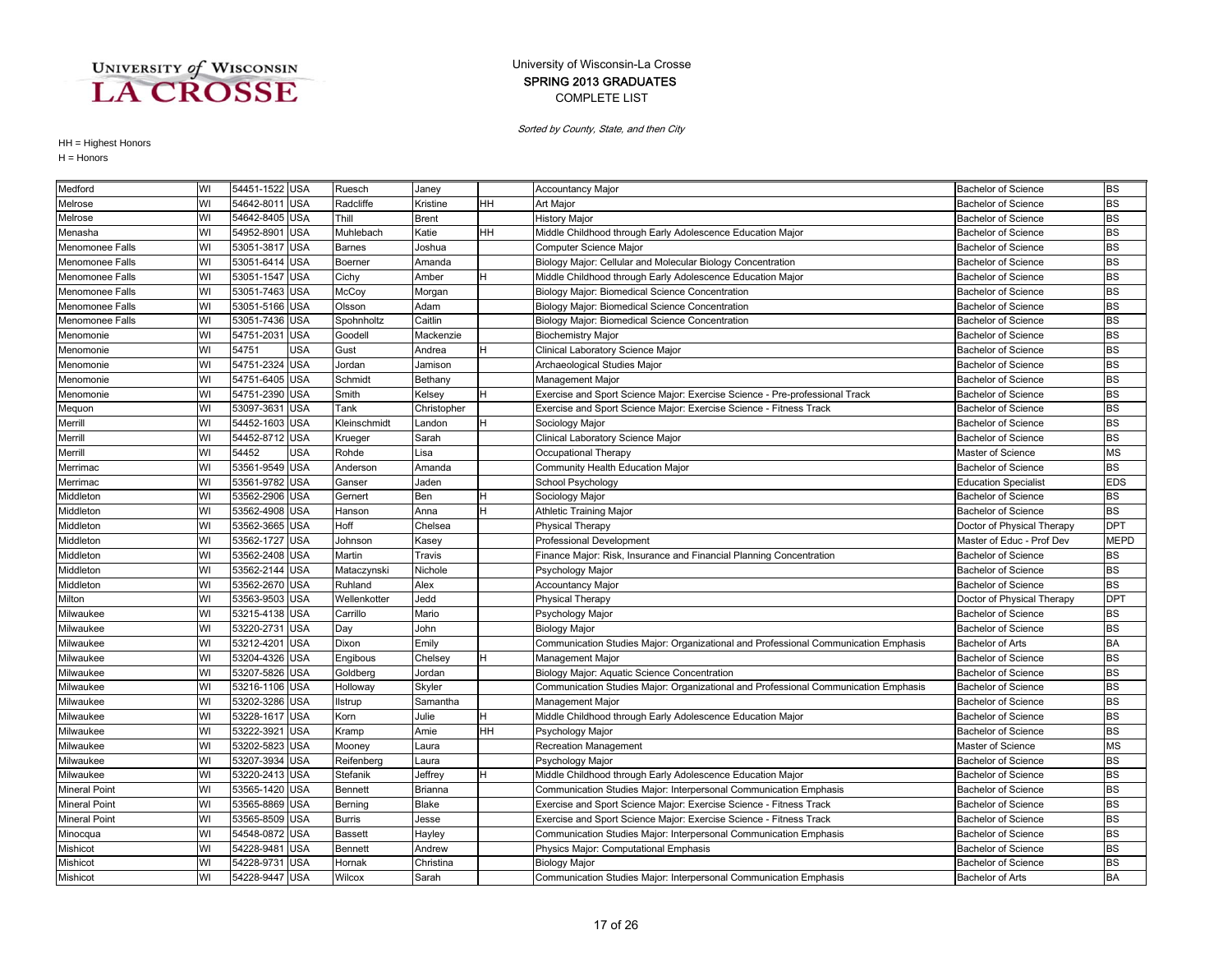### COMPLETE LIST SPRING 2013 GRADUATES University of Wisconsin-La Crosse

Sorted by County, State, and then City

| Medford              | WI | 54451-1522 USA |            | Ruesch         | Janey        |           | <b>Accountancy Major</b>                                                            | <b>Bachelor of Science</b>  | <b>BS</b>   |
|----------------------|----|----------------|------------|----------------|--------------|-----------|-------------------------------------------------------------------------------------|-----------------------------|-------------|
| Melrose              | WI | 54642-8011 USA |            | Radcliffe      | Kristine     | HH        | Art Major                                                                           | <b>Bachelor of Science</b>  | <b>BS</b>   |
| Melrose              | WI | 54642-8405 USA |            | Thill          | <b>Brent</b> |           | <b>History Major</b>                                                                | <b>Bachelor of Science</b>  | <b>BS</b>   |
| Menasha              | WI | 54952-8901 USA |            | Muhlebach      | Katie        | <b>HH</b> | Middle Childhood through Early Adolescence Education Major                          | <b>Bachelor of Science</b>  | <b>BS</b>   |
| Menomonee Falls      | WI | 53051-3817 USA |            | <b>Barnes</b>  | Joshua       |           | Computer Science Major                                                              | <b>Bachelor of Science</b>  | <b>BS</b>   |
| Menomonee Falls      | WI | 53051-6414 USA |            | Boerner        | Amanda       |           | Biology Major: Cellular and Molecular Biology Concentration                         | <b>Bachelor of Science</b>  | <b>BS</b>   |
| Menomonee Falls      | WI | 53051-1547 USA |            | Cichy          | Amber        | Η         | Middle Childhood through Early Adolescence Education Major                          | <b>Bachelor of Science</b>  | <b>BS</b>   |
| Menomonee Falls      | WI | 53051-7463 USA |            | McCoy          | Morgan       |           | Biology Major: Biomedical Science Concentration                                     | <b>Bachelor of Science</b>  | <b>BS</b>   |
| Menomonee Falls      | WI | 53051-5166 USA |            | Olsson         | Adam         |           | Biology Major: Biomedical Science Concentration                                     | <b>Bachelor of Science</b>  | <b>BS</b>   |
| Menomonee Falls      | WI | 53051-7436 USA |            | Spohnholtz     | Caitlin      |           | Biology Major: Biomedical Science Concentration                                     | <b>Bachelor of Science</b>  | <b>BS</b>   |
| Menomonie            | WI | 54751-2031 USA |            | Goodell        | Mackenzie    |           | <b>Biochemistry Major</b>                                                           | <b>Bachelor of Science</b>  | <b>BS</b>   |
| Menomonie            | WI | 54751          | <b>USA</b> | Gust           | Andrea       | <b>H</b>  | Clinical Laboratory Science Major                                                   | <b>Bachelor of Science</b>  | <b>BS</b>   |
| Menomonie            | WI | 54751-2324 USA |            | Jordan         | Jamison      |           | Archaeological Studies Major                                                        | <b>Bachelor of Science</b>  | <b>BS</b>   |
| Menomonie            | WI | 54751-6405 USA |            | Schmidt        | Bethany      |           | Management Major                                                                    | <b>Bachelor of Science</b>  | <b>BS</b>   |
| Menomonie            | WI | 54751-2390 USA |            | Smith          | Kelsey       | Iн        | Exercise and Sport Science Major: Exercise Science - Pre-professional Track         | <b>Bachelor of Science</b>  | <b>BS</b>   |
| Mequon               | WI | 53097-3631 USA |            | Tank           | Christopher  |           | Exercise and Sport Science Major: Exercise Science - Fitness Track                  | <b>Bachelor of Science</b>  | <b>BS</b>   |
| Merrill              | WI | 54452-1603 USA |            | Kleinschmidt   | Landon       |           | Sociology Major                                                                     | <b>Bachelor of Science</b>  | <b>BS</b>   |
| Merrill              | WI | 54452-8712 USA |            | Krueger        | Sarah        |           | Clinical Laboratory Science Major                                                   | <b>Bachelor of Science</b>  | <b>BS</b>   |
| Merrill              | WI | 54452          | USA        | Rohde          | Lisa         |           | Occupational Therapy                                                                | Master of Science           | <b>MS</b>   |
| Merrimac             | WI | 53561-9549 USA |            | Anderson       | Amanda       |           | Community Health Education Major                                                    | <b>Bachelor of Science</b>  | <b>BS</b>   |
| Merrimac             | WI | 53561-9782 USA |            | Ganser         | Jaden        |           | School Psychology                                                                   | <b>Education Specialist</b> | <b>EDS</b>  |
| Middleton            | WI | 53562-2906 USA |            | Gernert        | Ben          | Η         | Sociology Major                                                                     | <b>Bachelor of Science</b>  | <b>BS</b>   |
| Middleton            | WI | 53562-4908     | <b>USA</b> | Hanson         | Anna         | H         | <b>Athletic Training Major</b>                                                      | <b>Bachelor of Science</b>  | <b>BS</b>   |
| Middleton            | WI | 53562-3665 USA |            | Hoff           | Chelsea      |           | <b>Physical Therapy</b>                                                             | Doctor of Physical Therapy  | <b>DPT</b>  |
| Middleton            | WI | 53562-1727 USA |            | Johnson        | Kasey        |           | <b>Professional Development</b>                                                     | Master of Educ - Prof Dev   | <b>MEPD</b> |
| Middleton            | WI | 53562-2408 USA |            | Martin         | Travis       |           | Finance Major: Risk, Insurance and Financial Planning Concentration                 | <b>Bachelor of Science</b>  | <b>BS</b>   |
| Middleton            | WI | 53562-2144     | <b>USA</b> | Mataczynski    | Nichole      |           | Psychology Major                                                                    | <b>Bachelor of Science</b>  | <b>BS</b>   |
| Middleton            | WI | 53562-2670 USA |            | Ruhland        | Alex         |           | Accountancy Major                                                                   | <b>Bachelor of Science</b>  | <b>BS</b>   |
| Milton               | WI | 53563-9503 USA |            | Wellenkotter   | Jedd         |           | <b>Physical Therapy</b>                                                             | Doctor of Physical Therapy  | <b>DPT</b>  |
| Milwaukee            | WI | 53215-4138 USA |            | Carrillo       | Mario        |           | Psychology Major                                                                    | <b>Bachelor of Science</b>  | <b>BS</b>   |
| Milwaukee            | WI | 53220-2731     | <b>USA</b> | Day            | John         |           | <b>Biology Major</b>                                                                | <b>Bachelor of Science</b>  | <b>BS</b>   |
| Milwaukee            | WI | 53212-4201 USA |            | Dixon          | Emily        |           | Communication Studies Major: Organizational and Professional Communication Emphasis | <b>Bachelor of Arts</b>     | <b>BA</b>   |
| Milwaukee            | WI | 53204-4326 USA |            | Engibous       | Chelsey      | Iн        | <b>Management Major</b>                                                             | <b>Bachelor of Science</b>  | <b>BS</b>   |
| Milwaukee            | WI | 53207-5826 USA |            | Goldberg       | Jordan       |           | Biology Major: Aquatic Science Concentration                                        | <b>Bachelor of Science</b>  | <b>BS</b>   |
| Milwaukee            | WI | 53216-1106 USA |            | Holloway       | Skyler       |           | Communication Studies Major: Organizational and Professional Communication Emphasis | <b>Bachelor of Science</b>  | <b>BS</b>   |
| Milwaukee            | WI | 53202-3286 USA |            | llstrup        | Samantha     |           | Management Major                                                                    | <b>Bachelor of Science</b>  | <b>BS</b>   |
| Milwaukee            | WI | 53228-1617 USA |            | Korn           | Julie        | Η         | Middle Childhood through Early Adolescence Education Major                          | <b>Bachelor of Science</b>  | <b>BS</b>   |
| Milwaukee            | WI | 53222-3921 USA |            | Kramp          | Amie         | <b>HH</b> | Psychology Major                                                                    | <b>Bachelor of Science</b>  | <b>BS</b>   |
| Milwaukee            | WI | 53202-5823 USA |            | Mooney         | Laura        |           | Recreation Management                                                               | Master of Science           | <b>MS</b>   |
| Milwaukee            | WI | 53207-3934 USA |            | Reifenberg     | Laura        |           | Psychology Major                                                                    | <b>Bachelor of Science</b>  | <b>BS</b>   |
| Milwaukee            | WI | 53220-2413 USA |            | Stefanik       | Jeffrey      | H         | Middle Childhood through Early Adolescence Education Major                          | <b>Bachelor of Science</b>  | <b>BS</b>   |
| <b>Mineral Point</b> | WI | 53565-1420 USA |            | <b>Bennett</b> | Brianna      |           | Communication Studies Major: Interpersonal Communication Emphasis                   | <b>Bachelor of Science</b>  | <b>BS</b>   |
| <b>Mineral Point</b> | WI | 53565-8869 USA |            | Berning        | Blake        |           | Exercise and Sport Science Major: Exercise Science - Fitness Track                  | <b>Bachelor of Science</b>  | <b>BS</b>   |
| <b>Mineral Point</b> | WI | 53565-8509 USA |            | Burris         | Jesse        |           | Exercise and Sport Science Major: Exercise Science - Fitness Track                  | <b>Bachelor of Science</b>  | <b>BS</b>   |
| Minocqua             | WI | 54548-0872 USA |            | <b>Bassett</b> | Hayley       |           | Communication Studies Major: Interpersonal Communication Emphasis                   | <b>Bachelor of Science</b>  | <b>BS</b>   |
| Mishicot             | WI | 54228-9481 USA |            | Bennett        | Andrew       |           | Physics Major: Computational Emphasis                                               | <b>Bachelor of Science</b>  | <b>BS</b>   |
| Mishicot             | WI | 54228-9731 USA |            | Hornak         | Christina    |           | <b>Biology Major</b>                                                                | <b>Bachelor of Science</b>  | <b>BS</b>   |
| Mishicot             | WI | 54228-9447 USA |            | Wilcox         | Sarah        |           | Communication Studies Major: Interpersonal Communication Emphasis                   | <b>Bachelor of Arts</b>     | <b>BA</b>   |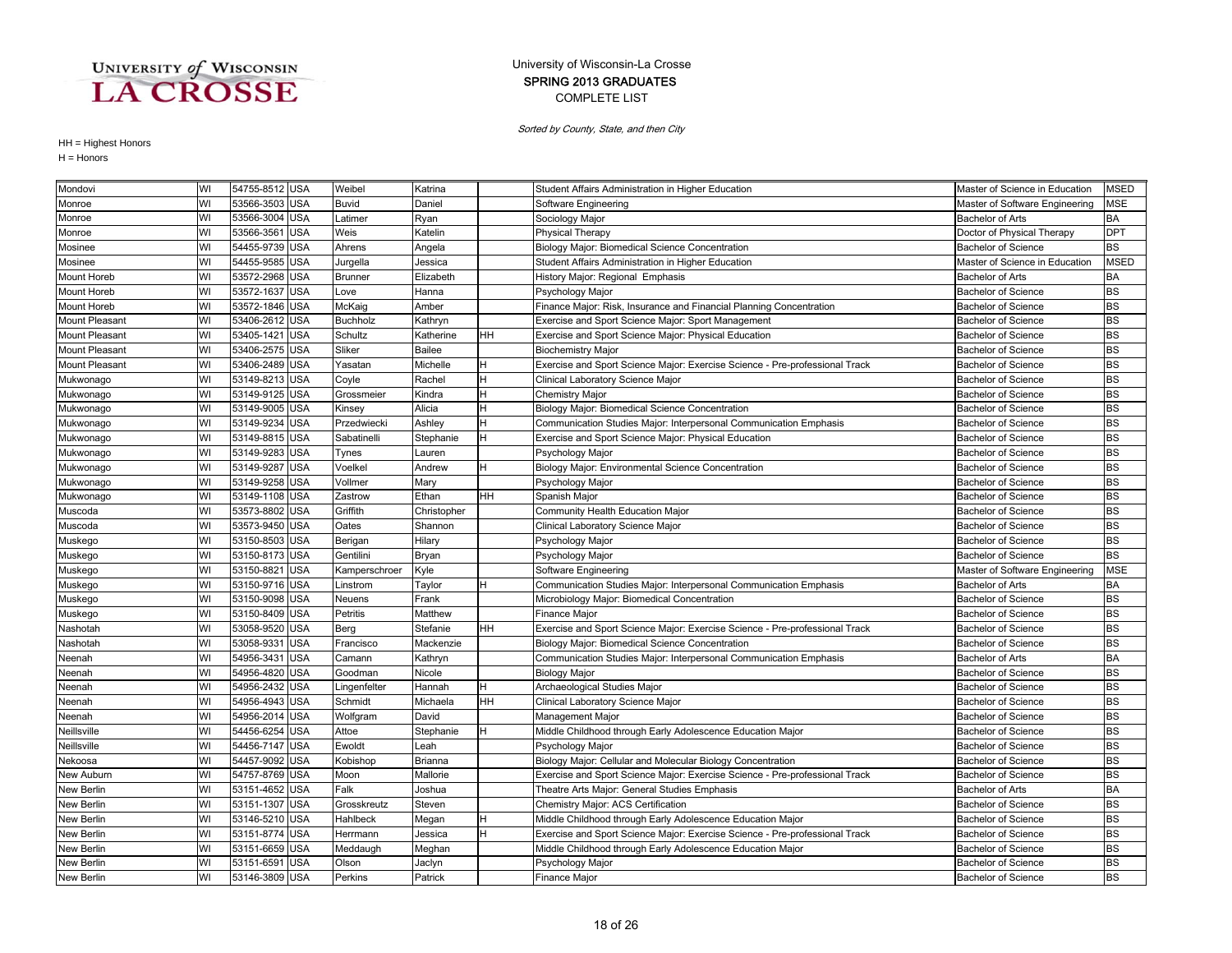### COMPLETE LIST SPRING 2013 GRADUATES University of Wisconsin-La Crosse

Sorted by County, State, and then City

| Mondovi               | WI | 54755-8512 USA |            | Weibel         | Katrina     |    | Student Affairs Administration in Higher Education                          | Master of Science in Education | <b>MSED</b> |
|-----------------------|----|----------------|------------|----------------|-------------|----|-----------------------------------------------------------------------------|--------------------------------|-------------|
| Monroe                | WI | 53566-3503 USA |            | Buvid          | Daniel      |    | Software Engineering                                                        | Master of Software Engineering | <b>MSE</b>  |
| Monroe                | WI | 53566-3004 USA |            | Latimer        | Ryan        |    | Sociology Major                                                             | <b>Bachelor of Arts</b>        | BA          |
| Monroe                | WI | 53566-3561     | <b>USA</b> | Weis           | Katelin     |    | <b>Physical Therapy</b>                                                     | Doctor of Physical Therapy     | <b>DPT</b>  |
| Mosinee               | WI | 54455-9739 USA |            | Ahrens         | Angela      |    | Biology Major: Biomedical Science Concentration                             | <b>Bachelor of Science</b>     | <b>BS</b>   |
| Mosinee               | WI | 54455-9585     | <b>USA</b> | Jurgella       | Jessica     |    | Student Affairs Administration in Higher Education                          | Master of Science in Education | <b>MSED</b> |
| Mount Horeb           | WI | 53572-2968 USA |            | <b>Brunner</b> | Elizabeth   |    | History Major: Regional Emphasis                                            | <b>Bachelor of Arts</b>        | BA          |
| Mount Horeb           | WI | 53572-1637     | <b>USA</b> | Love           | Hanna       |    | Psychology Major                                                            | <b>Bachelor of Science</b>     | <b>BS</b>   |
| Mount Horeb           | WI | 53572-1846 USA |            | McKaig         | Amber       |    | Finance Major: Risk, Insurance and Financial Planning Concentration         | <b>Bachelor of Science</b>     | <b>BS</b>   |
| <b>Mount Pleasant</b> | WI | 53406-2612     | <b>USA</b> | Buchholz       | Kathryn     |    | Exercise and Sport Science Major: Sport Management                          | <b>Bachelor of Science</b>     | <b>BS</b>   |
| Mount Pleasant        | WI | 53405-1421     | <b>USA</b> | Schultz        | Katherine   | HН | Exercise and Sport Science Major: Physical Education                        | Bachelor of Science            | <b>BS</b>   |
| Mount Pleasant        | WI | 53406-2575 USA |            | Sliker         | Bailee      |    | <b>Biochemistry Major</b>                                                   | <b>Bachelor of Science</b>     | BS          |
| Mount Pleasant        | WI | 53406-2489 USA |            | Yasatan        | Michelle    |    | Exercise and Sport Science Major: Exercise Science - Pre-professional Track | <b>Bachelor of Science</b>     | <b>BS</b>   |
| Mukwonago             | WI | 53149-8213     | <b>USA</b> | Coyle          | Rachel      | н  | Clinical Laboratory Science Major                                           | <b>Bachelor of Science</b>     | <b>BS</b>   |
| Mukwonago             | WI | 53149-9125 USA |            | Grossmeier     | Kindra      | н  | <b>Chemistry Major</b>                                                      | <b>Bachelor of Science</b>     | <b>BS</b>   |
| Mukwonago             | WI | 53149-9005 USA |            | Kinsey         | Alicia      | H  | Biology Major: Biomedical Science Concentration                             | <b>Bachelor of Science</b>     | <b>BS</b>   |
| Mukwonago             | WI | 53149-9234     | <b>USA</b> | Przedwiecki    | Ashley      | н  | Communication Studies Major: Interpersonal Communication Emphasis           | <b>Bachelor of Science</b>     | <b>BS</b>   |
| Mukwonago             | WI | 53149-8815     | <b>USA</b> | Sabatinelli    | Stephanie   | H  | Exercise and Sport Science Major: Physical Education                        | <b>Bachelor of Science</b>     | <b>BS</b>   |
| Mukwonago             | WI | 53149-9283     | <b>USA</b> | Tynes          | Lauren      |    | Psychology Major                                                            | <b>Bachelor of Science</b>     | <b>BS</b>   |
| Mukwonago             | WI | 53149-9287 USA |            | Voelkel        | Andrew      |    | Biology Major: Environmental Science Concentration                          | <b>Bachelor of Science</b>     | <b>BS</b>   |
| Mukwonago             | WI | 53149-9258 USA |            | Vollmer        | Mary        |    | Psychology Major                                                            | <b>Bachelor of Science</b>     | <b>BS</b>   |
| Mukwonago             | WI | 53149-1108 USA |            | Zastrow        | Ethan       | HH | Spanish Major                                                               | Bachelor of Science            | <b>BS</b>   |
| Muscoda               | WI | 53573-8802     | <b>USA</b> | Griffith       | Christopher |    | Community Health Education Major                                            | <b>Bachelor of Science</b>     | BS          |
| Muscoda               | WI | 53573-9450 USA |            | Oates          | Shannon     |    | Clinical Laboratory Science Major                                           | <b>Bachelor of Science</b>     | <b>BS</b>   |
| Muskego               | WI | 53150-8503 USA |            | Berigan        | Hilary      |    | Psychology Major                                                            | <b>Bachelor of Science</b>     | <b>BS</b>   |
| Muskego               | WI | 53150-8173 USA |            | Gentilini      | Bryan       |    | Psychology Major                                                            | <b>Bachelor of Science</b>     | <b>BS</b>   |
| Muskego               | WI | 53150-882      | <b>USA</b> | Kamperschroer  | Kyle        |    | Software Engineering                                                        | Master of Software Engineering | <b>MSE</b>  |
| Muskego               | WI | 53150-9716 USA |            | .instrom       | Taylor      | н  | Communication Studies Major: Interpersonal Communication Emphasis           | <b>Bachelor of Arts</b>        | BA          |
| Muskego               | WI | 53150-9098 USA |            | Neuens         | Frank       |    | Microbiology Major: Biomedical Concentration                                | <b>Bachelor of Science</b>     | <b>BS</b>   |
| Muskego               | WI | 53150-8409 USA |            | Petritis       | Matthew     |    | <b>Finance Major</b>                                                        | <b>Bachelor of Science</b>     | <b>BS</b>   |
| Nashotah              | WI | 53058-9520     | <b>USA</b> | Berg           | Stefanie    | HH | Exercise and Sport Science Major: Exercise Science - Pre-professional Track | <b>Bachelor of Science</b>     | <b>BS</b>   |
| Nashotah              | WI | 53058-9331     | <b>USA</b> | Francisco      | Mackenzie   |    | Biology Major: Biomedical Science Concentration                             | <b>Bachelor of Science</b>     | <b>BS</b>   |
| Neenah                | WI | 54956-3431     | <b>USA</b> | Camann         | Kathryn     |    | Communication Studies Major: Interpersonal Communication Emphasis           | <b>Bachelor of Arts</b>        | BA          |
| Neenah                | WI | 54956-4820     | <b>USA</b> | Goodman        | Nicole      |    | <b>Biology Major</b>                                                        | <b>Bachelor of Science</b>     | <b>BS</b>   |
| Neenah                | WI | 54956-2432     | <b>USA</b> | _ingenfelter   | Hannah      | н  | Archaeological Studies Major                                                | <b>Bachelor of Science</b>     | <b>BS</b>   |
| Neenah                | WI | 54956-4943 USA |            | Schmidt        | Michaela    | HН | Clinical Laboratory Science Major                                           | <b>Bachelor of Science</b>     | <b>BS</b>   |
| Neenah                | WI | 54956-2014     | <b>USA</b> | Wolfgram       | David       |    | Management Major                                                            | <b>Bachelor of Science</b>     | BS          |
| Neillsville           | WI | 54456-6254 USA |            | Attoe          | Stephanie   | H  | Middle Childhood through Early Adolescence Education Major                  | <b>Bachelor of Science</b>     | <b>BS</b>   |
| Neillsville           | WI | 54456-7147 USA |            | Ewoldt         | Leah        |    | Psychology Major                                                            | <b>Bachelor of Science</b>     | <b>BS</b>   |
| Nekoosa               | WI | 54457-9092     | <b>USA</b> | Kobishop       | Brianna     |    | Biology Major: Cellular and Molecular Biology Concentration                 | <b>Bachelor of Science</b>     | <b>BS</b>   |
| New Auburn            | WI | 54757-8769 USA |            | Moon           | Mallorie    |    | Exercise and Sport Science Major: Exercise Science - Pre-professional Track | <b>Bachelor of Science</b>     | <b>BS</b>   |
| New Berlin            | WI | 53151-4652     | <b>USA</b> | Falk           | Joshua      |    | Theatre Arts Major: General Studies Emphasis                                | <b>Bachelor of Arts</b>        | BA          |
| New Berlin            | WI | 53151-1307     | <b>USA</b> | Grosskreutz    | Steven      |    | Chemistry Major: ACS Certification                                          | <b>Bachelor of Science</b>     | <b>BS</b>   |
| New Berlin            | WI | 53146-5210     | <b>USA</b> | Hahlbeck       | Megan       |    | Middle Childhood through Early Adolescence Education Major                  | <b>Bachelor of Science</b>     | <b>BS</b>   |
| New Berlin            | WI | 53151-8774 USA |            | Herrmann       | Jessica     | н  | Exercise and Sport Science Major: Exercise Science - Pre-professional Track | <b>Bachelor of Science</b>     | <b>BS</b>   |
| New Berlin            | WI | 53151-6659 USA |            | Meddaugh       | Meghan      |    | Middle Childhood through Early Adolescence Education Major                  | <b>Bachelor of Science</b>     | BS          |
| New Berlin            | WI | 53151-6591     | <b>USA</b> | Olson          | Jaclyn      |    | Psychology Major                                                            | <b>Bachelor of Science</b>     | <b>BS</b>   |
| New Berlin            | WI | 53146-3809 USA |            | Perkins        | Patrick     |    | Finance Major                                                               | <b>Bachelor of Science</b>     | <b>BS</b>   |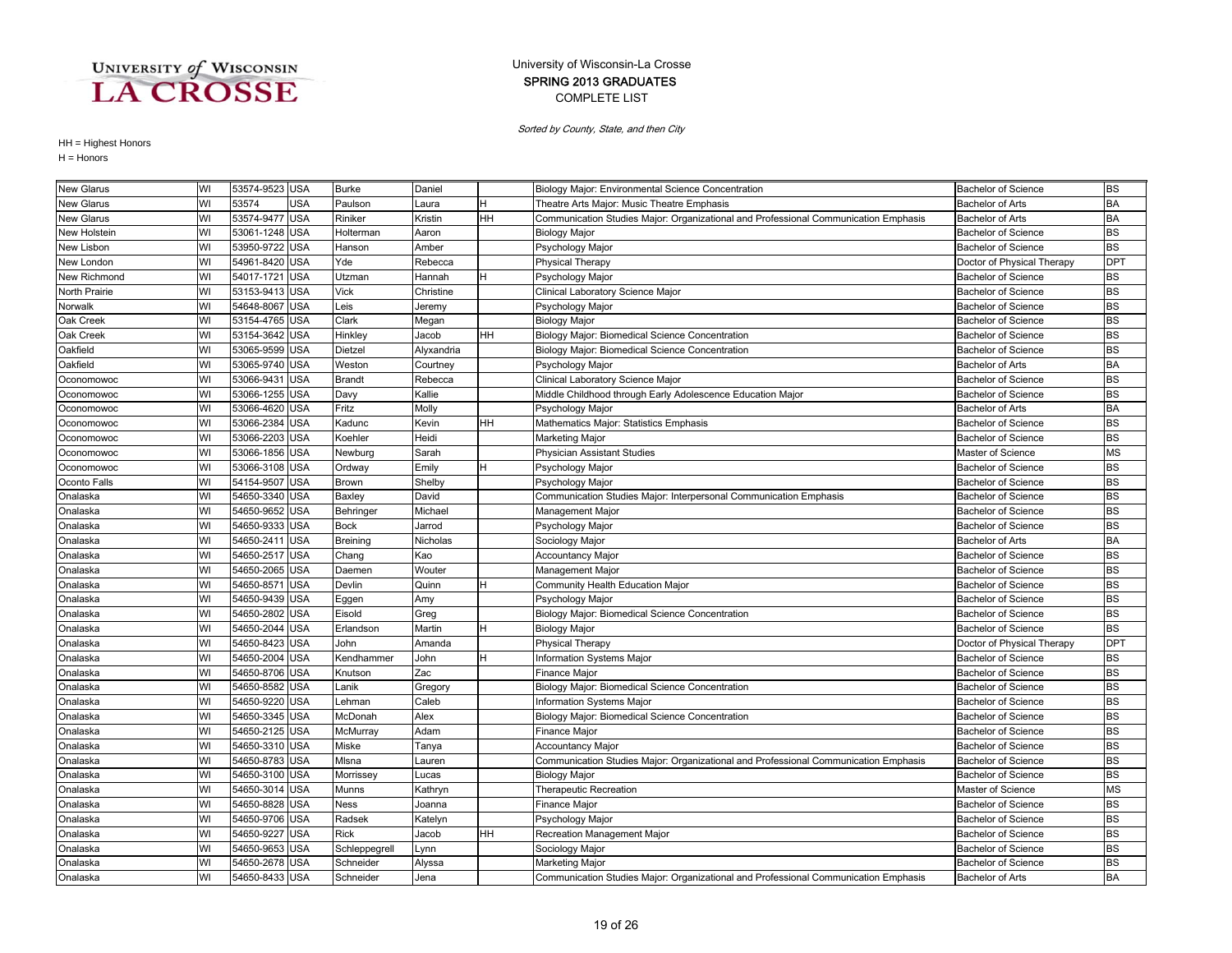### COMPLETE LIST SPRING 2013 GRADUATES University of Wisconsin-La Crosse

Sorted by County, State, and then City

| <b>New Glarus</b> | WI | 53574-9523 USA |            | <b>Burke</b>  | Daniel     |    | Biology Major: Environmental Science Concentration                                  | <b>Bachelor of Science</b> | <b>BS</b>  |
|-------------------|----|----------------|------------|---------------|------------|----|-------------------------------------------------------------------------------------|----------------------------|------------|
| <b>New Glarus</b> | WI | 53574          | USA        | Paulson       | Laura      |    | Theatre Arts Major: Music Theatre Emphasis                                          | <b>Bachelor of Arts</b>    | <b>BA</b>  |
| <b>New Glarus</b> | WI | 53574-9477 USA |            | Riniker       | Kristin    | HН | Communication Studies Major: Organizational and Professional Communication Emphasis | <b>Bachelor of Arts</b>    | <b>BA</b>  |
| New Holstein      | WI | 53061-1248 USA |            | Holterman     | Aaron      |    | <b>Biology Major</b>                                                                | <b>Bachelor of Science</b> | <b>BS</b>  |
| New Lisbon        | WI | 53950-9722     | <b>USA</b> | Hanson        | Amber      |    | Psychology Major                                                                    | <b>Bachelor of Science</b> | <b>BS</b>  |
| New London        | WI | 54961-8420 USA |            | Yde           | Rebecca    |    | <b>Physical Therapy</b>                                                             | Doctor of Physical Therapy | <b>DPT</b> |
| New Richmond      | WI | 54017-1721     | <b>USA</b> | Utzman        | Hannah     | н  | Psychology Major                                                                    | <b>Bachelor of Science</b> | <b>BS</b>  |
| North Prairie     | WI | 53153-9413     | <b>USA</b> | Vick          | Christine  |    | Clinical Laboratory Science Major                                                   | <b>Bachelor of Science</b> | <b>BS</b>  |
| Norwalk           | WI | 54648-8067     | <b>USA</b> | Leis          | Jeremy     |    | Psychology Major                                                                    | <b>Bachelor of Science</b> | <b>BS</b>  |
| Oak Creek         | WI | 53154-4765 USA |            | Clark         | Megan      |    | <b>Biology Major</b>                                                                | <b>Bachelor of Science</b> | <b>BS</b>  |
| Oak Creek         | WI | 53154-3642 USA |            | Hinkley       | Jacob      | HH | Biology Major: Biomedical Science Concentration                                     | <b>Bachelor of Science</b> | <b>BS</b>  |
| Oakfield          | WI | 53065-9599 USA |            | Dietzel       | Alyxandria |    | Biology Major: Biomedical Science Concentration                                     | <b>Bachelor of Science</b> | <b>BS</b>  |
| Oakfield          | WI | 53065-9740 USA |            | Weston        | Courtney   |    | Psychology Major                                                                    | <b>Bachelor of Arts</b>    | <b>BA</b>  |
| Oconomowoc        | WI | 53066-943      | <b>USA</b> | Brandt        | Rebecca    |    | Clinical Laboratory Science Major                                                   | <b>Bachelor of Science</b> | <b>BS</b>  |
| Oconomowoc        | WI | 53066-1255 USA |            | Davy          | Kallie     |    | Middle Childhood through Early Adolescence Education Major                          | <b>Bachelor of Science</b> | <b>BS</b>  |
| Oconomowoc        | WI | 53066-4620     | <b>USA</b> | Fritz         | Molly      |    | Psychology Major                                                                    | <b>Bachelor of Arts</b>    | <b>BA</b>  |
| Oconomowoc        | WI | 53066-2384     | <b>USA</b> | Kadunc        | Kevin      | HН | Mathematics Major: Statistics Emphasis                                              | <b>Bachelor of Science</b> | <b>BS</b>  |
| Oconomowoc        | WI | 53066-2203     | <b>USA</b> | Koehler       | Heidi      |    | Marketing Major                                                                     | <b>Bachelor of Science</b> | <b>BS</b>  |
| Oconomowoc        | WI | 53066-1856 USA |            | Newburg       | Sarah      |    | Physician Assistant Studies                                                         | Master of Science          | <b>MS</b>  |
| Oconomowoc        | WI | 53066-3108 USA |            | Ordway        | Emily      | н  | Psychology Major                                                                    | <b>Bachelor of Science</b> | <b>BS</b>  |
| Oconto Falls      | WI | 54154-9507     | <b>USA</b> | Brown         | Shelby     |    | Psychology Major                                                                    | <b>Bachelor of Science</b> | <b>BS</b>  |
| Onalaska          | WI | 54650-3340 USA |            | Baxley        | David      |    | Communication Studies Major: Interpersonal Communication Emphasis                   | <b>Bachelor of Science</b> | <b>BS</b>  |
| Onalaska          | WI | 54650-9652     | <b>USA</b> | Behringer     | Michael    |    | Management Major                                                                    | <b>Bachelor of Science</b> | <b>BS</b>  |
| Onalaska          | WI | 54650-9333     | <b>USA</b> | <b>Bock</b>   | Jarrod     |    | Psychology Major                                                                    | <b>Bachelor of Science</b> | <b>BS</b>  |
| Onalaska          | WI | 54650-241      | <b>USA</b> | Breining      | Nicholas   |    | Sociology Major                                                                     | <b>Bachelor of Arts</b>    | <b>BA</b>  |
| Onalaska          | WI | 54650-2517     | <b>USA</b> | Chang         | Kao        |    | Accountancy Major                                                                   | <b>Bachelor of Science</b> | <b>BS</b>  |
| Onalaska          | WI | 54650-2065 USA |            | Daemen        | Wouter     |    | Management Major                                                                    | <b>Bachelor of Science</b> | <b>BS</b>  |
| Onalaska          | WI | 54650-8571     | <b>USA</b> | Devlin        | Quinn      | н  | Community Health Education Major                                                    | <b>Bachelor of Science</b> | <b>BS</b>  |
| Onalaska          | WI | 54650-9439 USA |            | Eggen         | Amy        |    | Psychology Major                                                                    | <b>Bachelor of Science</b> | <b>BS</b>  |
| Onalaska          | WI | 54650-2802     | <b>USA</b> | Eisold        | Greg       |    | <b>Biology Major: Biomedical Science Concentration</b>                              | <b>Bachelor of Science</b> | <b>BS</b>  |
| Onalaska          | WI | 54650-2044     | <b>USA</b> | Erlandson     | Martin     | H. | <b>Biology Major</b>                                                                | <b>Bachelor of Science</b> | <b>BS</b>  |
| Onalaska          | WI | 54650-8423     | <b>USA</b> | John          | Amanda     |    | <b>Physical Therapy</b>                                                             | Doctor of Physical Therapy | <b>DPT</b> |
| Onalaska          | WI | 54650-2004     | <b>USA</b> | Kendhammer    | John       |    | Information Systems Major                                                           | <b>Bachelor of Science</b> | <b>BS</b>  |
| Onalaska          | WI | 54650-8706 USA |            | Knutson       | Zac        |    | Finance Major                                                                       | <b>Bachelor of Science</b> | <b>BS</b>  |
| Onalaska          | WI | 54650-8582     | <b>USA</b> | .anik         | Gregory    |    | Biology Major: Biomedical Science Concentration                                     | <b>Bachelor of Science</b> | <b>BS</b>  |
| Onalaska          | WI | 54650-9220     | <b>USA</b> | Lehman        | Caleb      |    | Information Systems Major                                                           | <b>Bachelor of Science</b> | <b>BS</b>  |
| Onalaska          | WI | 54650-3345 USA |            | McDonah       | Alex       |    | Biology Major: Biomedical Science Concentration                                     | <b>Bachelor of Science</b> | <b>BS</b>  |
| Onalaska          | WI | 54650-2125 USA |            | McMurray      | Adam       |    | <b>Finance Major</b>                                                                | <b>Bachelor of Science</b> | <b>BS</b>  |
| Onalaska          | WI | 54650-3310     | <b>USA</b> | Miske         | Tanya      |    | <b>Accountancy Major</b>                                                            | <b>Bachelor of Science</b> | <b>BS</b>  |
| Onalaska          | WI | 54650-8783     | <b>USA</b> | Misna         | auren      |    | Communication Studies Major: Organizational and Professional Communication Emphasis | <b>Bachelor of Science</b> | <b>BS</b>  |
| Onalaska          | WI | 54650-3100 USA |            | Morrissey     | Lucas      |    | <b>Biology Major</b>                                                                | <b>Bachelor of Science</b> | <b>BS</b>  |
| Onalaska          | WI | 54650-3014     | <b>USA</b> | Munns         | Kathryn    |    | Therapeutic Recreation                                                              | Master of Science          | <b>MS</b>  |
| Onalaska          | WI | 54650-8828 USA |            | Ness          | Joanna     |    | Finance Major                                                                       | <b>Bachelor of Science</b> | <b>BS</b>  |
| Onalaska          | WI | 54650-9706 USA |            | Radsek        | Katelyn    |    | Psychology Major                                                                    | <b>Bachelor of Science</b> | <b>BS</b>  |
| Onalaska          | WI | 54650-9227     | <b>USA</b> | Rick          | Jacob      | HH | Recreation Management Major                                                         | <b>Bachelor of Science</b> | <b>BS</b>  |
| Onalaska          | WI | 54650-9653     | <b>USA</b> | Schleppegrell | Lynn       |    | Sociology Major                                                                     | <b>Bachelor of Science</b> | <b>BS</b>  |
| Onalaska          | WI | 54650-2678 USA |            | Schneider     | Alyssa     |    | <b>Marketing Major</b>                                                              | <b>Bachelor of Science</b> | <b>BS</b>  |
| Onalaska          | WI | 54650-8433 USA |            | Schneider     | Jena       |    | Communication Studies Major: Organizational and Professional Communication Emphasis | <b>Bachelor of Arts</b>    | <b>BA</b>  |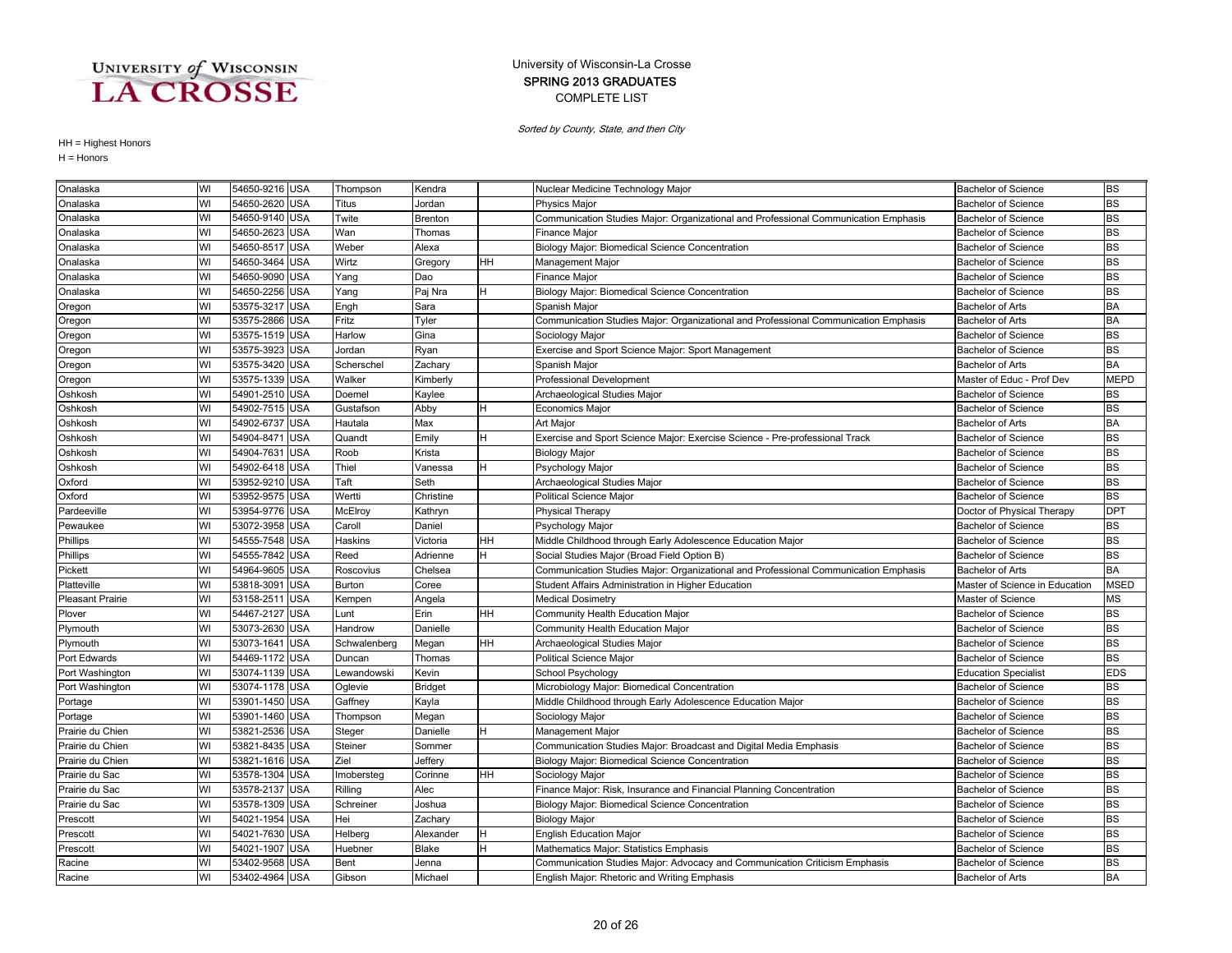### COMPLETE LIST SPRING 2013 GRADUATES University of Wisconsin-La Crosse

Sorted by County, State, and then City

| Onalaska                | WI | 54650-9216 USA |            | Thompson     | Kendra         |    | Nuclear Medicine Technology Major                                                   | <b>Bachelor of Science</b>     | <b>BS</b>   |
|-------------------------|----|----------------|------------|--------------|----------------|----|-------------------------------------------------------------------------------------|--------------------------------|-------------|
| Onalaska                | WI | 54650-2620 USA |            | Titus        | Jordan         |    | <b>Physics Major</b>                                                                | <b>Bachelor of Science</b>     | <b>BS</b>   |
| Onalaska                | WI | 54650-9140 USA |            | Twite        | Brenton        |    | Communication Studies Major: Organizational and Professional Communication Emphasis | <b>Bachelor of Science</b>     | <b>BS</b>   |
| Onalaska                | WI | 54650-2623     | <b>USA</b> | Wan          | Thomas         |    | Finance Major                                                                       | <b>Bachelor of Science</b>     | <b>BS</b>   |
| Onalaska                | WI | 54650-8517     | <b>USA</b> | Weber        | Alexa          |    | Biology Major: Biomedical Science Concentration                                     | <b>Bachelor of Science</b>     | <b>BS</b>   |
| Onalaska                | WI | 54650-3464     | <b>USA</b> | Wirtz        | Gregory        | HH | Management Major                                                                    | <b>Bachelor of Science</b>     | <b>BS</b>   |
| Onalaska                | WI | 54650-9090 USA |            | Yang         | Dao            |    | Finance Major                                                                       | <b>Bachelor of Science</b>     | <b>BS</b>   |
| Onalaska                | WI | 54650-2256 USA |            | Yang         | Paj Nra        | H. | Biology Major: Biomedical Science Concentration                                     | <b>Bachelor of Science</b>     | <b>BS</b>   |
| Oregon                  | WI | 53575-3217 USA |            | Engh         | Sara           |    | Spanish Major                                                                       | <b>Bachelor of Arts</b>        | <b>BA</b>   |
| Oregon                  | WI | 53575-2866     | <b>USA</b> | Fritz        | Tyler          |    | Communication Studies Major: Organizational and Professional Communication Emphasis | <b>Bachelor of Arts</b>        | <b>BA</b>   |
| Oregon                  | WI | 53575-1519     | <b>USA</b> | Harlow       | Gina           |    | Sociology Major                                                                     | <b>Bachelor of Science</b>     | <b>BS</b>   |
| Oregon                  | WI | 53575-3923     | <b>USA</b> | Jordan       | Ryan           |    | Exercise and Sport Science Major: Sport Management                                  | <b>Bachelor of Science</b>     | <b>BS</b>   |
| Oregon                  | WI | 53575-3420 USA |            | Scherschel   | Zachary        |    | Spanish Major                                                                       | <b>Bachelor of Arts</b>        | <b>BA</b>   |
| Oregon                  | WI | 53575-1339 USA |            | Walker       | Kimberly       |    | <b>Professional Development</b>                                                     | Master of Educ - Prof Dev      | <b>MEPD</b> |
| Oshkosh                 | WI | 54901-2510 USA |            | Doemel       | Kaylee         |    | Archaeological Studies Major                                                        | <b>Bachelor of Science</b>     | <b>BS</b>   |
| Oshkosh                 | WI | 54902-7515 USA |            | Gustafson    | Abby           | H. | Economics Major                                                                     | <b>Bachelor of Science</b>     | <b>BS</b>   |
| Oshkosh                 | WI | 54902-6737 USA |            | Hautala      | Max            |    | Art Major                                                                           | <b>Bachelor of Arts</b>        | <b>BA</b>   |
| Oshkosh                 | WI | 54904-8471     | <b>USA</b> | Quandt       | Emily          | H  | Exercise and Sport Science Major: Exercise Science - Pre-professional Track         | <b>Bachelor of Science</b>     | <b>BS</b>   |
| Oshkosh                 | WI | 54904-763      | <b>USA</b> | Roob         | Krista         |    | <b>Biology Major</b>                                                                | <b>Bachelor of Science</b>     | <b>BS</b>   |
| Oshkosh                 | WI | 54902-6418 USA |            | Thiel        | Vanessa        |    | Psychology Major                                                                    | <b>Bachelor of Science</b>     | <b>BS</b>   |
| Oxford                  | WI | 53952-9210 USA |            | Taft         | Seth           |    | Archaeological Studies Major                                                        | <b>Bachelor of Science</b>     | <b>BS</b>   |
| Oxford                  | WI | 53952-9575 USA |            | Wertti       | Christine      |    | Political Science Major                                                             | <b>Bachelor of Science</b>     | <b>BS</b>   |
| Pardeeville             | WI | 53954-9776 USA |            | McElroy      | Kathryn        |    | <b>Physical Therapy</b>                                                             | Doctor of Physical Therapy     | <b>DPT</b>  |
| Pewaukee                | WI | 53072-3958 USA |            | Caroll       | Daniel         |    | Psychology Major                                                                    | <b>Bachelor of Science</b>     | <b>BS</b>   |
| Phillips                | WI | 54555-7548 USA |            | Haskins      | Victoria       | HH | Middle Childhood through Early Adolescence Education Major                          | <b>Bachelor of Science</b>     | <b>BS</b>   |
| Phillips                | WI | 54555-7842     | <b>USA</b> | Reed         | Adrienne       |    | Social Studies Major (Broad Field Option B)                                         | <b>Bachelor of Science</b>     | <b>BS</b>   |
| Pickett                 | WI | 54964-9605     | <b>USA</b> | Roscovius    | Chelsea        |    | Communication Studies Major: Organizational and Professional Communication Emphasis | <b>Bachelor of Arts</b>        | <b>BA</b>   |
| Platteville             | WI | 53818-309      | <b>USA</b> | Burton       | Coree          |    | Student Affairs Administration in Higher Education                                  | Master of Science in Education | MSED        |
| <b>Pleasant Prairie</b> | WI | 53158-251      | <b>USA</b> | Kempen       | Angela         |    | <b>Medical Dosimetry</b>                                                            | Master of Science              | <b>MS</b>   |
| Plover                  | WI | 54467-2127 USA |            | -unt         | Erin           | HH | Community Health Education Major                                                    | <b>Bachelor of Science</b>     | <b>BS</b>   |
| Plymouth                | WI | 53073-2630 USA |            | Handrow      | Danielle       |    | Community Health Education Major                                                    | <b>Bachelor of Science</b>     | <b>BS</b>   |
| Plymouth                | WI | 53073-1641     | <b>USA</b> | Schwalenberg | Megan          | HH | Archaeological Studies Major                                                        | <b>Bachelor of Science</b>     | <b>BS</b>   |
| Port Edwards            | WI | 54469-1172 USA |            | Duncan       | Thomas         |    | Political Science Major                                                             | <b>Bachelor of Science</b>     | <b>BS</b>   |
| Port Washington         | WI | 53074-1139 USA |            | Lewandowski  | Kevin          |    | School Psychology                                                                   | <b>Education Specialist</b>    | <b>EDS</b>  |
| Port Washington         | WI | 53074-1178 USA |            | Oglevie      | <b>Bridget</b> |    | Microbiology Major: Biomedical Concentration                                        | <b>Bachelor of Science</b>     | <b>BS</b>   |
| Portage                 | WI | 53901-1450 USA |            | Gaffney      | Kayla          |    | Middle Childhood through Early Adolescence Education Major                          | <b>Bachelor of Science</b>     | <b>BS</b>   |
| Portage                 | WI | 53901-1460 USA |            | Thompson     | Megan          |    | Sociology Major                                                                     | <b>Bachelor of Science</b>     | <b>BS</b>   |
| Prairie du Chien        | WI | 53821-2536 USA |            | Steger       | Danielle       | н  | Management Major                                                                    | <b>Bachelor of Science</b>     | <b>BS</b>   |
| Prairie du Chien        | WI | 53821-8435 USA |            | Steiner      | Sommer         |    | Communication Studies Major: Broadcast and Digital Media Emphasis                   | <b>Bachelor of Science</b>     | <b>BS</b>   |
| Prairie du Chien        | WI | 53821-1616 USA |            | Ziel         | Jeffery        |    | Biology Major: Biomedical Science Concentration                                     | <b>Bachelor of Science</b>     | <b>BS</b>   |
| Prairie du Sac          | WI | 53578-1304 USA |            | mobersteg    | Corinne        | HH | Sociology Major                                                                     | <b>Bachelor of Science</b>     | <b>BS</b>   |
| Prairie du Sac          | WI | 53578-2137 USA |            | Rilling      | Alec           |    | Finance Major: Risk, Insurance and Financial Planning Concentration                 | <b>Bachelor of Science</b>     | <b>BS</b>   |
| Prairie du Sac          | WI | 53578-1309 USA |            | Schreiner    | Joshua         |    | Biology Major: Biomedical Science Concentration                                     | <b>Bachelor of Science</b>     | <b>BS</b>   |
| Prescott                | WI | 54021-1954     | <b>USA</b> | Hei          | Zachary        |    | <b>Biology Major</b>                                                                | <b>Bachelor of Science</b>     | <b>BS</b>   |
| Prescott                | WI | 54021-7630 USA |            | Helberg      | Alexander      | н  | <b>English Education Major</b>                                                      | <b>Bachelor of Science</b>     | <b>BS</b>   |
| Prescott                | WI | 54021-1907 USA |            | Huebner      | Blake          | н  | Mathematics Major: Statistics Emphasis                                              | <b>Bachelor of Science</b>     | <b>BS</b>   |
| Racine                  | WI | 53402-9568 USA |            | Bent         | Jenna          |    | Communication Studies Major: Advocacy and Communication Criticism Emphasis          | <b>Bachelor of Science</b>     | <b>BS</b>   |
| Racine                  | WI | 53402-4964 USA |            | Gibson       | Michael        |    | English Major: Rhetoric and Writing Emphasis                                        | <b>Bachelor of Arts</b>        | <b>BA</b>   |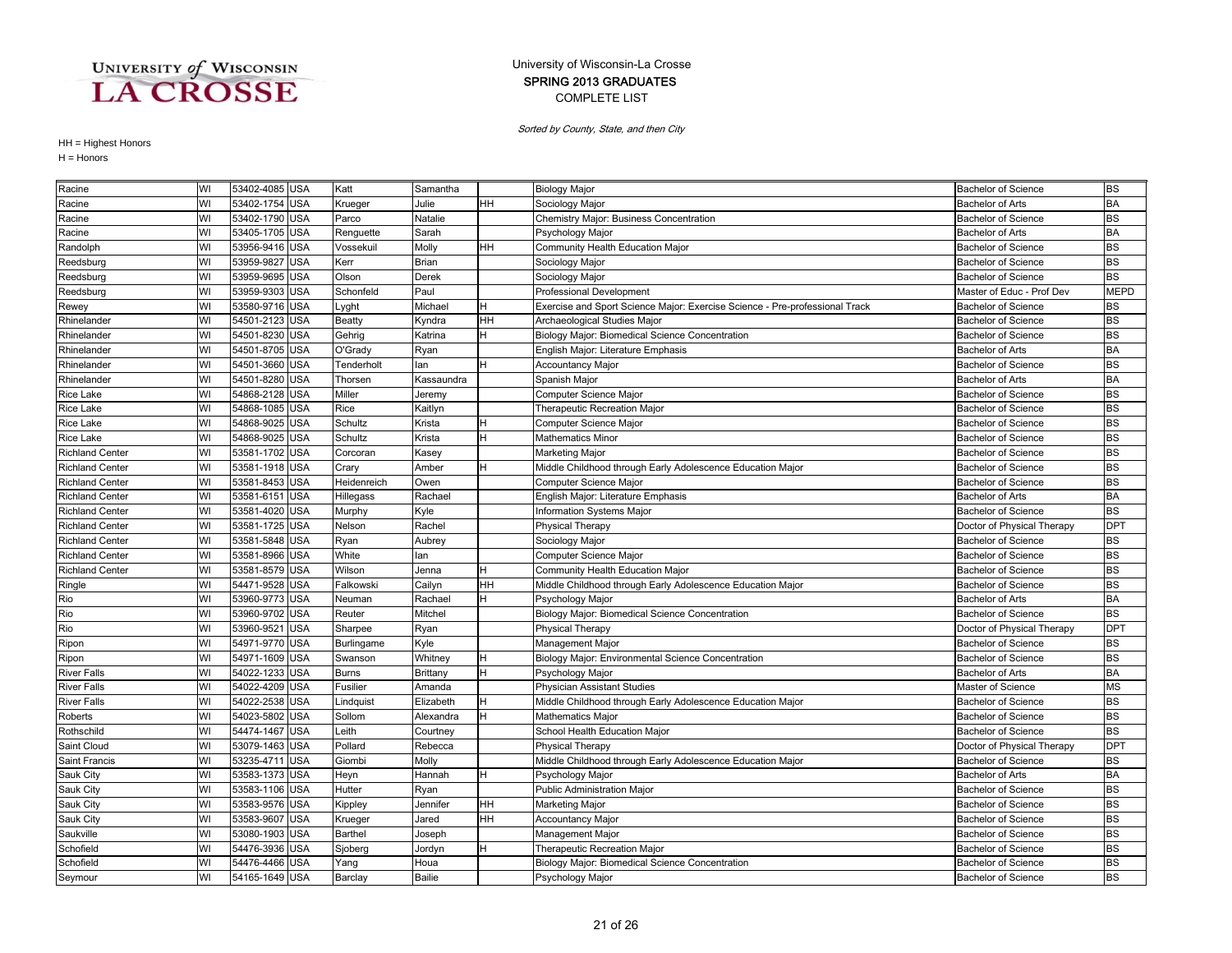### COMPLETE LIST SPRING 2013 GRADUATES University of Wisconsin-La Crosse

Sorted by County, State, and then City

| Racine                 | WI | 53402-4085 USA |            | Katt         | Samantha      |     | <b>Biology Major</b>                                                        | <b>Bachelor of Science</b> | <b>BS</b>   |
|------------------------|----|----------------|------------|--------------|---------------|-----|-----------------------------------------------------------------------------|----------------------------|-------------|
| Racine                 | WI | 53402-1754     | <b>USA</b> | Krueger      | Julie         | HН  | Sociology Major                                                             | Bachelor of Arts           | <b>BA</b>   |
| Racine                 | WI | 53402-1790 USA |            | Parco        | Natalie       |     | Chemistry Major: Business Concentration                                     | <b>Bachelor of Science</b> | <b>BS</b>   |
| Racine                 | WI | 53405-1705 USA |            | Renguette    | Sarah         |     | Psychology Major                                                            | <b>Bachelor of Arts</b>    | <b>BA</b>   |
| Randolph               | WI | 53956-9416 USA |            | Vossekuil    | Molly         | HH. | Community Health Education Major                                            | <b>Bachelor of Science</b> | <b>BS</b>   |
| Reedsburg              | WI | 53959-9827     | <b>USA</b> | Kerr         | <b>Brian</b>  |     | Sociology Major                                                             | <b>Bachelor of Science</b> | <b>BS</b>   |
| Reedsburg              | WI | 53959-9695 USA |            | Olson        | Derek         |     | Sociology Major                                                             | <b>Bachelor of Science</b> | <b>BS</b>   |
| Reedsburg              | WI | 53959-9303     | <b>USA</b> | Schonfeld    | Paul          |     | Professional Development                                                    | Master of Educ - Prof Dev  | <b>MEPD</b> |
| Rewey                  | WI | 53580-9716     | <b>USA</b> | ∟yght        | Michael       | н   | Exercise and Sport Science Major: Exercise Science - Pre-professional Track | <b>Bachelor of Science</b> | <b>BS</b>   |
| Rhinelander            | WI | 54501-2123     | <b>USA</b> | Beatty       | Kyndra        | HН  | Archaeological Studies Major                                                | <b>Bachelor of Science</b> | <b>BS</b>   |
| Rhinelander            | WI | 54501-8230     | <b>USA</b> | Gehrig       | Katrina       |     | Biology Major: Biomedical Science Concentration                             | <b>Bachelor of Science</b> | <b>BS</b>   |
| Rhinelander            | WI | 54501-8705 USA |            | O'Grady      | Ryan          |     | English Major: Literature Emphasis                                          | <b>Bachelor of Arts</b>    | <b>BA</b>   |
| Rhinelander            | WI | 54501-3660 USA |            | Tenderholt   | lan           | н   | <b>Accountancy Major</b>                                                    | <b>Bachelor of Science</b> | <b>BS</b>   |
| Rhinelander            | WI | 54501-8280     | <b>USA</b> | Thorsen      | Kassaundra    |     | Spanish Major                                                               | <b>Bachelor of Arts</b>    | <b>BA</b>   |
| <b>Rice Lake</b>       | WI | 54868-2128     | <b>USA</b> | Miller       | Jeremy        |     | Computer Science Major                                                      | <b>Bachelor of Science</b> | <b>BS</b>   |
| <b>Rice Lake</b>       | WI | 54868-1085 USA |            | Rice         | Kaitlyn       |     | Therapeutic Recreation Major                                                | <b>Bachelor of Science</b> | <b>BS</b>   |
| <b>Rice Lake</b>       | WI | 54868-9025     | <b>USA</b> | Schultz      | Krista        |     | Computer Science Major                                                      | <b>Bachelor of Science</b> | <b>BS</b>   |
| <b>Rice Lake</b>       | WI | 54868-9025     | <b>USA</b> | Schultz      | Krista        |     | <b>Mathematics Minor</b>                                                    | <b>Bachelor of Science</b> | <b>BS</b>   |
| <b>Richland Center</b> | WI | 53581-1702     | <b>USA</b> | Corcoran     | Kasey         |     | Marketing Major                                                             | <b>Bachelor of Science</b> | <b>BS</b>   |
| <b>Richland Center</b> | WI | 53581-1918 USA |            | Crary        | Amber         |     | Middle Childhood through Early Adolescence Education Major                  | <b>Bachelor of Science</b> | <b>BS</b>   |
| <b>Richland Center</b> | WI | 53581-8453     | <b>USA</b> | Heidenreich  | Owen          |     | Computer Science Major                                                      | <b>Bachelor of Science</b> | <b>BS</b>   |
| <b>Richland Center</b> | WI | 53581-6151 USA |            | Hillegass    | Rachael       |     | English Major: Literature Emphasis                                          | <b>Bachelor of Arts</b>    | <b>BA</b>   |
| <b>Richland Center</b> | WI | 53581-4020     | <b>USA</b> | Murphy       | Kyle          |     | Information Systems Major                                                   | <b>Bachelor of Science</b> | <b>BS</b>   |
| <b>Richland Center</b> | WI | 53581-1725 USA |            | Nelson       | Rachel        |     | <b>Physical Therapy</b>                                                     | Doctor of Physical Therapy | <b>DPT</b>  |
| <b>Richland Center</b> | WI | 53581-5848     | <b>USA</b> | Ryan         | Aubrey        |     | Sociology Major                                                             | <b>Bachelor of Science</b> | <b>BS</b>   |
| <b>Richland Center</b> | WI | 53581-8966     | <b>USA</b> | White        | lan           |     | Computer Science Major                                                      | <b>Bachelor of Science</b> | <b>BS</b>   |
| <b>Richland Center</b> | WI | 53581-8579     | <b>USA</b> | Wilson       | Jenna         |     | Community Health Education Major                                            | <b>Bachelor of Science</b> | <b>BS</b>   |
| Ringle                 | WI | 54471-9528 USA |            | Falkowski    | Cailyn        | HH  | Middle Childhood through Early Adolescence Education Major                  | <b>Bachelor of Science</b> | <b>BS</b>   |
| Rio                    | WI | 53960-9773 USA |            | Neuman       | Rachael       | н   | Psychology Major                                                            | <b>Bachelor of Arts</b>    | <b>BA</b>   |
| Rio                    | WI | 53960-9702 USA |            | Reuter       | Mitchel       |     | Biology Major: Biomedical Science Concentration                             | <b>Bachelor of Science</b> | <b>BS</b>   |
| Rio                    | WI | 53960-9521     | <b>USA</b> | Sharpee      | Ryan          |     | <b>Physical Therapy</b>                                                     | Doctor of Physical Therapy | <b>DPT</b>  |
| Ripon                  | WI | 54971-9770 USA |            | Burlingame   | Kyle          |     | Management Major                                                            | <b>Bachelor of Science</b> | <b>BS</b>   |
| Ripon                  | WI | 54971-1609     | <b>USA</b> | Swanson      | Whitney       | н   | Biology Major: Environmental Science Concentration                          | <b>Bachelor of Science</b> | <b>BS</b>   |
| <b>River Falls</b>     | WI | 54022-1233     | <b>USA</b> | <b>Burns</b> | Brittany      | H   | Psychology Major                                                            | <b>Bachelor of Arts</b>    | <b>BA</b>   |
| <b>River Falls</b>     | WI | 54022-4209     | <b>USA</b> | Fusilier     | Amanda        |     | <b>Physician Assistant Studies</b>                                          | Master of Science          | <b>MS</b>   |
| <b>River Falls</b>     | WI | 54022-2538     | <b>USA</b> | Lindquist    | Elizabeth     | н   | Middle Childhood through Early Adolescence Education Major                  | <b>Bachelor of Science</b> | <b>BS</b>   |
| Roberts                | WI | 54023-5802     | <b>USA</b> | Sollom       | Alexandra     | н   | Mathematics Major                                                           | <b>Bachelor of Science</b> | <b>BS</b>   |
| Rothschild             | WI | 54474-1467 USA |            | Leith        | Courtney      |     | School Health Education Major                                               | <b>Bachelor of Science</b> | <b>BS</b>   |
| Saint Cloud            | WI | 53079-1463     | <b>USA</b> | Pollard      | Rebecca       |     | <b>Physical Therapy</b>                                                     | Doctor of Physical Therapy | <b>DPT</b>  |
| Saint Francis          | WI | 53235-4711     | <b>USA</b> | Giombi       | Molly         |     | Middle Childhood through Early Adolescence Education Major                  | <b>Bachelor of Science</b> | <b>BS</b>   |
| Sauk City              | WI | 53583-1373 USA |            | Heyn         | Hannah        | H   | Psychology Major                                                            | <b>Bachelor of Arts</b>    | <b>BA</b>   |
| Sauk City              | WI | 53583-1106     | <b>USA</b> | Hutter       | Ryan          |     | Public Administration Major                                                 | <b>Bachelor of Science</b> | <b>BS</b>   |
| Sauk City              | WI | 53583-9576     | <b>USA</b> | Kippley      | Jennifer      | HН  | Marketing Major                                                             | Bachelor of Science        | <b>BS</b>   |
| Sauk City              | WI | 53583-9607     | <b>USA</b> | Krueger      | Jared         | HН  | Accountancy Major                                                           | <b>Bachelor of Science</b> | <b>BS</b>   |
| Saukville              | WI | 53080-1903 USA |            | Barthel      | Joseph        |     | Management Major                                                            | <b>Bachelor of Science</b> | <b>BS</b>   |
| Schofield              | WI | 54476-3936 USA |            | Sjoberg      | Jordyn        |     | Therapeutic Recreation Major                                                | <b>Bachelor of Science</b> | <b>BS</b>   |
| Schofield              | WI | 54476-4466 USA |            | Yang         | Houa          |     | Biology Major: Biomedical Science Concentration                             | <b>Bachelor of Science</b> | <b>BS</b>   |
| Seymour                | WI | 54165-1649 USA |            | Barclay      | <b>Bailie</b> |     | Psychology Major                                                            | <b>Bachelor of Science</b> | <b>BS</b>   |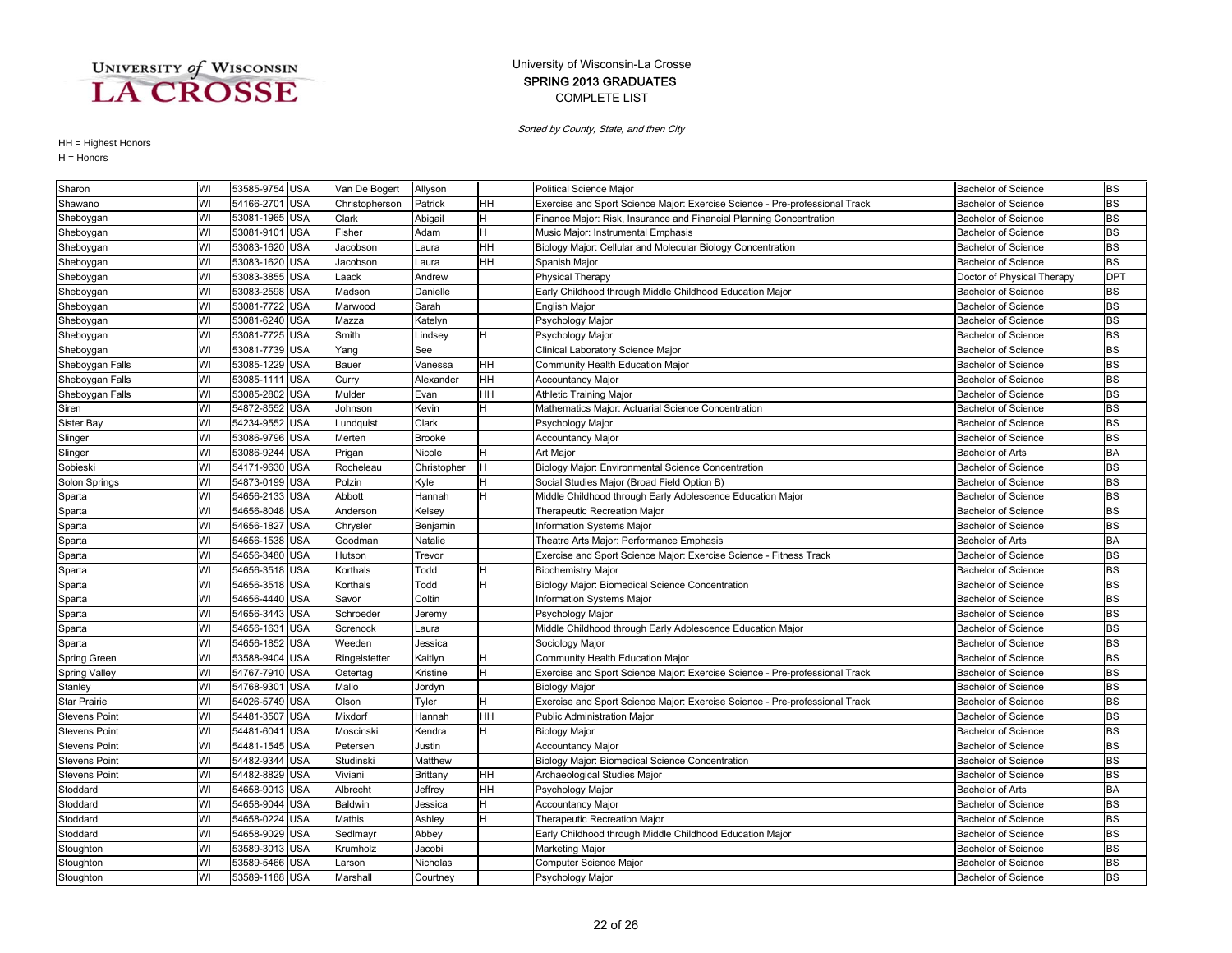### COMPLETE LIST SPRING 2013 GRADUATES University of Wisconsin-La Crosse

Sorted by County, State, and then City

| Sharon               | WI | 53585-9754 USA |            | Van De Bogert  | Allyson        |           | Political Science Major                                                     | Bachelor of Science        | <b>BS</b>  |
|----------------------|----|----------------|------------|----------------|----------------|-----------|-----------------------------------------------------------------------------|----------------------------|------------|
| Shawano              | WI | 54166-2701 USA |            | Christopherson | Patrick        | HН        | Exercise and Sport Science Major: Exercise Science - Pre-professional Track | <b>Bachelor of Science</b> | <b>BS</b>  |
| Sheboygan            | WI | 53081-1965 USA |            | Clark          | Abigail        | H.        | Finance Major: Risk, Insurance and Financial Planning Concentration         | <b>Bachelor of Science</b> | BS         |
| Sheboygan            | WI | 53081-9101 USA |            | Fisher         | Adam           | H         | Music Major: Instrumental Emphasis                                          | <b>Bachelor of Science</b> | <b>BS</b>  |
| Sheboygan            | WI | 53083-1620 USA |            | Jacobson       | aura.          | HН        | Biology Major: Cellular and Molecular Biology Concentration                 | <b>Bachelor of Science</b> | <b>BS</b>  |
| Sheboygan            | WI | 53083-1620 USA |            | Jacobson       | aura.          | HН        | Spanish Major                                                               | <b>Bachelor of Science</b> | <b>BS</b>  |
| Sheboygan            | WI | 53083-3855 USA |            | Laack          | Andrew         |           | <b>Physical Therapy</b>                                                     | Doctor of Physical Therapy | <b>DPT</b> |
| Sheboygan            | WI | 53083-2598 USA |            | Madson         | Danielle       |           | Early Childhood through Middle Childhood Education Major                    | <b>Bachelor of Science</b> | <b>BS</b>  |
| Sheboygan            | WI | 53081-7722 USA |            | Marwood        | Sarah          |           | English Major                                                               | <b>Bachelor of Science</b> | <b>BS</b>  |
| Sheboygan            | WI | 53081-6240 USA |            | Mazza          | <b>Katelyn</b> |           | Psychology Major                                                            | <b>Bachelor of Science</b> | <b>BS</b>  |
| Sheboygan            | WI | 53081-7725 USA |            | Smith          | Lindsey        | H         | Psychology Major                                                            | <b>Bachelor of Science</b> | <b>BS</b>  |
| Sheboygan            | WI | 53081-7739 USA |            | Yang           | See            |           | Clinical Laboratory Science Major                                           | <b>Bachelor of Science</b> | <b>BS</b>  |
| Sheboygan Falls      | WI | 53085-1229 USA |            | Bauer          | Vanessa        | <b>HH</b> | Community Health Education Major                                            | <b>Bachelor of Science</b> | <b>BS</b>  |
| Sheboygan Falls      | WI | 53085-1111     | <b>USA</b> | Curry          | Alexander      | HН        | Accountancy Major                                                           | <b>Bachelor of Science</b> | <b>BS</b>  |
| Sheboygan Falls      | WI | 53085-2802 USA |            | Mulder         | Evan           | HН        | Athletic Training Major                                                     | <b>Bachelor of Science</b> | <b>BS</b>  |
| Siren                | WI | 54872-8552 USA |            | Johnson        | Kevin          | н         | Mathematics Major: Actuarial Science Concentration                          | <b>Bachelor of Science</b> | <b>BS</b>  |
| <b>Sister Bay</b>    | WI | 54234-9552 USA |            | Lundquist      | Clark          |           | Psychology Major                                                            | <b>Bachelor of Science</b> | <b>BS</b>  |
| Slinger              | WI | 53086-9796 USA |            | Merten         | <b>Brooke</b>  |           | Accountancy Major                                                           | <b>Bachelor of Science</b> | <b>BS</b>  |
| Slinger              | WI | 53086-9244 USA |            | Prigan         | Nicole         | H         | Art Major                                                                   | <b>Bachelor of Arts</b>    | BA         |
| Sobieski             | WI | 54171-9630 USA |            | Rocheleau      | Christopher    | H         | Biology Major: Environmental Science Concentration                          | <b>Bachelor of Science</b> | <b>BS</b>  |
| Solon Springs        | WI | 54873-0199 USA |            | Polzin         | Kyle           | H         | Social Studies Major (Broad Field Option B)                                 | <b>Bachelor of Science</b> | <b>BS</b>  |
| Sparta               | WI | 54656-2133 USA |            | Abbott         | Hannah         | н         | Middle Childhood through Early Adolescence Education Major                  | <b>Bachelor of Science</b> | <b>BS</b>  |
| Sparta               | WI | 54656-8048 USA |            | Anderson       | Kelsey         |           | Therapeutic Recreation Major                                                | <b>Bachelor of Science</b> | <b>BS</b>  |
| Sparta               | WI | 54656-1827 USA |            | Chrysler       | Benjamin       |           | <b>Information Systems Major</b>                                            | <b>Bachelor of Science</b> | <b>BS</b>  |
| Sparta               | WI | 54656-1538 USA |            | Goodman        | Natalie        |           | Theatre Arts Major: Performance Emphasis                                    | <b>Bachelor of Arts</b>    | <b>BA</b>  |
| Sparta               | WI | 54656-3480 USA |            | Hutson         | Trevor         |           | Exercise and Sport Science Major: Exercise Science - Fitness Track          | <b>Bachelor of Science</b> | <b>BS</b>  |
| Sparta               | WI | 54656-3518 USA |            | Korthals       | <b>Todd</b>    |           | <b>Biochemistry Major</b>                                                   | <b>Bachelor of Science</b> | <b>BS</b>  |
| Sparta               | WI | 54656-3518 USA |            | Korthals       | <b>Todd</b>    | н         | Biology Major: Biomedical Science Concentration                             | <b>Bachelor of Science</b> | <b>BS</b>  |
| Sparta               | WI | 54656-4440 USA |            | Savor          | Coltin         |           | Information Systems Major                                                   | <b>Bachelor of Science</b> | <b>BS</b>  |
| Sparta               | WI | 54656-3443 USA |            | Schroeder      | Jeremy         |           | Psychology Major                                                            | <b>Bachelor of Science</b> | <b>BS</b>  |
| Sparta               | WI | 54656-1631     | <b>USA</b> | Screnock       | aura.          |           | Middle Childhood through Early Adolescence Education Major                  | <b>Bachelor of Science</b> | <b>BS</b>  |
| Sparta               | WI | 54656-1852 USA |            | Weeden         | Jessica        |           | Sociology Major                                                             | <b>Bachelor of Science</b> | <b>BS</b>  |
| Spring Green         | WI | 53588-9404 USA |            | Ringelstetter  | <b>Kaitlyn</b> |           | Community Health Education Major                                            | <b>Bachelor of Science</b> | <b>BS</b>  |
| <b>Spring Valley</b> | WI | 54767-7910 USA |            | Ostertag       | Kristine       |           | Exercise and Sport Science Major: Exercise Science - Pre-professional Track | <b>Bachelor of Science</b> | <b>BS</b>  |
| Stanley              | WI | 54768-9301 USA |            | Mallo          | Jordyn         |           | <b>Biology Major</b>                                                        | <b>Bachelor of Science</b> | BS         |
| <b>Star Prairie</b>  | WI | 54026-5749 USA |            | Olson          | Tyler          | H         | Exercise and Sport Science Major: Exercise Science - Pre-professional Track | <b>Bachelor of Science</b> | <b>BS</b>  |
| <b>Stevens Point</b> | WI | 54481-3507 USA |            | Mixdorf        | Hannah         | HH        | Public Administration Major                                                 | <b>Bachelor of Science</b> | <b>BS</b>  |
| <b>Stevens Point</b> | WI | 54481-6041 USA |            | Moscinski      | Kendra         | н         | <b>Biology Major</b>                                                        | <b>Bachelor of Science</b> | <b>BS</b>  |
| <b>Stevens Point</b> | WI | 54481-1545 USA |            | Petersen       | Justin         |           | <b>Accountancy Major</b>                                                    | <b>Bachelor of Science</b> | <b>BS</b>  |
| <b>Stevens Point</b> | WI | 54482-9344 USA |            | Studinski      | Matthew        |           | Biology Major: Biomedical Science Concentration                             | <b>Bachelor of Science</b> | <b>BS</b>  |
| <b>Stevens Point</b> | WI | 54482-8829 USA |            | Viviani        | Brittany       | HН        | Archaeological Studies Major                                                | <b>Bachelor of Science</b> | <b>BS</b>  |
| Stoddard             | WI | 54658-9013 USA |            | Albrecht       | Jeffrey        | HН        | Psychology Major                                                            | <b>Bachelor of Arts</b>    | BA         |
| Stoddard             | WI | 54658-9044 USA |            | Baldwin        | Jessica        |           | Accountancy Major                                                           | <b>Bachelor of Science</b> | <b>BS</b>  |
| Stoddard             | WI | 54658-0224 USA |            | Mathis         | Ashley         |           | Therapeutic Recreation Major                                                | <b>Bachelor of Science</b> | BS         |
| Stoddard             | WI | 54658-9029 USA |            | Sedlmayr       | Abbey          |           | Early Childhood through Middle Childhood Education Major                    | <b>Bachelor of Science</b> | <b>BS</b>  |
| Stoughton            | WI | 53589-3013 USA |            | Krumholz       | Jacobi         |           | Marketing Major                                                             | <b>Bachelor of Science</b> | <b>BS</b>  |
| Stoughton            | WI | 53589-5466 USA |            | Larson         | Nicholas       |           | Computer Science Major                                                      | <b>Bachelor of Science</b> | <b>BS</b>  |
| Stoughton            | WI | 53589-1188 USA |            | Marshall       | Courtney       |           | Psychology Major                                                            | <b>Bachelor of Science</b> | <b>BS</b>  |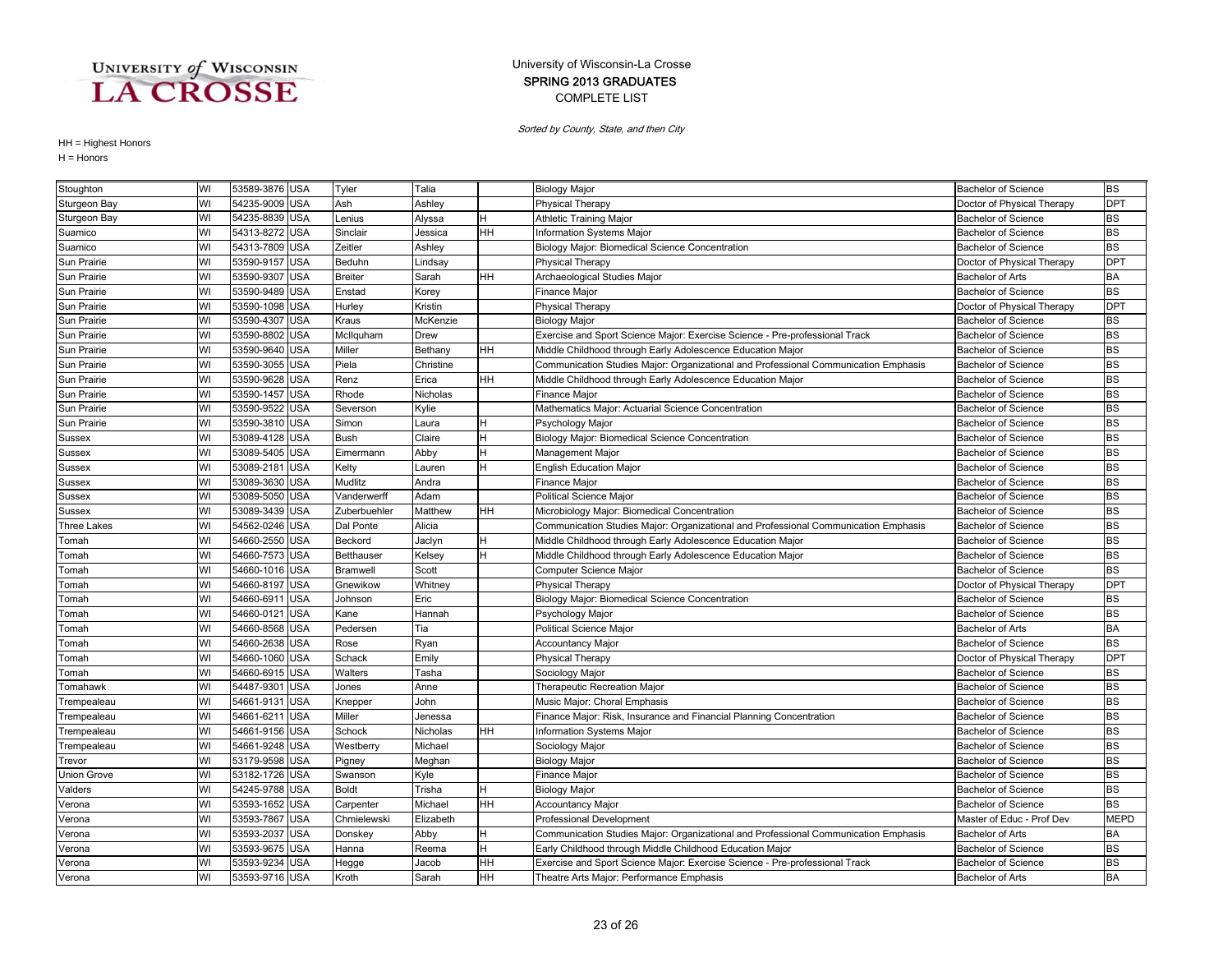### COMPLETE LIST SPRING 2013 GRADUATES University of Wisconsin-La Crosse

Sorted by County, State, and then City

| Stoughton    | WI | 53589-3876 USA |            | Tyler           | Talia     |     | <b>Biology Major</b>                                                                | <b>Bachelor of Science</b> | <b>BS</b>  |
|--------------|----|----------------|------------|-----------------|-----------|-----|-------------------------------------------------------------------------------------|----------------------------|------------|
| Sturgeon Bay | WI | 54235-9009 USA |            | Ash             | Ashley    |     | Physical Therapy                                                                    | Doctor of Physical Therapy | <b>DPT</b> |
| Sturgeon Bay | WI | 54235-8839 USA |            | Lenius          | Alyssa    |     | <b>Athletic Training Major</b>                                                      | <b>Bachelor of Science</b> | BS         |
| Suamico      | WI | 54313-8272 USA |            | Sinclair        | Jessica   | HH. | Information Systems Major                                                           | <b>Bachelor of Science</b> | <b>BS</b>  |
| Suamico      | WI | 54313-7809 USA |            | Zeitler         | Ashley    |     | Biology Major: Biomedical Science Concentration                                     | <b>Bachelor of Science</b> | <b>BS</b>  |
| Sun Prairie  | WI | 53590-9157 USA |            | Beduhn          | Lindsay   |     | <b>Physical Therapy</b>                                                             | Doctor of Physical Therapy | <b>DPT</b> |
| Sun Prairie  | WI | 53590-9307 USA |            | <b>Breiter</b>  | Sarah     | HН  | Archaeological Studies Major                                                        | <b>Bachelor of Arts</b>    | <b>BA</b>  |
| Sun Prairie  | WI | 53590-9489 USA |            | Enstad          | Korey     |     | Finance Major                                                                       | <b>Bachelor of Science</b> | <b>BS</b>  |
| Sun Prairie  | WI | 53590-1098 USA |            | Hurley          | Kristin   |     | <b>Physical Therapy</b>                                                             | Doctor of Physical Therapy | <b>DPT</b> |
| Sun Prairie  | WI | 53590-4307 USA |            | Kraus           | McKenzie  |     | <b>Biology Major</b>                                                                | <b>Bachelor of Science</b> | BS         |
| Sun Prairie  | WI | 53590-8802 USA |            | McIlquham       | Drew      |     | Exercise and Sport Science Major: Exercise Science - Pre-professional Track         | <b>Bachelor of Science</b> | <b>BS</b>  |
| Sun Prairie  | WI | 53590-9640 USA |            | Miller          | Bethany   | HН  | Middle Childhood through Early Adolescence Education Major                          | <b>Bachelor of Science</b> | <b>BS</b>  |
| Sun Prairie  | WI | 53590-3055 USA |            | Piela           | Christine |     | Communication Studies Major: Organizational and Professional Communication Emphasis | <b>Bachelor of Science</b> | <b>BS</b>  |
| Sun Prairie  | WI | 53590-9628 USA |            | Renz            | Erica     | HH  | Middle Childhood through Early Adolescence Education Major                          | <b>Bachelor of Science</b> | <b>BS</b>  |
| Sun Prairie  | WI | 53590-1457     | <b>USA</b> | Rhode           | Nicholas  |     | <b>Finance Major</b>                                                                | <b>Bachelor of Science</b> | BS         |
| Sun Prairie  | WI | 53590-9522 USA |            | Severson        | Kylie     |     | Mathematics Major: Actuarial Science Concentration                                  | <b>Bachelor of Science</b> | <b>BS</b>  |
| Sun Prairie  | WI | 53590-3810 USA |            | Simon           | Laura     |     | Psychology Major                                                                    | <b>Bachelor of Science</b> | <b>BS</b>  |
| Sussex       | WI | 53089-4128 USA |            | <b>Bush</b>     | Claire    |     | Biology Major: Biomedical Science Concentration                                     | <b>Bachelor of Science</b> | <b>BS</b>  |
| Sussex       | WI | 53089-5405 USA |            | Eimermann       | Abby      |     | Management Major                                                                    | <b>Bachelor of Science</b> | BS         |
| Sussex       | WI | 53089-2181 USA |            | Kelty           | Lauren    |     | <b>English Education Major</b>                                                      | <b>Bachelor of Science</b> | <b>BS</b>  |
| Sussex       | WI | 53089-3630 USA |            | Mudlitz         | Andra     |     | Finance Major                                                                       | <b>Bachelor of Science</b> | <b>BS</b>  |
| Sussex       | WI | 53089-5050 USA |            | Vanderwerff     | Adam      |     | Political Science Major                                                             | <b>Bachelor of Science</b> | BS         |
| Sussex       | WI | 53089-3439 USA |            | Zuberbuehler    | Matthew   | HН  | Microbiology Major: Biomedical Concentration                                        | <b>Bachelor of Science</b> | BS         |
| Three Lakes  | WI | 54562-0246 USA |            | Dal Ponte       | Alicia    |     | Communication Studies Major: Organizational and Professional Communication Emphasis | <b>Bachelor of Science</b> | <b>BS</b>  |
| Tomah        | WI | 54660-2550 USA |            | Beckord         | Jaclyn    |     | Middle Childhood through Early Adolescence Education Major                          | <b>Bachelor of Science</b> | <b>BS</b>  |
| Tomah        | WI | 54660-7573 USA |            | Betthauser      | Kelsey    |     | Middle Childhood through Early Adolescence Education Major                          | <b>Bachelor of Science</b> | <b>BS</b>  |
| Tomah        | WI | 54660-1016 USA |            | <b>Bramwell</b> | Scott     |     | Computer Science Major                                                              | <b>Bachelor of Science</b> | <b>BS</b>  |
| Tomah        | WI | 54660-8197 USA |            | Gnewikow        | Whitney   |     | Physical Therapy                                                                    | Doctor of Physical Therapy | <b>DPT</b> |
| Tomah        | WI | 54660-691      | <b>USA</b> | Johnson         | Eric      |     | Biology Major: Biomedical Science Concentration                                     | <b>Bachelor of Science</b> | <b>BS</b>  |
| Tomah        | WI | 54660-0121     | <b>USA</b> | Kane            | Hannah    |     | Psychology Major                                                                    | <b>Bachelor of Science</b> | <b>BS</b>  |
| Tomah        | WI | 54660-8568     | <b>USA</b> | Pedersen        | Tia       |     | Political Science Major                                                             | <b>Bachelor of Arts</b>    | BA         |
| Tomah        | WI | 54660-2638 USA |            | Rose            | Ryan      |     | <b>Accountancy Major</b>                                                            | <b>Bachelor of Science</b> | <b>BS</b>  |
| Tomah        | WI | 54660-1060 USA |            | Schack          | Emily     |     | Physical Therapy                                                                    | Doctor of Physical Therapy | <b>DPT</b> |
| Tomah        | WI | 54660-6915     | <b>USA</b> | Walters         | Tasha     |     | Sociology Major                                                                     | <b>Bachelor of Science</b> | <b>BS</b>  |
| Tomahawk     | WI | 54487-930      | <b>USA</b> | Jones           | Anne      |     | Therapeutic Recreation Major                                                        | <b>Bachelor of Science</b> | <b>BS</b>  |
| Trempealeau  | WI | 54661-9131     | <b>USA</b> | Knepper         | John      |     | Music Major: Choral Emphasis                                                        | Bachelor of Science        | BS         |
| Trempealeau  | WI | 54661-6211     | <b>USA</b> | Miller          | Jenessa   |     | Finance Major: Risk, Insurance and Financial Planning Concentration                 | <b>Bachelor of Science</b> | <b>BS</b>  |
| Trempealeau  | WI | 54661-9156 USA |            | Schock          | Nicholas  | HH. | Information Systems Major                                                           | <b>Bachelor of Science</b> | <b>BS</b>  |
| Trempealeau  | WI | 54661-9248 USA |            | Westberry       | Michael   |     | Sociology Major                                                                     | <b>Bachelor of Science</b> | <b>BS</b>  |
| Trevor       | WI | 53179-9598 USA |            | Pigney          | Meghan    |     | <b>Biology Major</b>                                                                | <b>Bachelor of Science</b> | <b>BS</b>  |
| Union Grove  | WI | 53182-1726 USA |            | Swanson         | Kyle      |     | <b>Finance Major</b>                                                                | <b>Bachelor of Science</b> | <b>BS</b>  |
| Valders      | WI | 54245-9788 USA |            | <b>Boldt</b>    | Trisha    | H   | <b>Biology Major</b>                                                                | <b>Bachelor of Science</b> | <b>BS</b>  |
| Verona       | WI | 53593-1652 USA |            | Carpenter       | Michael   | HH  | <b>Accountancy Major</b>                                                            | <b>Bachelor of Science</b> | <b>BS</b>  |
| Verona       | WI | 53593-7867 USA |            | Chmielewski     | Elizabeth |     | Professional Development                                                            | Master of Educ - Prof Dev  | MEPD       |
| Verona       | WI | 53593-2037 USA |            | Donskey         | Abby      | н   | Communication Studies Major: Organizational and Professional Communication Emphasis | <b>Bachelor of Arts</b>    | <b>BA</b>  |
| Verona       | WI | 53593-9675 USA |            | Hanna           | Reema     | H   | Early Childhood through Middle Childhood Education Major                            | <b>Bachelor of Science</b> | <b>BS</b>  |
| Verona       | WI | 53593-9234 USA |            | Hegge           | Jacob     | HH  | Exercise and Sport Science Major: Exercise Science - Pre-professional Track         | <b>Bachelor of Science</b> | <b>BS</b>  |
| Verona       | WI | 53593-9716 USA |            | Kroth           | Sarah     | HH  | Theatre Arts Major: Performance Emphasis                                            | <b>Bachelor of Arts</b>    | <b>BA</b>  |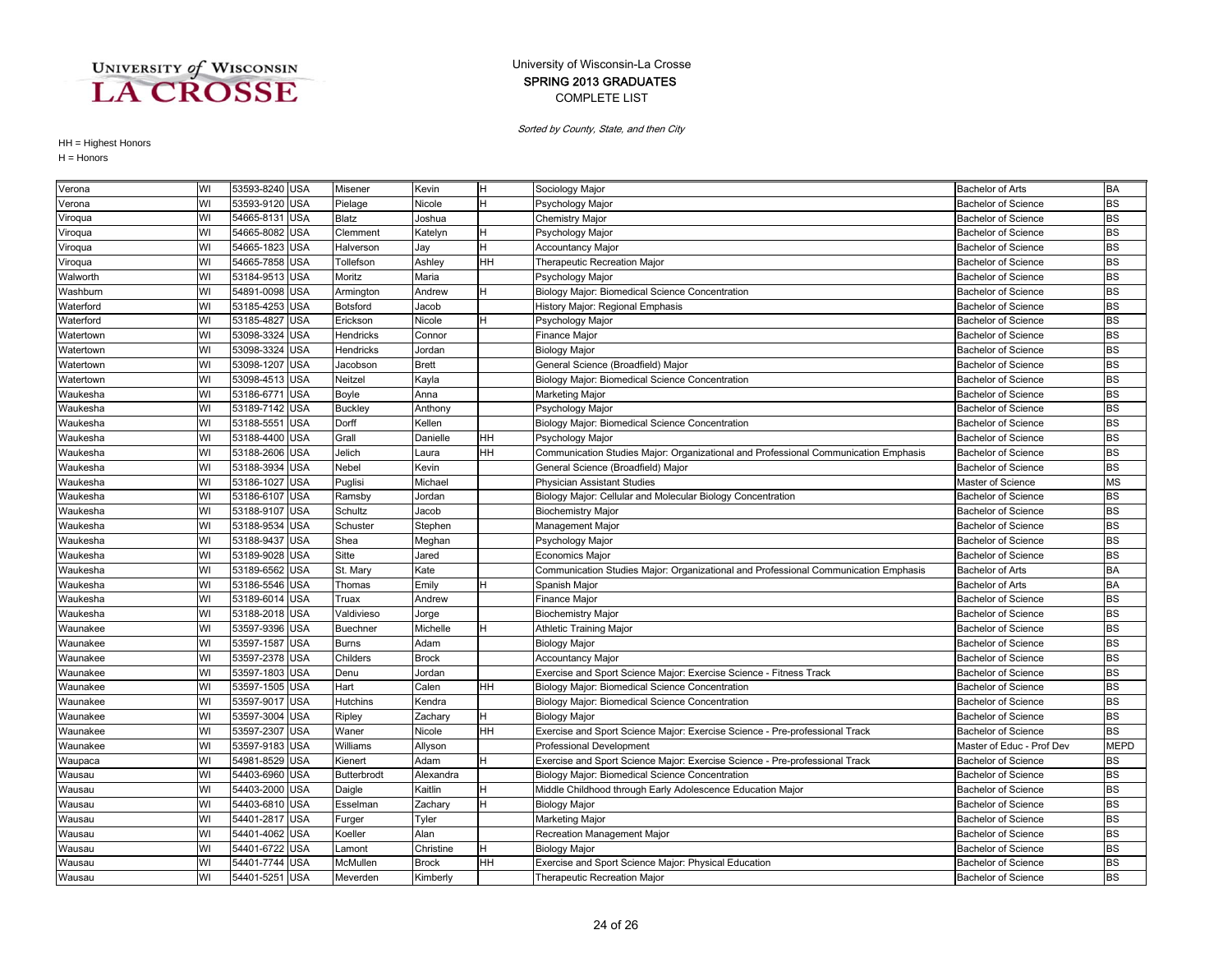### COMPLETE LIST SPRING 2013 GRADUATES University of Wisconsin-La Crosse

Sorted by County, State, and then City

| Verona    | WI | 53593-8240 USA |            | Misener            | Kevin        | H         | Sociology Major                                                                     | <b>Bachelor of Arts</b>    | <b>BA</b>   |
|-----------|----|----------------|------------|--------------------|--------------|-----------|-------------------------------------------------------------------------------------|----------------------------|-------------|
| Verona    | WI | 53593-9120 USA |            | Pielage            | Nicole       | H         | Psychology Major                                                                    | <b>Bachelor of Science</b> | <b>BS</b>   |
| Viroqua   | WI | 54665-8131     | <b>USA</b> | Blatz              | Joshua       |           | <b>Chemistry Major</b>                                                              | <b>Bachelor of Science</b> | <b>BS</b>   |
| Viroqua   | WI | 54665-8082     | <b>USA</b> | Clemment           | Katelyn      |           | Psychology Major                                                                    | <b>Bachelor of Science</b> | <b>BS</b>   |
| Viroqua   | WI | 54665-1823 USA |            | Halverson          | Jay          | Н         | Accountancy Major                                                                   | <b>Bachelor of Science</b> | <b>BS</b>   |
| Viroqua   | WI | 54665-7858     | <b>USA</b> | Tollefson          | Ashley       | HH        | Therapeutic Recreation Major                                                        | <b>Bachelor of Science</b> | <b>BS</b>   |
| Walworth  | WI | 53184-9513     | <b>USA</b> | Moritz             | Maria        |           | Psychology Major                                                                    | <b>Bachelor of Science</b> | <b>BS</b>   |
| Washburn  | WI | 54891-0098     | <b>USA</b> | Armington          | Andrew       | H         | Biology Major: Biomedical Science Concentration                                     | <b>Bachelor of Science</b> | <b>BS</b>   |
| Waterford | WI | 53185-4253     | <b>USA</b> | <b>Botsford</b>    | Jacob        |           | History Major: Regional Emphasis                                                    | <b>Bachelor of Science</b> | <b>BS</b>   |
| Waterford | WI | 53185-4827     | <b>USA</b> | Erickson           | Nicole       | Н         | Psychology Major                                                                    | <b>Bachelor of Science</b> | <b>BS</b>   |
| Watertown | WI | 53098-3324     | <b>USA</b> | Hendricks          | Connor       |           | Finance Major                                                                       | <b>Bachelor of Science</b> | <b>BS</b>   |
| Watertown | WI | 53098-3324     | <b>USA</b> | Hendricks          | Jordan       |           | <b>Biology Major</b>                                                                | <b>Bachelor of Science</b> | <b>BS</b>   |
| Watertown | WI | 53098-1207     | <b>USA</b> | Jacobson           | <b>Brett</b> |           | General Science (Broadfield) Major                                                  | <b>Bachelor of Science</b> | <b>BS</b>   |
| Watertown | WI | 53098-4513 USA |            | Neitzel            | Kayla        |           | Biology Major: Biomedical Science Concentration                                     | <b>Bachelor of Science</b> | <b>BS</b>   |
| Waukesha  | WI | 53186-6771     | USA        | Boyle              | Anna         |           | Marketing Major                                                                     | <b>Bachelor of Science</b> | <b>BS</b>   |
| Waukesha  | WI | 53189-7142 USA |            | <b>Buckley</b>     | Anthony      |           | Psychology Major                                                                    | <b>Bachelor of Science</b> | <b>BS</b>   |
| Waukesha  | WI | 53188-5551     | <b>USA</b> | Dorff              | Kellen       |           | Biology Major: Biomedical Science Concentration                                     | <b>Bachelor of Science</b> | <b>BS</b>   |
| Waukesha  | WI | 53188-4400     | <b>USA</b> | Grall              | Danielle     | HН        | Psychology Major                                                                    | <b>Bachelor of Science</b> | <b>BS</b>   |
| Waukesha  | WI | 53188-2606     | <b>USA</b> | Jelich             | Laura        | HН        | Communication Studies Major: Organizational and Professional Communication Emphasis | <b>Bachelor of Science</b> | <b>BS</b>   |
| Waukesha  | WI | 53188-3934     | <b>USA</b> | Nebel              | Kevin        |           | General Science (Broadfield) Major                                                  | <b>Bachelor of Science</b> | <b>BS</b>   |
| Waukesha  | WI | 53186-1027     | <b>USA</b> | Puglisi            | Michael      |           | Physician Assistant Studies                                                         | Master of Science          | <b>MS</b>   |
| Waukesha  | WI | 53186-6107     | <b>USA</b> | Ramsby             | Jordan       |           | Biology Major: Cellular and Molecular Biology Concentration                         | <b>Bachelor of Science</b> | <b>BS</b>   |
| Waukesha  | WI | 53188-9107 USA |            | Schultz            | Jacob        |           | <b>Biochemistry Major</b>                                                           | <b>Bachelor of Science</b> | <b>BS</b>   |
| Waukesha  | WI | 53188-9534     | <b>USA</b> | Schuster           | Stephen      |           | Management Major                                                                    | <b>Bachelor of Science</b> | <b>BS</b>   |
| Waukesha  | WI | 53188-9437     | <b>USA</b> | Shea               | Meghan       |           | Psychology Major                                                                    | <b>Bachelor of Science</b> | <b>BS</b>   |
| Waukesha  | WI | 53189-9028     | <b>USA</b> | Sitte              | Jared        |           | <b>Economics Major</b>                                                              | <b>Bachelor of Science</b> | <b>BS</b>   |
| Waukesha  | WI | 53189-6562     | <b>USA</b> | St. Mary           | Kate         |           | Communication Studies Major: Organizational and Professional Communication Emphasis | <b>Bachelor of Arts</b>    | <b>BA</b>   |
| Waukesha  | WI | 53186-5546 USA |            | Thomas             | Emily        | H.        | Spanish Major                                                                       | <b>Bachelor of Arts</b>    | <b>BA</b>   |
| Waukesha  | WI | 53189-6014     | <b>USA</b> | Truax              | Andrew       |           | <b>Finance Major</b>                                                                | <b>Bachelor of Science</b> | <b>BS</b>   |
| Waukesha  | WI | 53188-2018     | <b>USA</b> | Valdivieso         | Jorge        |           | <b>Biochemistry Major</b>                                                           | <b>Bachelor of Science</b> | <b>BS</b>   |
| Waunakee  | WI | 53597-9396 USA |            | <b>Buechner</b>    | Michelle     | н         | Athletic Training Major                                                             | <b>Bachelor of Science</b> | <b>BS</b>   |
| Waunakee  | WI | 53597-1587 USA |            | <b>Burns</b>       | Adam         |           | <b>Biology Major</b>                                                                | <b>Bachelor of Science</b> | <b>BS</b>   |
| Waunakee  | WI | 53597-2378     | <b>USA</b> | Childers           | <b>Brock</b> |           | <b>Accountancy Major</b>                                                            | <b>Bachelor of Science</b> | <b>BS</b>   |
| Waunakee  | WI | 53597-1803     | <b>USA</b> | Denu               | Jordan       |           | Exercise and Sport Science Major: Exercise Science - Fitness Track                  | <b>Bachelor of Science</b> | <b>BS</b>   |
| Waunakee  | WI | 53597-1505 USA |            | Hart               | Calen        | HH        | Biology Major: Biomedical Science Concentration                                     | <b>Bachelor of Science</b> | <b>BS</b>   |
| Waunakee  | WI | 53597-9017     | <b>USA</b> | Hutchins           | Kendra       |           | Biology Major: Biomedical Science Concentration                                     | <b>Bachelor of Science</b> | <b>BS</b>   |
| Waunakee  | WI | 53597-3004     | <b>USA</b> | Ripley             | Zachary      | H         | <b>Biology Major</b>                                                                | <b>Bachelor of Science</b> | <b>BS</b>   |
| Waunakee  | WI | 53597-2307     | <b>USA</b> | Waner              | Nicole       | HH        | Exercise and Sport Science Major: Exercise Science - Pre-professional Track         | <b>Bachelor of Science</b> | <b>BS</b>   |
| Waunakee  | WI | 53597-9183 USA |            | Williams           | Allyson      |           | Professional Development                                                            | Master of Educ - Prof Dev  | <b>MEPD</b> |
| Waupaca   | WI | 54981-8529 USA |            | Kienert            | Adam         | H         | Exercise and Sport Science Major: Exercise Science - Pre-professional Track         | <b>Bachelor of Science</b> | <b>BS</b>   |
| Wausau    | WI | 54403-6960 USA |            | <b>Butterbrodt</b> | Alexandra    |           | Biology Major: Biomedical Science Concentration                                     | <b>Bachelor of Science</b> | <b>BS</b>   |
| Wausau    | WI | 54403-2000     | <b>USA</b> | Daigle             | Kaitlin      |           | Middle Childhood through Early Adolescence Education Major                          | <b>Bachelor of Science</b> | <b>BS</b>   |
| Wausau    | WI | 54403-6810     | <b>USA</b> | Esselman           | Zachary      | H         | <b>Biology Major</b>                                                                | <b>Bachelor of Science</b> | <b>BS</b>   |
| Wausau    | WI | 54401-2817     | <b>USA</b> | Furger             | Tyler        |           | Marketing Major                                                                     | <b>Bachelor of Science</b> | <b>BS</b>   |
| Wausau    | WI | 54401-4062     | <b>USA</b> | Koeller            | Alan         |           | Recreation Management Major                                                         | <b>Bachelor of Science</b> | <b>BS</b>   |
| Wausau    | WI | 54401-6722     | <b>USA</b> | _amont             | Christine    | H         | <b>Biology Major</b>                                                                | <b>Bachelor of Science</b> | <b>BS</b>   |
| Wausau    | WI | 54401-7744 USA |            | McMullen           | <b>Brock</b> | <b>HH</b> | Exercise and Sport Science Major: Physical Education                                | <b>Bachelor of Science</b> | <b>BS</b>   |
| Wausau    | WI | 54401-5251 USA |            | Meverden           | Kimberly     |           | <b>Therapeutic Recreation Major</b>                                                 | <b>Bachelor of Science</b> | <b>BS</b>   |
|           |    |                |            |                    |              |           |                                                                                     |                            |             |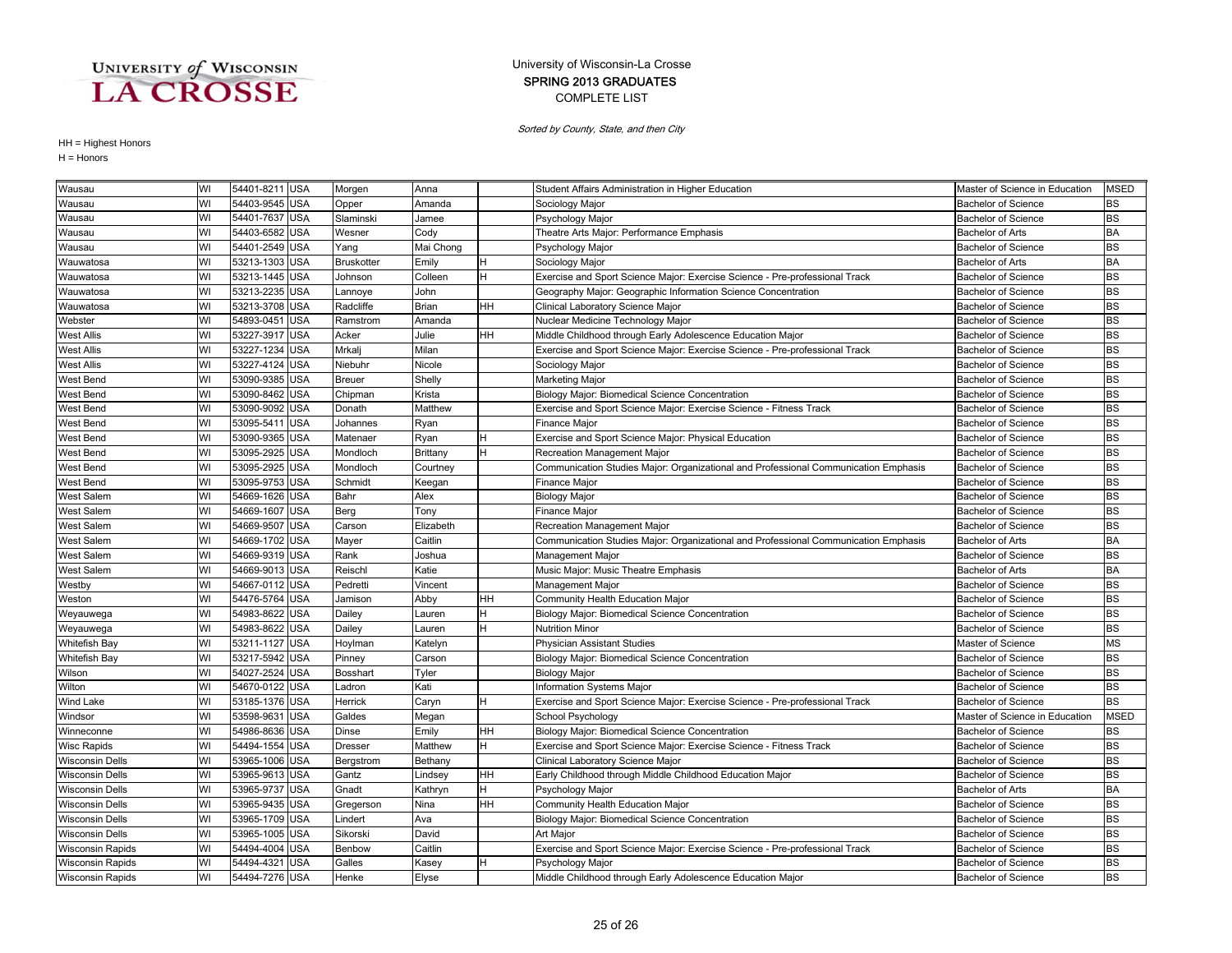### COMPLETE LIST SPRING 2013 GRADUATES University of Wisconsin-La Crosse

Sorted by County, State, and then City

| Wausau                  | WI | 54401-8211 USA |            | Morgen        | Anna            |    | Student Affairs Administration in Higher Education                                  | Master of Science in Education | <b>MSED</b> |
|-------------------------|----|----------------|------------|---------------|-----------------|----|-------------------------------------------------------------------------------------|--------------------------------|-------------|
| Wausau                  | WI | 54403-9545 USA |            | Opper         | Amanda          |    | Sociology Major                                                                     | <b>Bachelor of Science</b>     | BS          |
| Wausau                  | WI | 54401-7637     | <b>USA</b> | Slaminski     | Jamee           |    | Psychology Major                                                                    | <b>Bachelor of Science</b>     | BS          |
| Wausau                  | WI | 54403-6582 USA |            | Wesner        | Cody            |    | Theatre Arts Major: Performance Emphasis                                            | <b>Bachelor of Arts</b>        | BA          |
| Wausau                  | WI | 54401-2549 USA |            | Yang          | Mai Chong       |    | Psychology Major                                                                    | <b>Bachelor of Science</b>     | BS          |
| Wauwatosa               | WI | 53213-1303     | <b>USA</b> | Bruskotter    | Emily           | н  | Sociology Major                                                                     | <b>Bachelor of Arts</b>        | <b>BA</b>   |
| Wauwatosa               | WI | 53213-1445 USA |            | Johnson       | Colleen         | н  | Exercise and Sport Science Major: Exercise Science - Pre-professional Track         | <b>Bachelor of Science</b>     | BS          |
| Wauwatosa               | WI | 53213-2235     | <b>USA</b> | Lannoye       | John            |    | Geography Major: Geographic Information Science Concentration                       | <b>Bachelor of Science</b>     | <b>BS</b>   |
| Wauwatosa               | WI | 53213-3708     | <b>USA</b> | Radcliffe     | <b>Brian</b>    | HН | Clinical Laboratory Science Major                                                   | <b>Bachelor of Science</b>     | <b>BS</b>   |
| Webster                 | WI | 54893-0451     | <b>USA</b> | Ramstrom      | Amanda          |    | Nuclear Medicine Technology Major                                                   | <b>Bachelor of Science</b>     | <b>BS</b>   |
| <b>West Allis</b>       | WI | 53227-3917 USA |            | Acker         | Julie           | HН | Middle Childhood through Early Adolescence Education Major                          | <b>Bachelor of Science</b>     | <b>BS</b>   |
| <b>West Allis</b>       | WI | 53227-1234 USA |            | Mrkalj        | Milan           |    | Exercise and Sport Science Major: Exercise Science - Pre-professional Track         | <b>Bachelor of Science</b>     | <b>BS</b>   |
| <b>West Allis</b>       | WI | 53227-4124 USA |            | Niebuhr       | Nicole          |    | Sociology Major                                                                     | <b>Bachelor of Science</b>     | <b>BS</b>   |
| West Bend               | WI | 53090-9385 USA |            | <b>Breuer</b> | Shelly          |    | Marketing Major                                                                     | <b>Bachelor of Science</b>     | <b>BS</b>   |
| West Bend               | WI | 53090-8462     | USA        | Chipman       | Krista          |    | Biology Major: Biomedical Science Concentration                                     | <b>Bachelor of Science</b>     | <b>BS</b>   |
| West Bend               | WI | 53090-9092     | <b>USA</b> | Donath        | Matthew         |    | Exercise and Sport Science Major: Exercise Science - Fitness Track                  | <b>Bachelor of Science</b>     | <b>BS</b>   |
| West Bend               | WI | 53095-5411     | <b>USA</b> | Johannes      | Ryan            |    | <b>Finance Major</b>                                                                | <b>Bachelor of Science</b>     | <b>BS</b>   |
| West Bend               | WI | 53090-9365     | <b>USA</b> | Matenaer      | Ryan            |    | Exercise and Sport Science Major: Physical Education                                | <b>Bachelor of Science</b>     | <b>BS</b>   |
| West Bend               | WI | 53095-2925     | <b>USA</b> | Mondloch      | <b>Brittany</b> |    | Recreation Management Major                                                         | <b>Bachelor of Science</b>     | <b>BS</b>   |
| West Bend               | WI | 53095-2925 USA |            | Mondloch      | Courtney        |    | Communication Studies Major: Organizational and Professional Communication Emphasis | <b>Bachelor of Science</b>     | <b>BS</b>   |
| West Bend               | WI | 53095-9753 USA |            | Schmidt       | Keegan          |    | Finance Major                                                                       | <b>Bachelor of Science</b>     | BS          |
| <b>West Salem</b>       | WI | 54669-1626 USA |            | Bahr          | Alex            |    | <b>Biology Major</b>                                                                | <b>Bachelor of Science</b>     | <b>BS</b>   |
| <b>West Salem</b>       | WI | 54669-1607     | <b>USA</b> | Berg          | Tony            |    | Finance Major                                                                       | <b>Bachelor of Science</b>     | <b>BS</b>   |
| <b>West Salem</b>       | WI | 54669-9507     | <b>USA</b> | Carson        | Elizabeth       |    | Recreation Management Major                                                         | <b>Bachelor of Science</b>     | <b>BS</b>   |
| <b>West Salem</b>       | WI | 54669-1702     | <b>USA</b> | Mayer         | Caitlin         |    | Communication Studies Major: Organizational and Professional Communication Emphasis | <b>Bachelor of Arts</b>        | <b>BA</b>   |
| <b>West Salem</b>       | WI | 54669-9319     | <b>USA</b> | Rank          | Joshua          |    | Management Major                                                                    | <b>Bachelor of Science</b>     | <b>BS</b>   |
| <b>West Salem</b>       | WI | 54669-9013     | <b>USA</b> | Reischl       | Katie           |    | Music Major: Music Theatre Emphasis                                                 | <b>Bachelor of Arts</b>        | <b>BA</b>   |
| Westby                  | WI | 54667-0112     | <b>USA</b> | Pedretti      | Vincent         |    | Management Major                                                                    | Bachelor of Science            | <b>BS</b>   |
| Weston                  | WI | 54476-5764 USA |            | Jamison       | Abby            | HН | Community Health Education Major                                                    | <b>Bachelor of Science</b>     | <b>BS</b>   |
| Weyauwega               | WI | 54983-8622 USA |            | Dailey        | Lauren          | н  | Biology Major: Biomedical Science Concentration                                     | <b>Bachelor of Science</b>     | <b>BS</b>   |
| Weyauwega               | WI | 54983-8622     | USA        | Dailey        | Lauren          |    | <b>Nutrition Minor</b>                                                              | <b>Bachelor of Science</b>     | <b>BS</b>   |
| <b>Whitefish Bay</b>    | WI | 53211-1127 USA |            | Hoylman       | Katelyn         |    | <b>Physician Assistant Studies</b>                                                  | Master of Science              | <b>MS</b>   |
| <b>Whitefish Bay</b>    | WI | 53217-5942     | <b>USA</b> | Pinney        | Carson          |    | Biology Major: Biomedical Science Concentration                                     | <b>Bachelor of Science</b>     | <b>BS</b>   |
| Wilson                  | WI | 54027-2524     | <b>USA</b> | Bosshart      | Tyler           |    | <b>Biology Major</b>                                                                | <b>Bachelor of Science</b>     | <b>BS</b>   |
| Wilton                  | WI | 54670-0122     | <b>USA</b> | Ladron        | Kati            |    | Information Systems Major                                                           | <b>Bachelor of Science</b>     | <b>BS</b>   |
| Wind Lake               | WI | 53185-1376 USA |            | Herrick       | Caryn           |    | Exercise and Sport Science Major: Exercise Science - Pre-professional Track         | <b>Bachelor of Science</b>     | <b>BS</b>   |
| Windsor                 | WI | 53598-9631     | <b>USA</b> | Galdes        | Megan           |    | School Psychology                                                                   | Master of Science in Education | <b>MSED</b> |
| Winneconne              | WI | 54986-8636 USA |            | Dinse         | Emily           | HН | Biology Major: Biomedical Science Concentration                                     | <b>Bachelor of Science</b>     | <b>BS</b>   |
| <b>Wisc Rapids</b>      | WI | 54494-1554     | <b>USA</b> | Dresser       | Matthew         | H  | Exercise and Sport Science Major: Exercise Science - Fitness Track                  | <b>Bachelor of Science</b>     | <b>BS</b>   |
| <b>Wisconsin Dells</b>  | WI | 53965-1006     | <b>USA</b> | Bergstrom     | Bethany         |    | Clinical Laboratory Science Major                                                   | <b>Bachelor of Science</b>     | <b>BS</b>   |
| <b>Wisconsin Dells</b>  | WI | 53965-9613     | <b>USA</b> | Gantz         | Lindsey         | HH | Early Childhood through Middle Childhood Education Major                            | <b>Bachelor of Science</b>     | <b>BS</b>   |
| <b>Wisconsin Dells</b>  | WI | 53965-9737     | <b>USA</b> | Gnadt         | Kathryn         | н  | Psychology Major                                                                    | <b>Bachelor of Arts</b>        | BA          |
| <b>Wisconsin Dells</b>  | WI | 53965-9435     | <b>USA</b> | Gregerson     | Nina            | HН | Community Health Education Major                                                    | <b>Bachelor of Science</b>     | <b>BS</b>   |
| <b>Wisconsin Dells</b>  | WI | 53965-1709 USA |            | Lindert       | Ava             |    | Biology Major: Biomedical Science Concentration                                     | <b>Bachelor of Science</b>     | BS          |
| <b>Wisconsin Dells</b>  | WI | 53965-1005 USA |            | Sikorski      | David           |    | Art Maior                                                                           | <b>Bachelor of Science</b>     | <b>BS</b>   |
| <b>Wisconsin Rapids</b> | WI | 54494-4004 USA |            | Benbow        | Caitlin         |    | Exercise and Sport Science Major: Exercise Science - Pre-professional Track         | <b>Bachelor of Science</b>     | <b>BS</b>   |
| <b>Wisconsin Rapids</b> | WI | 54494-4321 USA |            | Galles        | Kasey           |    | Psychology Major                                                                    | <b>Bachelor of Science</b>     | <b>BS</b>   |
| <b>Wisconsin Rapids</b> | WI | 54494-7276 USA |            | Henke         | Elyse           |    | Middle Childhood through Early Adolescence Education Major                          | <b>Bachelor of Science</b>     | <b>BS</b>   |